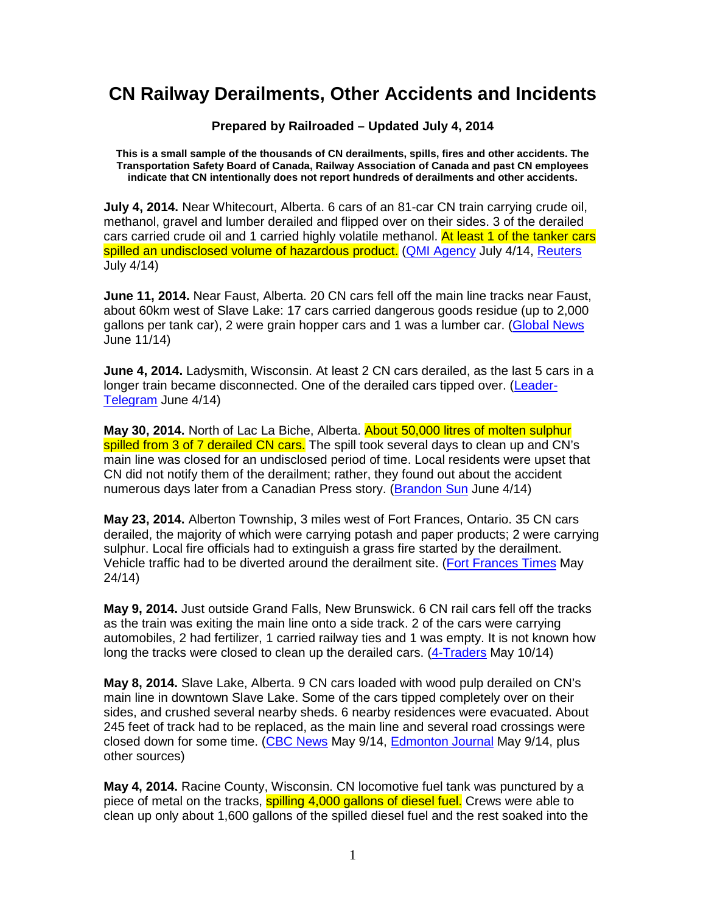## **CN Railway Derailments, Other Accidents and Incidents**

**Prepared by Railroaded – Updated July 4, 2014** 

**This is a small sample of the thousands of CN derailments, spills, fires and other accidents. The Transportation Safety Board of Canada, Railway Association of Canada and past CN employees indicate that CN intentionally does not report hundreds of derailments and other accidents.** 

**July 4, 2014.** Near Whitecourt, Alberta. 6 cars of an 81-car CN train carrying crude oil, methanol, gravel and lumber derailed and flipped over on their sides. 3 of the derailed cars carried crude oil and 1 carried highly volatile methanol. At least 1 of the tanker cars spilled an undisclosed volume of hazardous product. (QMI Agency July 4/14, Reuters July 4/14)

**June 11, 2014.** Near Faust, Alberta. 20 CN cars fell off the main line tracks near Faust, about 60km west of Slave Lake: 17 cars carried dangerous goods residue (up to 2,000 gallons per tank car), 2 were grain hopper cars and 1 was a lumber car. (Global News June 11/14)

**June 4, 2014.** Ladysmith, Wisconsin. At least 2 CN cars derailed, as the last 5 cars in a longer train became disconnected. One of the derailed cars tipped over. (Leader-Telegram June 4/14)

**May 30, 2014.** North of Lac La Biche, Alberta. About 50,000 litres of molten sulphur spilled from 3 of 7 derailed CN cars. The spill took several days to clean up and CN's main line was closed for an undisclosed period of time. Local residents were upset that CN did not notify them of the derailment; rather, they found out about the accident numerous days later from a Canadian Press story. (Brandon Sun June 4/14)

**May 23, 2014.** Alberton Township, 3 miles west of Fort Frances, Ontario. 35 CN cars derailed, the majority of which were carrying potash and paper products; 2 were carrying sulphur. Local fire officials had to extinguish a grass fire started by the derailment. Vehicle traffic had to be diverted around the derailment site. (Fort Frances Times May 24/14)

**May 9, 2014.** Just outside Grand Falls, New Brunswick. 6 CN rail cars fell off the tracks as the train was exiting the main line onto a side track. 2 of the cars were carrying automobiles, 2 had fertilizer, 1 carried railway ties and 1 was empty. It is not known how long the tracks were closed to clean up the derailed cars. (4-Traders May 10/14)

**May 8, 2014.** Slave Lake, Alberta. 9 CN cars loaded with wood pulp derailed on CN's main line in downtown Slave Lake. Some of the cars tipped completely over on their sides, and crushed several nearby sheds. 6 nearby residences were evacuated. About 245 feet of track had to be replaced, as the main line and several road crossings were closed down for some time. (CBC News May 9/14, Edmonton Journal May 9/14, plus other sources)

**May 4, 2014.** Racine County, Wisconsin. CN locomotive fuel tank was punctured by a piece of metal on the tracks, spilling 4,000 gallons of diesel fuel. Crews were able to clean up only about 1,600 gallons of the spilled diesel fuel and the rest soaked into the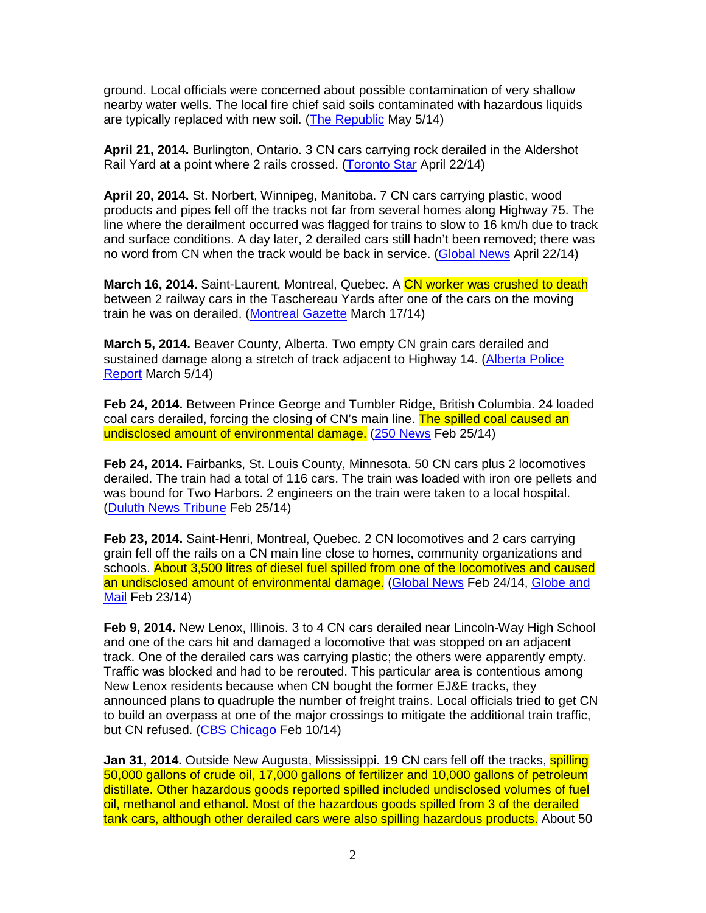ground. Local officials were concerned about possible contamination of very shallow nearby water wells. The local fire chief said soils contaminated with hazardous liquids are typically replaced with new soil. (The Republic May 5/14)

**April 21, 2014.** Burlington, Ontario. 3 CN cars carrying rock derailed in the Aldershot Rail Yard at a point where 2 rails crossed. (Toronto Star April 22/14)

**April 20, 2014.** St. Norbert, Winnipeg, Manitoba. 7 CN cars carrying plastic, wood products and pipes fell off the tracks not far from several homes along Highway 75. The line where the derailment occurred was flagged for trains to slow to 16 km/h due to track and surface conditions. A day later, 2 derailed cars still hadn't been removed; there was no word from CN when the track would be back in service. (Global News April 22/14)

**March 16, 2014.** Saint-Laurent, Montreal, Quebec. A CN worker was crushed to death between 2 railway cars in the Taschereau Yards after one of the cars on the moving train he was on derailed. (Montreal Gazette March 17/14)

**March 5, 2014.** Beaver County, Alberta. Two empty CN grain cars derailed and sustained damage along a stretch of track adjacent to Highway 14. (Alberta Police Report March 5/14)

**Feb 24, 2014.** Between Prince George and Tumbler Ridge, British Columbia. 24 loaded coal cars derailed, forcing the closing of CN's main line. The spilled coal caused an undisclosed amount of environmental damage. (250 News Feb 25/14)

**Feb 24, 2014.** Fairbanks, St. Louis County, Minnesota. 50 CN cars plus 2 locomotives derailed. The train had a total of 116 cars. The train was loaded with iron ore pellets and was bound for Two Harbors. 2 engineers on the train were taken to a local hospital. (Duluth News Tribune Feb 25/14)

**Feb 23, 2014.** Saint-Henri, Montreal, Quebec. 2 CN locomotives and 2 cars carrying grain fell off the rails on a CN main line close to homes, community organizations and schools. About 3,500 litres of diesel fuel spilled from one of the locomotives and caused an undisclosed amount of environmental damage. (Global News Feb 24/14, Globe and Mail Feb 23/14)

**Feb 9, 2014.** New Lenox, Illinois. 3 to 4 CN cars derailed near Lincoln-Way High School and one of the cars hit and damaged a locomotive that was stopped on an adjacent track. One of the derailed cars was carrying plastic; the others were apparently empty. Traffic was blocked and had to be rerouted. This particular area is contentious among New Lenox residents because when CN bought the former EJ&E tracks, they announced plans to quadruple the number of freight trains. Local officials tried to get CN to build an overpass at one of the major crossings to mitigate the additional train traffic, but CN refused. (CBS Chicago Feb 10/14)

**Jan 31, 2014.** Outside New Augusta, Mississippi. 19 CN cars fell off the tracks, **spilling** 50,000 gallons of crude oil, 17,000 gallons of fertilizer and 10,000 gallons of petroleum distillate. Other hazardous goods reported spilled included undisclosed volumes of fuel oil, methanol and ethanol. Most of the hazardous goods spilled from 3 of the derailed tank cars, although other derailed cars were also spilling hazardous products. About 50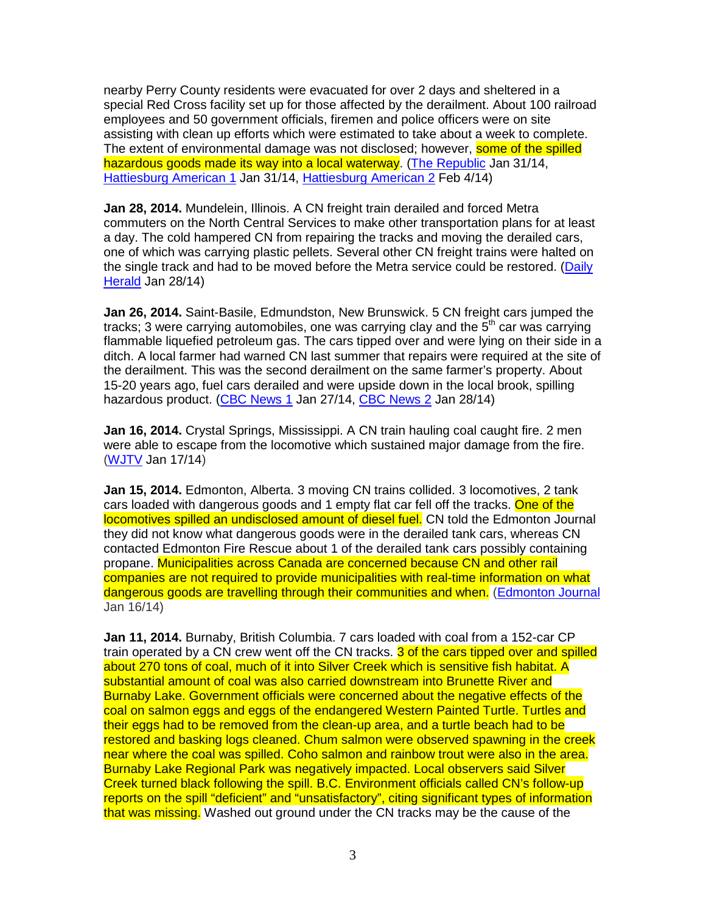nearby Perry County residents were evacuated for over 2 days and sheltered in a special Red Cross facility set up for those affected by the derailment. About 100 railroad employees and 50 government officials, firemen and police officers were on site assisting with clean up efforts which were estimated to take about a week to complete. The extent of environmental damage was not disclosed; however, **some of the spilled** hazardous goods made its way into a local waterway. (The Republic Jan 31/14, Hattiesburg American 1 Jan 31/14, Hattiesburg American 2 Feb 4/14)

**Jan 28, 2014.** Mundelein, Illinois. A CN freight train derailed and forced Metra commuters on the North Central Services to make other transportation plans for at least a day. The cold hampered CN from repairing the tracks and moving the derailed cars, one of which was carrying plastic pellets. Several other CN freight trains were halted on the single track and had to be moved before the Metra service could be restored. (Daily Herald Jan 28/14)

**Jan 26, 2014.** Saint-Basile, Edmundston, New Brunswick. 5 CN freight cars jumped the tracks; 3 were carrying automobiles, one was carrying clay and the  $5<sup>th</sup>$  car was carrying flammable liquefied petroleum gas. The cars tipped over and were lying on their side in a ditch. A local farmer had warned CN last summer that repairs were required at the site of the derailment. This was the second derailment on the same farmer's property. About 15-20 years ago, fuel cars derailed and were upside down in the local brook, spilling hazardous product. (CBC News 1 Jan 27/14, CBC News 2 Jan 28/14)

**Jan 16, 2014.** Crystal Springs, Mississippi. A CN train hauling coal caught fire. 2 men were able to escape from the locomotive which sustained major damage from the fire. (WJTV Jan 17/14)

**Jan 15, 2014.** Edmonton, Alberta. 3 moving CN trains collided. 3 locomotives, 2 tank cars loaded with dangerous goods and 1 empty flat car fell off the tracks. One of the locomotives spilled an undisclosed amount of diesel fuel. CN told the Edmonton Journal they did not know what dangerous goods were in the derailed tank cars, whereas CN contacted Edmonton Fire Rescue about 1 of the derailed tank cars possibly containing propane. Municipalities across Canada are concerned because CN and other rail companies are not required to provide municipalities with real-time information on what dangerous goods are travelling through their communities and when. (Edmonton Journal Jan 16/14)

**Jan 11, 2014.** Burnaby, British Columbia. 7 cars loaded with coal from a 152-car CP train operated by a CN crew went off the CN tracks. 3 of the cars tipped over and spilled about 270 tons of coal, much of it into Silver Creek which is sensitive fish habitat. A substantial amount of coal was also carried downstream into Brunette River and Burnaby Lake. Government officials were concerned about the negative effects of the coal on salmon eggs and eggs of the endangered Western Painted Turtle. Turtles and their eggs had to be removed from the clean-up area, and a turtle beach had to be restored and basking logs cleaned. Chum salmon were observed spawning in the creek near where the coal was spilled. Coho salmon and rainbow trout were also in the area. Burnaby Lake Regional Park was negatively impacted. Local observers said Silver Creek turned black following the spill. B.C. Environment officials called CN's follow-up reports on the spill "deficient" and "unsatisfactory", citing significant types of information that was missing. Washed out ground under the CN tracks may be the cause of the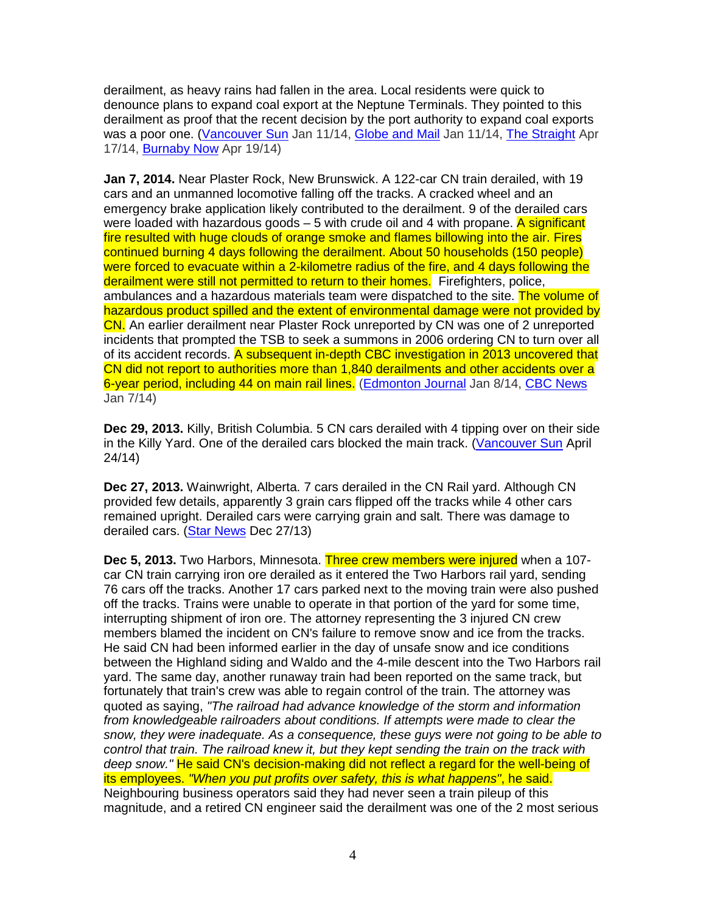derailment, as heavy rains had fallen in the area. Local residents were quick to denounce plans to expand coal export at the Neptune Terminals. They pointed to this derailment as proof that the recent decision by the port authority to expand coal exports was a poor one. (Vancouver Sun Jan 11/14, Globe and Mail Jan 11/14, The Straight Apr 17/14, Burnaby Now Apr 19/14)

**Jan 7, 2014.** Near Plaster Rock, New Brunswick. A 122-car CN train derailed, with 19 cars and an unmanned locomotive falling off the tracks. A cracked wheel and an emergency brake application likely contributed to the derailment. 9 of the derailed cars were loaded with hazardous goods  $-5$  with crude oil and 4 with propane. A significant fire resulted with huge clouds of orange smoke and flames billowing into the air. Fires continued burning 4 days following the derailment. About 50 households (150 people) were forced to evacuate within a 2-kilometre radius of the fire, and 4 days following the derailment were still not permitted to return to their homes. Firefighters, police, ambulances and a hazardous materials team were dispatched to the site. The volume of hazardous product spilled and the extent of environmental damage were not provided by CN. An earlier derailment near Plaster Rock unreported by CN was one of 2 unreported incidents that prompted the TSB to seek a summons in 2006 ordering CN to turn over all of its accident records. A subsequent in-depth CBC investigation in 2013 uncovered that CN did not report to authorities more than 1,840 derailments and other accidents over a 6-year period, including 44 on main rail lines. (Edmonton Journal Jan 8/14, CBC News Jan 7/14)

**Dec 29, 2013.** Killy, British Columbia. 5 CN cars derailed with 4 tipping over on their side in the Killy Yard. One of the derailed cars blocked the main track. (Vancouver Sun April 24/14)

**Dec 27, 2013.** Wainwright, Alberta. 7 cars derailed in the CN Rail yard. Although CN provided few details, apparently 3 grain cars flipped off the tracks while 4 other cars remained upright. Derailed cars were carrying grain and salt. There was damage to derailed cars. (Star News Dec 27/13)

**Dec 5, 2013.** Two Harbors, Minnesota. Three crew members were injured when a 107 car CN train carrying iron ore derailed as it entered the Two Harbors rail yard, sending 76 cars off the tracks. Another 17 cars parked next to the moving train were also pushed off the tracks. Trains were unable to operate in that portion of the yard for some time, interrupting shipment of iron ore. The attorney representing the 3 injured CN crew members blamed the incident on CN's failure to remove snow and ice from the tracks. He said CN had been informed earlier in the day of unsafe snow and ice conditions between the Highland siding and Waldo and the 4-mile descent into the Two Harbors rail yard. The same day, another runaway train had been reported on the same track, but fortunately that train's crew was able to regain control of the train. The attorney was quoted as saying, "The railroad had advance knowledge of the storm and information from knowledgeable railroaders about conditions. If attempts were made to clear the snow, they were inadequate. As a consequence, these guys were not going to be able to control that train. The railroad knew it, but they kept sending the train on the track with deep snow." He said CN's decision-making did not reflect a regard for the well-being of its employees. "When you put profits over safety, this is what happens", he said. Neighbouring business operators said they had never seen a train pileup of this magnitude, and a retired CN engineer said the derailment was one of the 2 most serious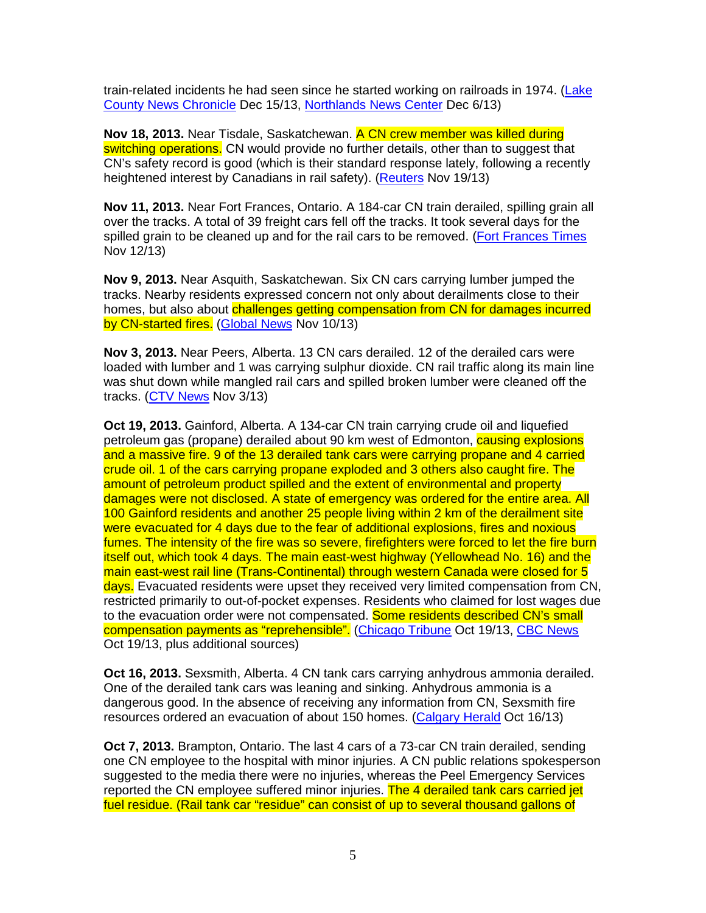train-related incidents he had seen since he started working on railroads in 1974. (Lake County News Chronicle Dec 15/13, Northlands News Center Dec 6/13)

**Nov 18, 2013.** Near Tisdale, Saskatchewan. A CN crew member was killed during switching operations. CN would provide no further details, other than to suggest that CN's safety record is good (which is their standard response lately, following a recently heightened interest by Canadians in rail safety). (Reuters Nov 19/13)

**Nov 11, 2013.** Near Fort Frances, Ontario. A 184-car CN train derailed, spilling grain all over the tracks. A total of 39 freight cars fell off the tracks. It took several days for the spilled grain to be cleaned up and for the rail cars to be removed. (Fort Frances Times Nov 12/13)

**Nov 9, 2013.** Near Asquith, Saskatchewan. Six CN cars carrying lumber jumped the tracks. Nearby residents expressed concern not only about derailments close to their homes, but also about challenges getting compensation from CN for damages incurred by CN-started fires. (Global News Nov 10/13)

**Nov 3, 2013.** Near Peers, Alberta. 13 CN cars derailed. 12 of the derailed cars were loaded with lumber and 1 was carrying sulphur dioxide. CN rail traffic along its main line was shut down while mangled rail cars and spilled broken lumber were cleaned off the tracks. (CTV News Nov 3/13)

**Oct 19, 2013.** Gainford, Alberta. A 134-car CN train carrying crude oil and liquefied petroleum gas (propane) derailed about 90 km west of Edmonton, **causing explosions** and a massive fire. 9 of the 13 derailed tank cars were carrying propane and 4 carried crude oil. 1 of the cars carrying propane exploded and 3 others also caught fire. The amount of petroleum product spilled and the extent of environmental and property damages were not disclosed. A state of emergency was ordered for the entire area. All 100 Gainford residents and another 25 people living within 2 km of the derailment site were evacuated for 4 days due to the fear of additional explosions, fires and noxious fumes. The intensity of the fire was so severe, firefighters were forced to let the fire burn itself out, which took 4 days. The main east-west highway (Yellowhead No. 16) and the main east-west rail line (Trans-Continental) through western Canada were closed for 5 days. Evacuated residents were upset they received very limited compensation from CN, restricted primarily to out-of-pocket expenses. Residents who claimed for lost wages due to the evacuation order were not compensated. Some residents described CN's small compensation payments as "reprehensible". (Chicago Tribune Oct 19/13, CBC News Oct 19/13, plus additional sources)

**Oct 16, 2013.** Sexsmith, Alberta. 4 CN tank cars carrying anhydrous ammonia derailed. One of the derailed tank cars was leaning and sinking. Anhydrous ammonia is a dangerous good. In the absence of receiving any information from CN, Sexsmith fire resources ordered an evacuation of about 150 homes. (Calgary Herald Oct 16/13)

**Oct 7, 2013.** Brampton, Ontario. The last 4 cars of a 73-car CN train derailed, sending one CN employee to the hospital with minor injuries. A CN public relations spokesperson suggested to the media there were no injuries, whereas the Peel Emergency Services reported the CN employee suffered minor injuries. The 4 derailed tank cars carried jet fuel residue. (Rail tank car "residue" can consist of up to several thousand gallons of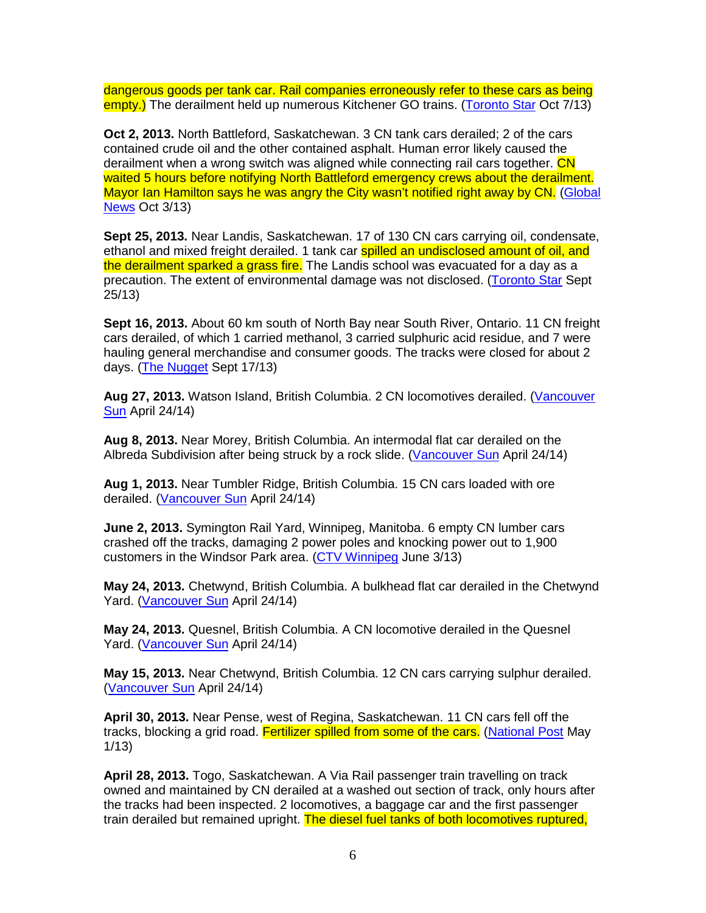dangerous goods per tank car. Rail companies erroneously refer to these cars as being empty.) The derailment held up numerous Kitchener GO trains. (Toronto Star Oct 7/13)

**Oct 2, 2013.** North Battleford, Saskatchewan. 3 CN tank cars derailed; 2 of the cars contained crude oil and the other contained asphalt. Human error likely caused the derailment when a wrong switch was aligned while connecting rail cars together. CN waited 5 hours before notifying North Battleford emergency crews about the derailment. Mayor Ian Hamilton says he was angry the City wasn't notified right away by CN. (Global News Oct 3/13)

**Sept 25, 2013.** Near Landis, Saskatchewan. 17 of 130 CN cars carrying oil, condensate, ethanol and mixed freight derailed. 1 tank car spilled an undisclosed amount of oil, and the derailment sparked a grass fire. The Landis school was evacuated for a day as a precaution. The extent of environmental damage was not disclosed. (Toronto Star Sept 25/13)

**Sept 16, 2013.** About 60 km south of North Bay near South River, Ontario. 11 CN freight cars derailed, of which 1 carried methanol, 3 carried sulphuric acid residue, and 7 were hauling general merchandise and consumer goods. The tracks were closed for about 2 days. (The Nugget Sept 17/13)

**Aug 27, 2013.** Watson Island, British Columbia. 2 CN locomotives derailed. (Vancouver **Sun** April 24/14)

**Aug 8, 2013.** Near Morey, British Columbia. An intermodal flat car derailed on the Albreda Subdivision after being struck by a rock slide. (Vancouver Sun April 24/14)

**Aug 1, 2013.** Near Tumbler Ridge, British Columbia. 15 CN cars loaded with ore derailed. (Vancouver Sun April 24/14)

**June 2, 2013.** Symington Rail Yard, Winnipeg, Manitoba. 6 empty CN lumber cars crashed off the tracks, damaging 2 power poles and knocking power out to 1,900 customers in the Windsor Park area. (CTV Winnipeg June 3/13)

**May 24, 2013.** Chetwynd, British Columbia. A bulkhead flat car derailed in the Chetwynd Yard. (Vancouver Sun April 24/14)

**May 24, 2013.** Quesnel, British Columbia. A CN locomotive derailed in the Quesnel Yard. (Vancouver Sun April 24/14)

**May 15, 2013.** Near Chetwynd, British Columbia. 12 CN cars carrying sulphur derailed. (Vancouver Sun April 24/14)

**April 30, 2013.** Near Pense, west of Regina, Saskatchewan. 11 CN cars fell off the tracks, blocking a grid road. Fertilizer spilled from some of the cars. (National Post May 1/13)

**April 28, 2013.** Togo, Saskatchewan. A Via Rail passenger train travelling on track owned and maintained by CN derailed at a washed out section of track, only hours after the tracks had been inspected. 2 locomotives, a baggage car and the first passenger train derailed but remained upright. The diesel fuel tanks of both locomotives ruptured,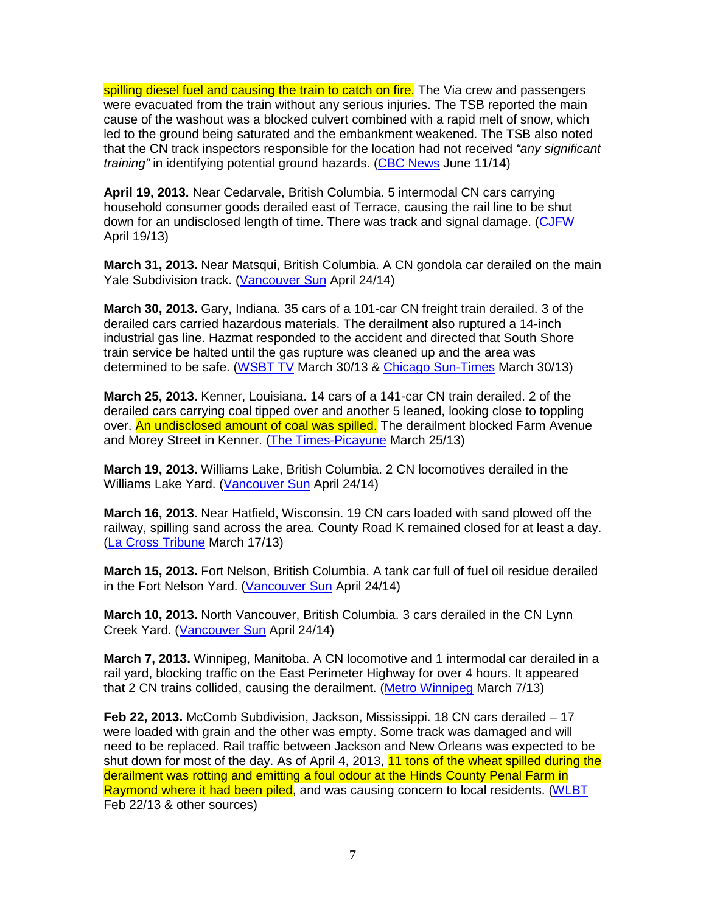spilling diesel fuel and causing the train to catch on fire. The Via crew and passengers were evacuated from the train without any serious injuries. The TSB reported the main cause of the washout was a blocked culvert combined with a rapid melt of snow, which led to the ground being saturated and the embankment weakened. The TSB also noted that the CN track inspectors responsible for the location had not received "any significant" training" in identifying potential ground hazards. (CBC News June 11/14)

**April 19, 2013.** Near Cedarvale, British Columbia. 5 intermodal CN cars carrying household consumer goods derailed east of Terrace, causing the rail line to be shut down for an undisclosed length of time. There was track and signal damage. (CJFW April 19/13)

**March 31, 2013.** Near Matsqui, British Columbia. A CN gondola car derailed on the main Yale Subdivision track. (Vancouver Sun April 24/14)

**March 30, 2013.** Gary, Indiana. 35 cars of a 101-car CN freight train derailed. 3 of the derailed cars carried hazardous materials. The derailment also ruptured a 14-inch industrial gas line. Hazmat responded to the accident and directed that South Shore train service be halted until the gas rupture was cleaned up and the area was determined to be safe. (WSBT TV March 30/13 & Chicago Sun-Times March 30/13)

**March 25, 2013.** Kenner, Louisiana. 14 cars of a 141-car CN train derailed. 2 of the derailed cars carrying coal tipped over and another 5 leaned, looking close to toppling over. An undisclosed amount of coal was spilled. The derailment blocked Farm Avenue and Morey Street in Kenner. (The Times-Picayune March 25/13)

**March 19, 2013.** Williams Lake, British Columbia. 2 CN locomotives derailed in the Williams Lake Yard. (Vancouver Sun April 24/14)

**March 16, 2013.** Near Hatfield, Wisconsin. 19 CN cars loaded with sand plowed off the railway, spilling sand across the area. County Road K remained closed for at least a day. (La Cross Tribune March 17/13)

**March 15, 2013.** Fort Nelson, British Columbia. A tank car full of fuel oil residue derailed in the Fort Nelson Yard. (Vancouver Sun April 24/14)

**March 10, 2013.** North Vancouver, British Columbia. 3 cars derailed in the CN Lynn Creek Yard. (Vancouver Sun April 24/14)

**March 7, 2013.** Winnipeg, Manitoba. A CN locomotive and 1 intermodal car derailed in a rail yard, blocking traffic on the East Perimeter Highway for over 4 hours. It appeared that 2 CN trains collided, causing the derailment. (Metro Winnipeg March 7/13)

**Feb 22, 2013.** McComb Subdivision, Jackson, Mississippi. 18 CN cars derailed – 17 were loaded with grain and the other was empty. Some track was damaged and will need to be replaced. Rail traffic between Jackson and New Orleans was expected to be shut down for most of the day. As of April 4, 2013, 11 tons of the wheat spilled during the derailment was rotting and emitting a foul odour at the Hinds County Penal Farm in Raymond where it had been piled, and was causing concern to local residents. (WLBT Feb 22/13 & other sources)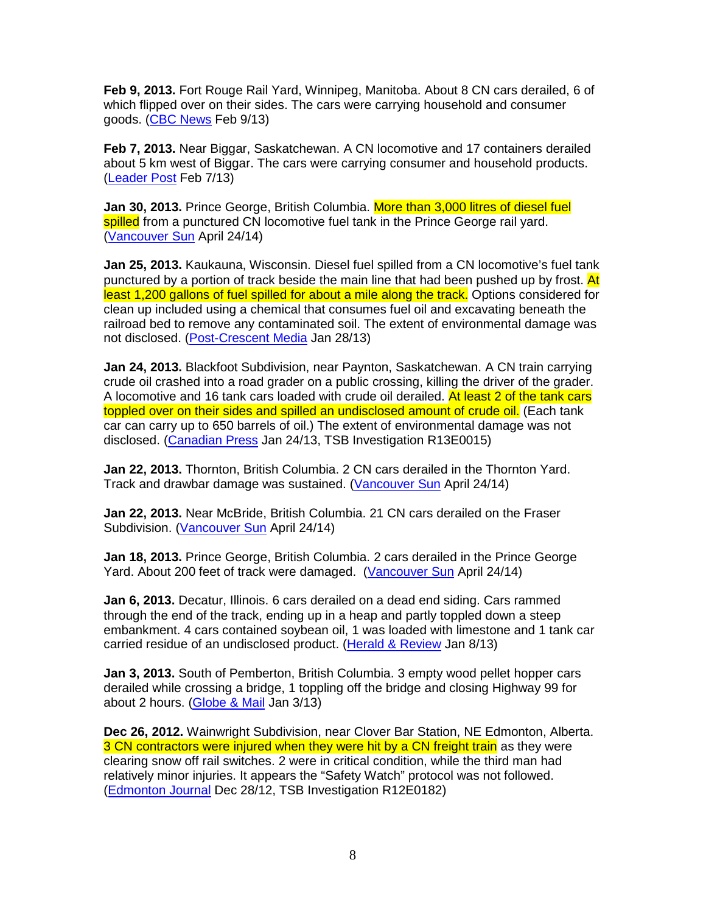**Feb 9, 2013.** Fort Rouge Rail Yard, Winnipeg, Manitoba. About 8 CN cars derailed, 6 of which flipped over on their sides. The cars were carrying household and consumer goods. (CBC News Feb 9/13)

**Feb 7, 2013.** Near Biggar, Saskatchewan. A CN locomotive and 17 containers derailed about 5 km west of Biggar. The cars were carrying consumer and household products. (Leader Post Feb 7/13)

**Jan 30, 2013.** Prince George, British Columbia. More than 3,000 litres of diesel fuel spilled from a punctured CN locomotive fuel tank in the Prince George rail yard. (Vancouver Sun April 24/14)

**Jan 25, 2013.** Kaukauna, Wisconsin. Diesel fuel spilled from a CN locomotive's fuel tank punctured by a portion of track beside the main line that had been pushed up by frost. At least 1,200 gallons of fuel spilled for about a mile along the track. Options considered for clean up included using a chemical that consumes fuel oil and excavating beneath the railroad bed to remove any contaminated soil. The extent of environmental damage was not disclosed. (Post-Crescent Media Jan 28/13)

**Jan 24, 2013.** Blackfoot Subdivision, near Paynton, Saskatchewan. A CN train carrying crude oil crashed into a road grader on a public crossing, killing the driver of the grader. A locomotive and 16 tank cars loaded with crude oil derailed. At least 2 of the tank cars toppled over on their sides and spilled an undisclosed amount of crude oil. (Each tank car can carry up to 650 barrels of oil.) The extent of environmental damage was not disclosed. (Canadian Press Jan 24/13, TSB Investigation R13E0015)

**Jan 22, 2013.** Thornton, British Columbia. 2 CN cars derailed in the Thornton Yard. Track and drawbar damage was sustained. (Vancouver Sun April 24/14)

**Jan 22, 2013.** Near McBride, British Columbia. 21 CN cars derailed on the Fraser Subdivision. (Vancouver Sun April 24/14)

**Jan 18, 2013.** Prince George, British Columbia. 2 cars derailed in the Prince George Yard. About 200 feet of track were damaged. (Vancouver Sun April 24/14)

**Jan 6, 2013.** Decatur, Illinois. 6 cars derailed on a dead end siding. Cars rammed through the end of the track, ending up in a heap and partly toppled down a steep embankment. 4 cars contained soybean oil, 1 was loaded with limestone and 1 tank car carried residue of an undisclosed product. (Herald & Review Jan 8/13)

**Jan 3, 2013.** South of Pemberton, British Columbia. 3 empty wood pellet hopper cars derailed while crossing a bridge, 1 toppling off the bridge and closing Highway 99 for about 2 hours. (Globe & Mail Jan 3/13)

**Dec 26, 2012.** Wainwright Subdivision, near Clover Bar Station, NE Edmonton, Alberta. 3 CN contractors were injured when they were hit by a CN freight train as they were clearing snow off rail switches. 2 were in critical condition, while the third man had relatively minor injuries. It appears the "Safety Watch" protocol was not followed. (Edmonton Journal Dec 28/12, TSB Investigation R12E0182)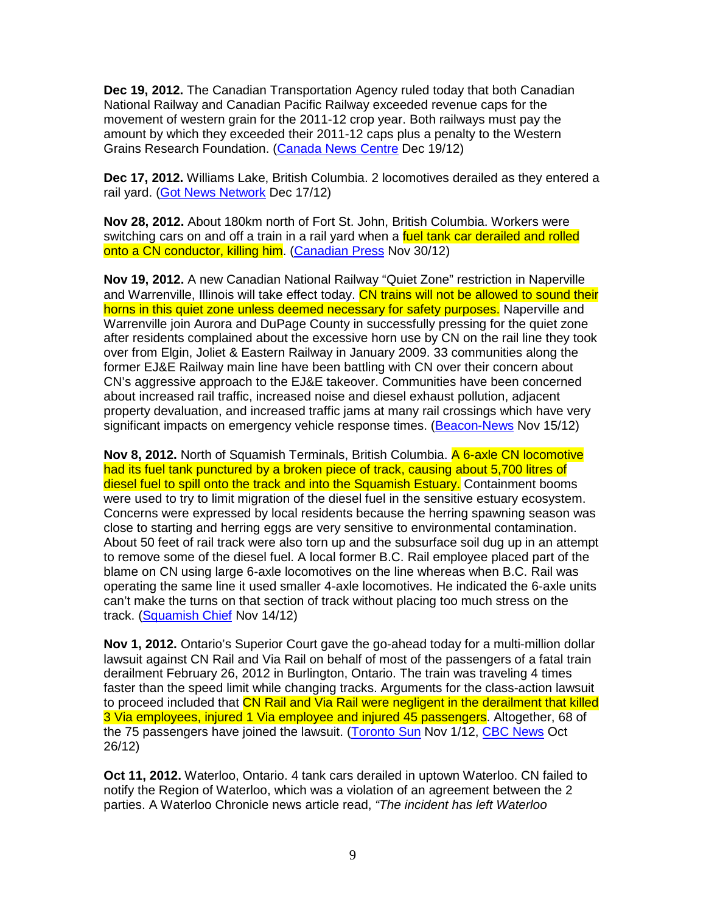**Dec 19, 2012.** The Canadian Transportation Agency ruled today that both Canadian National Railway and Canadian Pacific Railway exceeded revenue caps for the movement of western grain for the 2011-12 crop year. Both railways must pay the amount by which they exceeded their 2011-12 caps plus a penalty to the Western Grains Research Foundation. (Canada News Centre Dec 19/12)

**Dec 17, 2012.** Williams Lake, British Columbia. 2 locomotives derailed as they entered a rail yard. (Got News Network Dec 17/12)

**Nov 28, 2012.** About 180km north of Fort St. John, British Columbia. Workers were switching cars on and off a train in a rail yard when a fuel tank car derailed and rolled onto a CN conductor, killing him. (Canadian Press Nov 30/12)

**Nov 19, 2012.** A new Canadian National Railway "Quiet Zone" restriction in Naperville and Warrenville, Illinois will take effect today. CN trains will not be allowed to sound their horns in this quiet zone unless deemed necessary for safety purposes. Naperville and Warrenville join Aurora and DuPage County in successfully pressing for the quiet zone after residents complained about the excessive horn use by CN on the rail line they took over from Elgin, Joliet & Eastern Railway in January 2009. 33 communities along the former EJ&E Railway main line have been battling with CN over their concern about CN's aggressive approach to the EJ&E takeover. Communities have been concerned about increased rail traffic, increased noise and diesel exhaust pollution, adjacent property devaluation, and increased traffic jams at many rail crossings which have very significant impacts on emergency vehicle response times. (Beacon-News Nov 15/12)

**Nov 8, 2012.** North of Squamish Terminals, British Columbia. A 6-axle CN locomotive had its fuel tank punctured by a broken piece of track, causing about 5,700 litres of diesel fuel to spill onto the track and into the Squamish Estuary. Containment booms were used to try to limit migration of the diesel fuel in the sensitive estuary ecosystem. Concerns were expressed by local residents because the herring spawning season was close to starting and herring eggs are very sensitive to environmental contamination. About 50 feet of rail track were also torn up and the subsurface soil dug up in an attempt to remove some of the diesel fuel. A local former B.C. Rail employee placed part of the blame on CN using large 6-axle locomotives on the line whereas when B.C. Rail was operating the same line it used smaller 4-axle locomotives. He indicated the 6-axle units can't make the turns on that section of track without placing too much stress on the track. (Squamish Chief Nov 14/12)

**Nov 1, 2012.** Ontario's Superior Court gave the go-ahead today for a multi-million dollar lawsuit against CN Rail and Via Rail on behalf of most of the passengers of a fatal train derailment February 26, 2012 in Burlington, Ontario. The train was traveling 4 times faster than the speed limit while changing tracks. Arguments for the class-action lawsuit to proceed included that CN Rail and Via Rail were negligent in the derailment that killed 3 Via employees, injured 1 Via employee and injured 45 passengers. Altogether, 68 of the 75 passengers have joined the lawsuit. (Toronto Sun Nov 1/12, CBC News Oct 26/12)

**Oct 11, 2012.** Waterloo, Ontario. 4 tank cars derailed in uptown Waterloo. CN failed to notify the Region of Waterloo, which was a violation of an agreement between the 2 parties. A Waterloo Chronicle news article read, "The incident has left Waterloo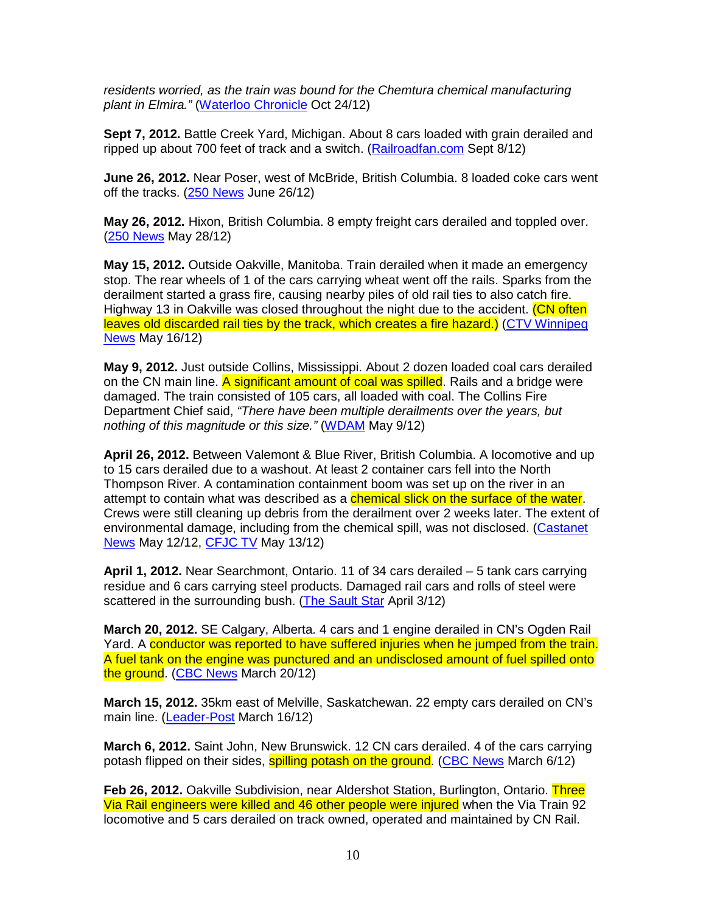residents worried, as the train was bound for the Chemtura chemical manufacturing plant in Elmira." (Waterloo Chronicle Oct 24/12)

**Sept 7, 2012.** Battle Creek Yard, Michigan. About 8 cars loaded with grain derailed and ripped up about 700 feet of track and a switch. (Railroadfan.com Sept 8/12)

**June 26, 2012.** Near Poser, west of McBride, British Columbia. 8 loaded coke cars went off the tracks. (250 News June 26/12)

**May 26, 2012.** Hixon, British Columbia. 8 empty freight cars derailed and toppled over. (250 News May 28/12)

**May 15, 2012.** Outside Oakville, Manitoba. Train derailed when it made an emergency stop. The rear wheels of 1 of the cars carrying wheat went off the rails. Sparks from the derailment started a grass fire, causing nearby piles of old rail ties to also catch fire. Highway 13 in Oakville was closed throughout the night due to the accident. (CN often leaves old discarded rail ties by the track, which creates a fire hazard.) (CTV Winnipeg News May 16/12)

**May 9, 2012.** Just outside Collins, Mississippi. About 2 dozen loaded coal cars derailed on the CN main line. A significant amount of coal was spilled. Rails and a bridge were damaged. The train consisted of 105 cars, all loaded with coal. The Collins Fire Department Chief said, "There have been multiple derailments over the years, but nothing of this magnitude or this size." (WDAM May 9/12)

**April 26, 2012.** Between Valemont & Blue River, British Columbia. A locomotive and up to 15 cars derailed due to a washout. At least 2 container cars fell into the North Thompson River. A contamination containment boom was set up on the river in an attempt to contain what was described as a **chemical slick on the surface of the water**. Crews were still cleaning up debris from the derailment over 2 weeks later. The extent of environmental damage, including from the chemical spill, was not disclosed. (Castanet News May 12/12, CFJC TV May 13/12)

**April 1, 2012.** Near Searchmont, Ontario. 11 of 34 cars derailed – 5 tank cars carrying residue and 6 cars carrying steel products. Damaged rail cars and rolls of steel were scattered in the surrounding bush. (The Sault Star April 3/12)

**March 20, 2012.** SE Calgary, Alberta. 4 cars and 1 engine derailed in CN's Ogden Rail Yard. A conductor was reported to have suffered injuries when he jumped from the train. A fuel tank on the engine was punctured and an undisclosed amount of fuel spilled onto the ground. (CBC News March 20/12)

**March 15, 2012.** 35km east of Melville, Saskatchewan. 22 empty cars derailed on CN's main line. (Leader-Post March 16/12)

**March 6, 2012.** Saint John, New Brunswick. 12 CN cars derailed. 4 of the cars carrying potash flipped on their sides, **spilling potash on the ground.** (CBC News March 6/12)

**Feb 26, 2012.** Oakville Subdivision, near Aldershot Station, Burlington, Ontario. Three Via Rail engineers were killed and 46 other people were injured when the Via Train 92 locomotive and 5 cars derailed on track owned, operated and maintained by CN Rail.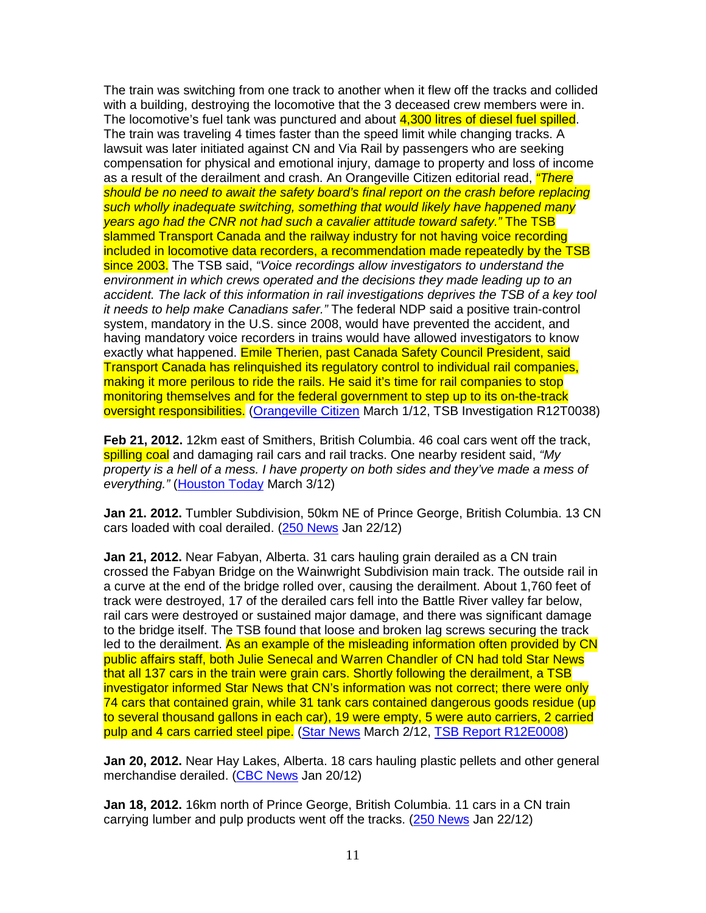The train was switching from one track to another when it flew off the tracks and collided with a building, destroying the locomotive that the 3 deceased crew members were in. The locomotive's fuel tank was punctured and about 4,300 litres of diesel fuel spilled. The train was traveling 4 times faster than the speed limit while changing tracks. A lawsuit was later initiated against CN and Via Rail by passengers who are seeking compensation for physical and emotional injury, damage to property and loss of income as a result of the derailment and crash. An Orangeville Citizen editorial read, *"There* should be no need to await the safety board's final report on the crash before replacing such wholly inadequate switching, something that would likely have happened many years ago had the CNR not had such a cavalier attitude toward safety." The TSB slammed Transport Canada and the railway industry for not having voice recording included in locomotive data recorders, a recommendation made repeatedly by the TSB since 2003. The TSB said, "Voice recordings allow investigators to understand the environment in which crews operated and the decisions they made leading up to an accident. The lack of this information in rail investigations deprives the TSB of a key tool it needs to help make Canadians safer." The federal NDP said a positive train-control system, mandatory in the U.S. since 2008, would have prevented the accident, and having mandatory voice recorders in trains would have allowed investigators to know exactly what happened. Emile Therien, past Canada Safety Council President, said Transport Canada has relinquished its regulatory control to individual rail companies, making it more perilous to ride the rails. He said it's time for rail companies to stop monitoring themselves and for the federal government to step up to its on-the-track oversight responsibilities. (Orangeville Citizen March 1/12, TSB Investigation R12T0038)

**Feb 21, 2012.** 12km east of Smithers, British Columbia. 46 coal cars went off the track, spilling coal and damaging rail cars and rail tracks. One nearby resident said, "My property is a hell of a mess. I have property on both sides and they've made a mess of everything." (Houston Today March 3/12)

**Jan 21. 2012.** Tumbler Subdivision, 50km NE of Prince George, British Columbia. 13 CN cars loaded with coal derailed. (250 News Jan 22/12)

**Jan 21, 2012.** Near Fabyan, Alberta. 31 cars hauling grain derailed as a CN train crossed the Fabyan Bridge on the Wainwright Subdivision main track. The outside rail in a curve at the end of the bridge rolled over, causing the derailment. About 1,760 feet of track were destroyed, 17 of the derailed cars fell into the Battle River valley far below, rail cars were destroyed or sustained major damage, and there was significant damage to the bridge itself. The TSB found that loose and broken lag screws securing the track led to the derailment. As an example of the misleading information often provided by CN public affairs staff, both Julie Senecal and Warren Chandler of CN had told Star News that all 137 cars in the train were grain cars. Shortly following the derailment, a TSB investigator informed Star News that CN's information was not correct; there were only 74 cars that contained grain, while 31 tank cars contained dangerous goods residue (up to several thousand gallons in each car), 19 were empty, 5 were auto carriers, 2 carried pulp and 4 cars carried steel pipe. (Star News March 2/12, TSB Report R12E0008)

**Jan 20, 2012.** Near Hay Lakes, Alberta. 18 cars hauling plastic pellets and other general merchandise derailed. (CBC News Jan 20/12)

**Jan 18, 2012.** 16km north of Prince George, British Columbia. 11 cars in a CN train carrying lumber and pulp products went off the tracks. (250 News Jan 22/12)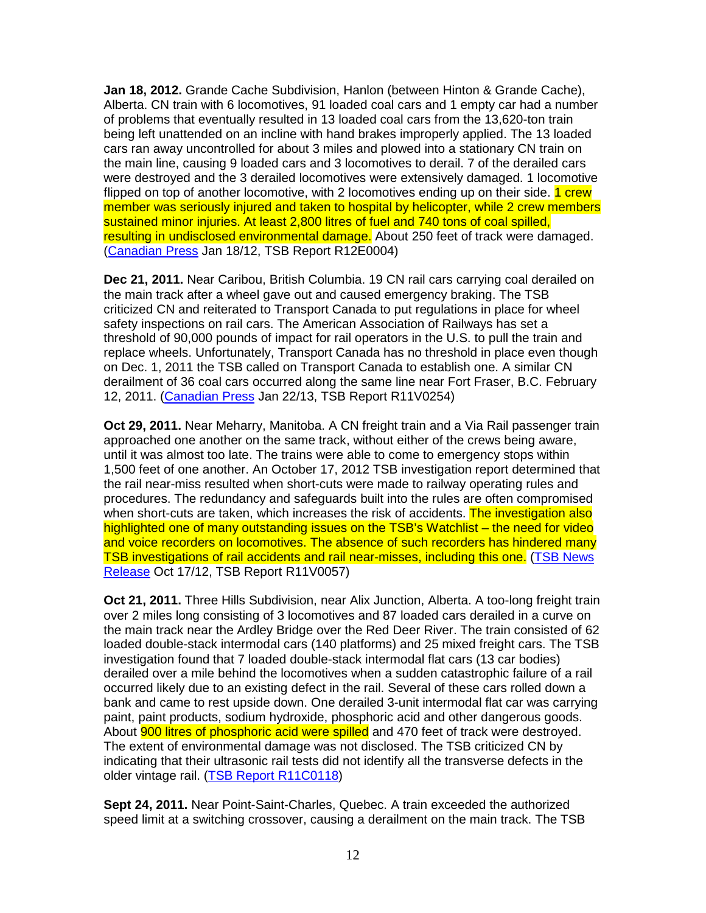**Jan 18, 2012.** Grande Cache Subdivision, Hanlon (between Hinton & Grande Cache), Alberta. CN train with 6 locomotives, 91 loaded coal cars and 1 empty car had a number of problems that eventually resulted in 13 loaded coal cars from the 13,620-ton train being left unattended on an incline with hand brakes improperly applied. The 13 loaded cars ran away uncontrolled for about 3 miles and plowed into a stationary CN train on the main line, causing 9 loaded cars and 3 locomotives to derail. 7 of the derailed cars were destroyed and the 3 derailed locomotives were extensively damaged. 1 locomotive flipped on top of another locomotive, with 2 locomotives ending up on their side. 1 crew member was seriously injured and taken to hospital by helicopter, while 2 crew members sustained minor injuries. At least 2,800 litres of fuel and 740 tons of coal spilled, resulting in undisclosed environmental damage. About 250 feet of track were damaged. (Canadian Press Jan 18/12, TSB Report R12E0004)

**Dec 21, 2011.** Near Caribou, British Columbia. 19 CN rail cars carrying coal derailed on the main track after a wheel gave out and caused emergency braking. The TSB criticized CN and reiterated to Transport Canada to put regulations in place for wheel safety inspections on rail cars. The American Association of Railways has set a threshold of 90,000 pounds of impact for rail operators in the U.S. to pull the train and replace wheels. Unfortunately, Transport Canada has no threshold in place even though on Dec. 1, 2011 the TSB called on Transport Canada to establish one. A similar CN derailment of 36 coal cars occurred along the same line near Fort Fraser, B.C. February 12, 2011. (Canadian Press Jan 22/13, TSB Report R11V0254)

**Oct 29, 2011.** Near Meharry, Manitoba. A CN freight train and a Via Rail passenger train approached one another on the same track, without either of the crews being aware, until it was almost too late. The trains were able to come to emergency stops within 1,500 feet of one another. An October 17, 2012 TSB investigation report determined that the rail near-miss resulted when short-cuts were made to railway operating rules and procedures. The redundancy and safeguards built into the rules are often compromised when short-cuts are taken, which increases the risk of accidents. The investigation also highlighted one of many outstanding issues on the TSB's Watchlist – the need for video and voice recorders on locomotives. The absence of such recorders has hindered many TSB investigations of rail accidents and rail near-misses, including this one. (TSB News Release Oct 17/12, TSB Report R11V0057)

**Oct 21, 2011.** Three Hills Subdivision, near Alix Junction, Alberta. A too-long freight train over 2 miles long consisting of 3 locomotives and 87 loaded cars derailed in a curve on the main track near the Ardley Bridge over the Red Deer River. The train consisted of 62 loaded double-stack intermodal cars (140 platforms) and 25 mixed freight cars. The TSB investigation found that 7 loaded double-stack intermodal flat cars (13 car bodies) derailed over a mile behind the locomotives when a sudden catastrophic failure of a rail occurred likely due to an existing defect in the rail. Several of these cars rolled down a bank and came to rest upside down. One derailed 3-unit intermodal flat car was carrying paint, paint products, sodium hydroxide, phosphoric acid and other dangerous goods. About **900 litres of phosphoric acid were spilled** and 470 feet of track were destroyed. The extent of environmental damage was not disclosed. The TSB criticized CN by indicating that their ultrasonic rail tests did not identify all the transverse defects in the older vintage rail. (TSB Report R11C0118)

**Sept 24, 2011.** Near Point-Saint-Charles, Quebec. A train exceeded the authorized speed limit at a switching crossover, causing a derailment on the main track. The TSB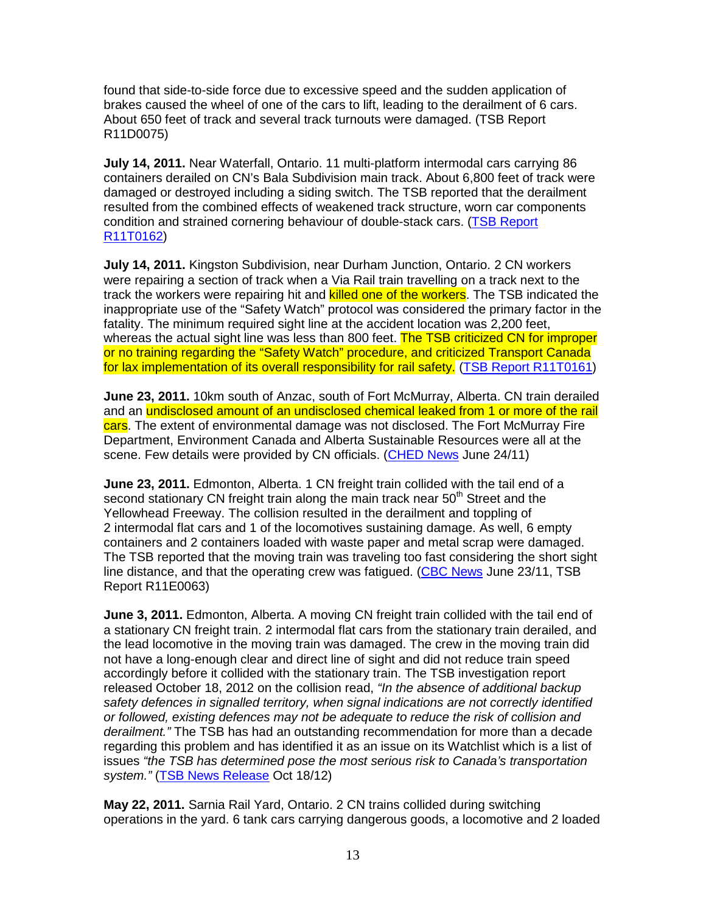found that side-to-side force due to excessive speed and the sudden application of brakes caused the wheel of one of the cars to lift, leading to the derailment of 6 cars. About 650 feet of track and several track turnouts were damaged. (TSB Report R11D0075)

**July 14, 2011.** Near Waterfall, Ontario. 11 multi-platform intermodal cars carrying 86 containers derailed on CN's Bala Subdivision main track. About 6,800 feet of track were damaged or destroyed including a siding switch. The TSB reported that the derailment resulted from the combined effects of weakened track structure, worn car components condition and strained cornering behaviour of double-stack cars. (TSB Report R11T0162)

**July 14, 2011.** Kingston Subdivision, near Durham Junction, Ontario. 2 CN workers were repairing a section of track when a Via Rail train travelling on a track next to the track the workers were repairing hit and killed one of the workers. The TSB indicated the inappropriate use of the "Safety Watch" protocol was considered the primary factor in the fatality. The minimum required sight line at the accident location was 2,200 feet, whereas the actual sight line was less than 800 feet. The TSB criticized CN for improper or no training regarding the "Safety Watch" procedure, and criticized Transport Canada for lax implementation of its overall responsibility for rail safety. (TSB Report R11T0161)

**June 23, 2011.** 10km south of Anzac, south of Fort McMurray, Alberta. CN train derailed and an undisclosed amount of an undisclosed chemical leaked from 1 or more of the rail cars. The extent of environmental damage was not disclosed. The Fort McMurray Fire Department, Environment Canada and Alberta Sustainable Resources were all at the scene. Few details were provided by CN officials. (CHED News June 24/11)

**June 23, 2011.** Edmonton, Alberta. 1 CN freight train collided with the tail end of a second stationary CN freight train along the main track near  $50<sup>th</sup>$  Street and the Yellowhead Freeway. The collision resulted in the derailment and toppling of 2 intermodal flat cars and 1 of the locomotives sustaining damage. As well, 6 empty containers and 2 containers loaded with waste paper and metal scrap were damaged. The TSB reported that the moving train was traveling too fast considering the short sight line distance, and that the operating crew was fatigued. (CBC News June 23/11, TSB Report R11E0063)

**June 3, 2011.** Edmonton, Alberta. A moving CN freight train collided with the tail end of a stationary CN freight train. 2 intermodal flat cars from the stationary train derailed, and the lead locomotive in the moving train was damaged. The crew in the moving train did not have a long-enough clear and direct line of sight and did not reduce train speed accordingly before it collided with the stationary train. The TSB investigation report released October 18, 2012 on the collision read, "In the absence of additional backup safety defences in signalled territory, when signal indications are not correctly identified or followed, existing defences may not be adequate to reduce the risk of collision and derailment." The TSB has had an outstanding recommendation for more than a decade regarding this problem and has identified it as an issue on its Watchlist which is a list of issues "the TSB has determined pose the most serious risk to Canada's transportation system." (TSB News Release Oct 18/12)

**May 22, 2011.** Sarnia Rail Yard, Ontario. 2 CN trains collided during switching operations in the yard. 6 tank cars carrying dangerous goods, a locomotive and 2 loaded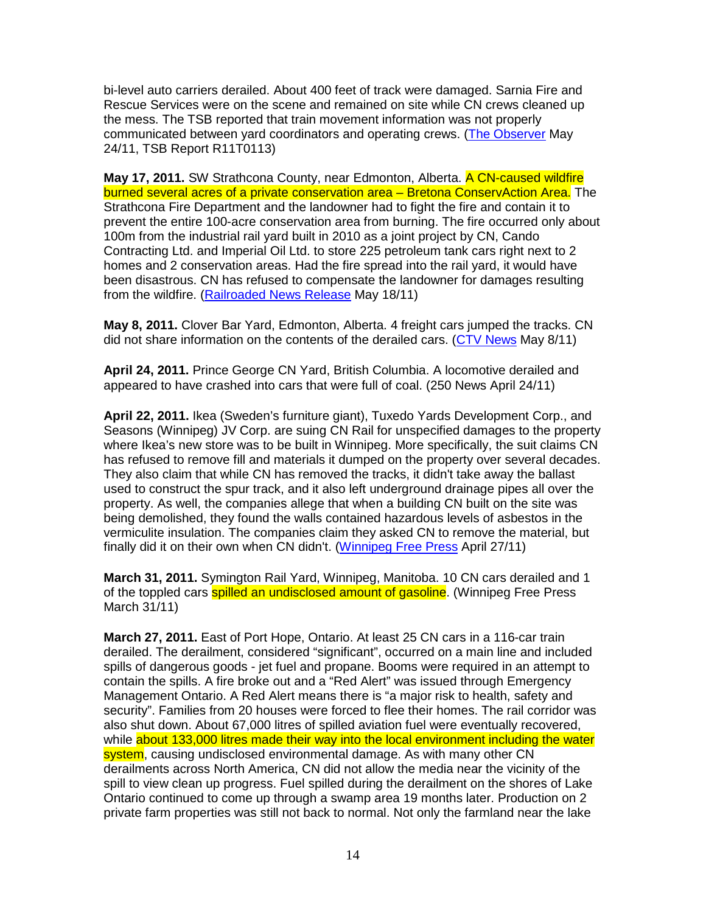bi-level auto carriers derailed. About 400 feet of track were damaged. Sarnia Fire and Rescue Services were on the scene and remained on site while CN crews cleaned up the mess. The TSB reported that train movement information was not properly communicated between yard coordinators and operating crews. (The Observer May 24/11, TSB Report R11T0113)

**May 17, 2011.** SW Strathcona County, near Edmonton, Alberta. A CN-caused wildfire burned several acres of a private conservation area – Bretona ConservAction Area. The Strathcona Fire Department and the landowner had to fight the fire and contain it to prevent the entire 100-acre conservation area from burning. The fire occurred only about 100m from the industrial rail yard built in 2010 as a joint project by CN, Cando Contracting Ltd. and Imperial Oil Ltd. to store 225 petroleum tank cars right next to 2 homes and 2 conservation areas. Had the fire spread into the rail yard, it would have been disastrous. CN has refused to compensate the landowner for damages resulting from the wildfire. (Railroaded News Release May 18/11)

**May 8, 2011.** Clover Bar Yard, Edmonton, Alberta. 4 freight cars jumped the tracks. CN did not share information on the contents of the derailed cars. (CTV News May 8/11)

**April 24, 2011.** Prince George CN Yard, British Columbia. A locomotive derailed and appeared to have crashed into cars that were full of coal. (250 News April 24/11)

**April 22, 2011.** Ikea (Sweden's furniture giant), Tuxedo Yards Development Corp., and Seasons (Winnipeg) JV Corp. are suing CN Rail for unspecified damages to the property where Ikea's new store was to be built in Winnipeg. More specifically, the suit claims CN has refused to remove fill and materials it dumped on the property over several decades. They also claim that while CN has removed the tracks, it didn't take away the ballast used to construct the spur track, and it also left underground drainage pipes all over the property. As well, the companies allege that when a building CN built on the site was being demolished, they found the walls contained hazardous levels of asbestos in the vermiculite insulation. The companies claim they asked CN to remove the material, but finally did it on their own when CN didn't. (Winnipeg Free Press April 27/11)

**March 31, 2011.** Symington Rail Yard, Winnipeg, Manitoba. 10 CN cars derailed and 1 of the toppled cars spilled an undisclosed amount of gasoline. (Winnipeg Free Press March 31/11)

**March 27, 2011.** East of Port Hope, Ontario. At least 25 CN cars in a 116-car train derailed. The derailment, considered "significant", occurred on a main line and included spills of dangerous goods - jet fuel and propane. Booms were required in an attempt to contain the spills. A fire broke out and a "Red Alert" was issued through Emergency Management Ontario. A Red Alert means there is "a major risk to health, safety and security". Families from 20 houses were forced to flee their homes. The rail corridor was also shut down. About 67,000 litres of spilled aviation fuel were eventually recovered, while about 133,000 litres made their way into the local environment including the water system, causing undisclosed environmental damage. As with many other CN derailments across North America, CN did not allow the media near the vicinity of the spill to view clean up progress. Fuel spilled during the derailment on the shores of Lake Ontario continued to come up through a swamp area 19 months later. Production on 2 private farm properties was still not back to normal. Not only the farmland near the lake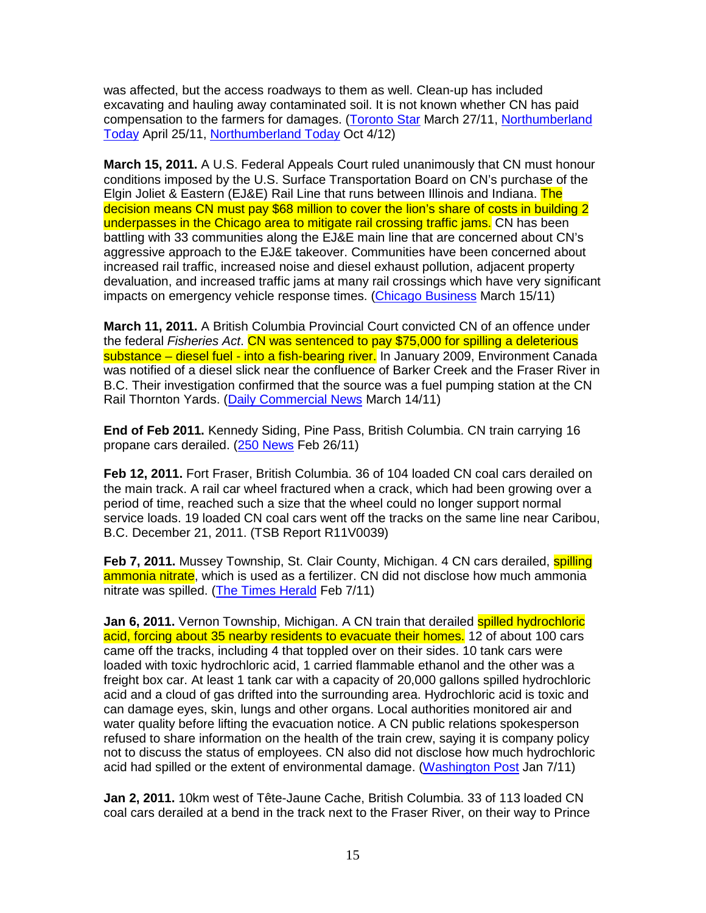was affected, but the access roadways to them as well. Clean-up has included excavating and hauling away contaminated soil. It is not known whether CN has paid compensation to the farmers for damages. (Toronto Star March 27/11, Northumberland Today April 25/11, Northumberland Today Oct 4/12)

**March 15, 2011.** A U.S. Federal Appeals Court ruled unanimously that CN must honour conditions imposed by the U.S. Surface Transportation Board on CN's purchase of the Elgin Joliet & Eastern (EJ&E) Rail Line that runs between Illinois and Indiana. The decision means CN must pay \$68 million to cover the lion's share of costs in building 2 underpasses in the Chicago area to mitigate rail crossing traffic jams. CN has been battling with 33 communities along the EJ&E main line that are concerned about CN's aggressive approach to the EJ&E takeover. Communities have been concerned about increased rail traffic, increased noise and diesel exhaust pollution, adjacent property devaluation, and increased traffic jams at many rail crossings which have very significant impacts on emergency vehicle response times. (Chicago Business March 15/11)

**March 11, 2011.** A British Columbia Provincial Court convicted CN of an offence under the federal Fisheries Act. CN was sentenced to pay \$75,000 for spilling a deleterious substance – diesel fuel - into a fish-bearing river. In January 2009, Environment Canada was notified of a diesel slick near the confluence of Barker Creek and the Fraser River in B.C. Their investigation confirmed that the source was a fuel pumping station at the CN Rail Thornton Yards. (Daily Commercial News March 14/11)

**End of Feb 2011.** Kennedy Siding, Pine Pass, British Columbia. CN train carrying 16 propane cars derailed. (250 News Feb 26/11)

**Feb 12, 2011.** Fort Fraser, British Columbia. 36 of 104 loaded CN coal cars derailed on the main track. A rail car wheel fractured when a crack, which had been growing over a period of time, reached such a size that the wheel could no longer support normal service loads. 19 loaded CN coal cars went off the tracks on the same line near Caribou, B.C. December 21, 2011. (TSB Report R11V0039)

**Feb 7, 2011.** Mussey Township, St. Clair County, Michigan. 4 CN cars derailed, **spilling** ammonia nitrate, which is used as a fertilizer. CN did not disclose how much ammonia nitrate was spilled. (The Times Herald Feb 7/11)

Jan 6, 2011. Vernon Township, Michigan. A CN train that derailed spilled hydrochloric acid, forcing about 35 nearby residents to evacuate their homes. 12 of about 100 cars came off the tracks, including 4 that toppled over on their sides. 10 tank cars were loaded with toxic hydrochloric acid, 1 carried flammable ethanol and the other was a freight box car. At least 1 tank car with a capacity of 20,000 gallons spilled hydrochloric acid and a cloud of gas drifted into the surrounding area. Hydrochloric acid is toxic and can damage eyes, skin, lungs and other organs. Local authorities monitored air and water quality before lifting the evacuation notice. A CN public relations spokesperson refused to share information on the health of the train crew, saying it is company policy not to discuss the status of employees. CN also did not disclose how much hydrochloric acid had spilled or the extent of environmental damage. (Washington Post Jan 7/11)

**Jan 2, 2011.** 10km west of Tête-Jaune Cache, British Columbia. 33 of 113 loaded CN coal cars derailed at a bend in the track next to the Fraser River, on their way to Prince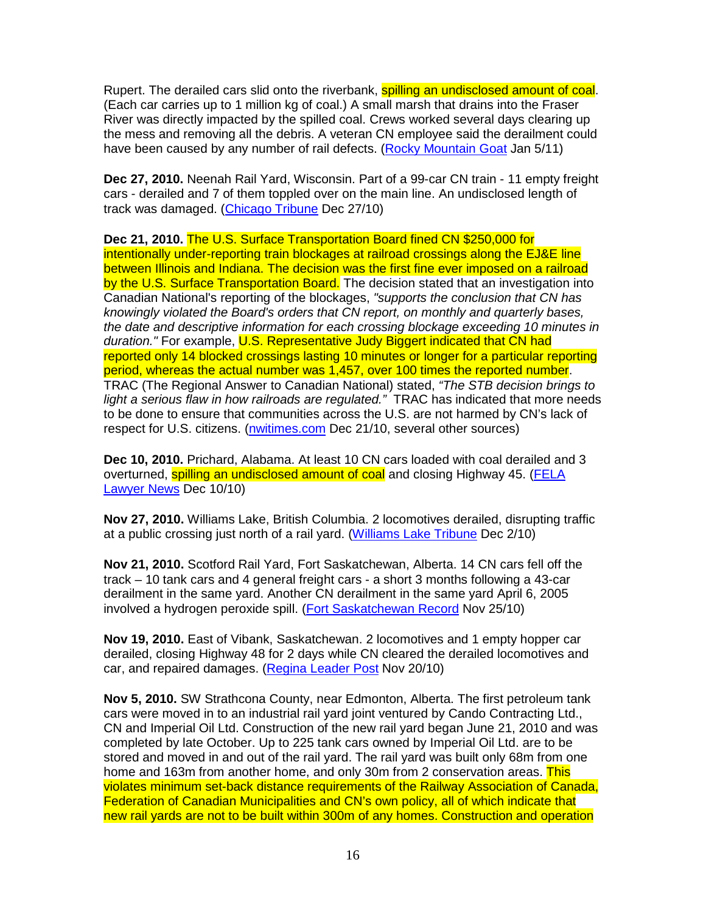Rupert. The derailed cars slid onto the riverbank, **spilling an undisclosed amount of coal**. (Each car carries up to 1 million kg of coal.) A small marsh that drains into the Fraser River was directly impacted by the spilled coal. Crews worked several days clearing up the mess and removing all the debris. A veteran CN employee said the derailment could have been caused by any number of rail defects. (Rocky Mountain Goat Jan 5/11)

**Dec 27, 2010.** Neenah Rail Yard, Wisconsin. Part of a 99-car CN train - 11 empty freight cars - derailed and 7 of them toppled over on the main line. An undisclosed length of track was damaged. (Chicago Tribune Dec 27/10)

**Dec 21, 2010.** The U.S. Surface Transportation Board fined CN \$250,000 for intentionally under-reporting train blockages at railroad crossings along the EJ&E line between Illinois and Indiana. The decision was the first fine ever imposed on a railroad by the U.S. Surface Transportation Board. The decision stated that an investigation into Canadian National's reporting of the blockages, "supports the conclusion that CN has knowingly violated the Board's orders that CN report, on monthly and quarterly bases, the date and descriptive information for each crossing blockage exceeding 10 minutes in duration." For example, U.S. Representative Judy Biggert indicated that CN had reported only 14 blocked crossings lasting 10 minutes or longer for a particular reporting period, whereas the actual number was 1,457, over 100 times the reported number. TRAC (The Regional Answer to Canadian National) stated, "The STB decision brings to light a serious flaw in how railroads are regulated." TRAC has indicated that more needs to be done to ensure that communities across the U.S. are not harmed by CN's lack of respect for U.S. citizens. (nwitimes.com Dec 21/10, several other sources)

**Dec 10, 2010.** Prichard, Alabama. At least 10 CN cars loaded with coal derailed and 3 overturned, **spilling an undisclosed amount of coal** and closing Highway 45. (FELA Lawyer News Dec 10/10)

**Nov 27, 2010.** Williams Lake, British Columbia. 2 locomotives derailed, disrupting traffic at a public crossing just north of a rail yard. (Williams Lake Tribune Dec 2/10)

**Nov 21, 2010.** Scotford Rail Yard, Fort Saskatchewan, Alberta. 14 CN cars fell off the track – 10 tank cars and 4 general freight cars - a short 3 months following a 43-car derailment in the same yard. Another CN derailment in the same yard April 6, 2005 involved a hydrogen peroxide spill. (Fort Saskatchewan Record Nov 25/10)

**Nov 19, 2010.** East of Vibank, Saskatchewan. 2 locomotives and 1 empty hopper car derailed, closing Highway 48 for 2 days while CN cleared the derailed locomotives and car, and repaired damages. (Regina Leader Post Nov 20/10)

**Nov 5, 2010.** SW Strathcona County, near Edmonton, Alberta. The first petroleum tank cars were moved in to an industrial rail yard joint ventured by Cando Contracting Ltd., CN and Imperial Oil Ltd. Construction of the new rail yard began June 21, 2010 and was completed by late October. Up to 225 tank cars owned by Imperial Oil Ltd. are to be stored and moved in and out of the rail yard. The rail yard was built only 68m from one home and 163m from another home, and only 30m from 2 conservation areas. This violates minimum set-back distance requirements of the Railway Association of Canada, Federation of Canadian Municipalities and CN's own policy, all of which indicate that new rail yards are not to be built within 300m of any homes. Construction and operation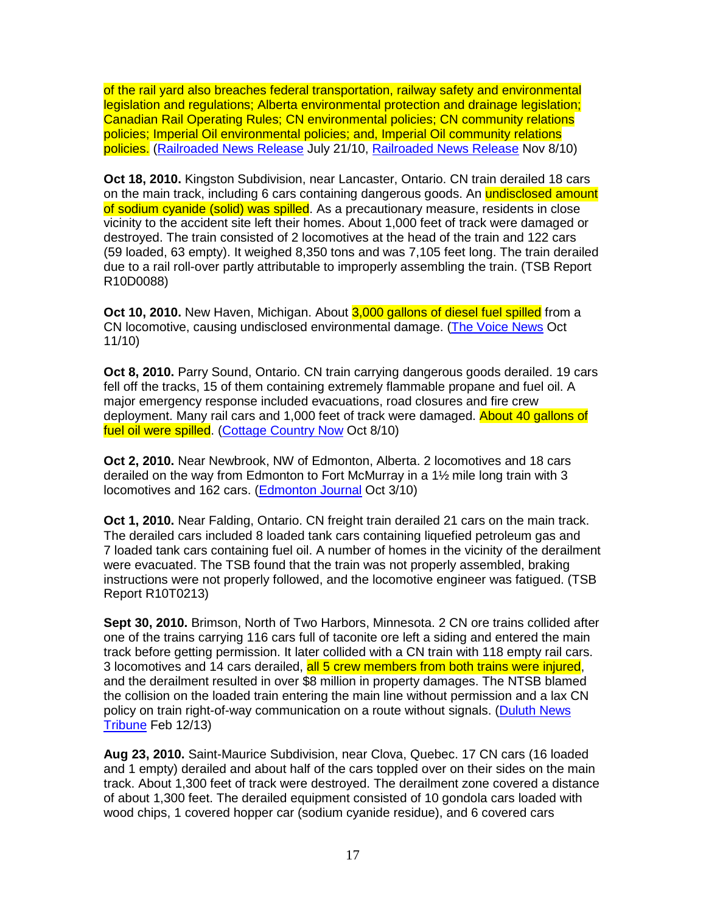of the rail yard also breaches federal transportation, railway safety and environmental legislation and regulations; Alberta environmental protection and drainage legislation; Canadian Rail Operating Rules; CN environmental policies; CN community relations policies; Imperial Oil environmental policies; and, Imperial Oil community relations policies. (Railroaded News Release July 21/10, Railroaded News Release Nov 8/10)

**Oct 18, 2010.** Kingston Subdivision, near Lancaster, Ontario. CN train derailed 18 cars on the main track, including 6 cars containing dangerous goods. An **undisclosed amount** of sodium cyanide (solid) was spilled. As a precautionary measure, residents in close vicinity to the accident site left their homes. About 1,000 feet of track were damaged or destroyed. The train consisted of 2 locomotives at the head of the train and 122 cars (59 loaded, 63 empty). It weighed 8,350 tons and was 7,105 feet long. The train derailed due to a rail roll-over partly attributable to improperly assembling the train. (TSB Report R10D0088)

**Oct 10, 2010.** New Haven, Michigan. About 3,000 gallons of diesel fuel spilled from a CN locomotive, causing undisclosed environmental damage. (The Voice News Oct 11/10)

**Oct 8, 2010.** Parry Sound, Ontario. CN train carrying dangerous goods derailed. 19 cars fell off the tracks, 15 of them containing extremely flammable propane and fuel oil. A major emergency response included evacuations, road closures and fire crew deployment. Many rail cars and 1,000 feet of track were damaged. About 40 gallons of fuel oil were spilled. (Cottage Country Now Oct 8/10)

**Oct 2, 2010.** Near Newbrook, NW of Edmonton, Alberta. 2 locomotives and 18 cars derailed on the way from Edmonton to Fort McMurray in a 1½ mile long train with 3 locomotives and 162 cars. (Edmonton Journal Oct 3/10)

**Oct 1, 2010.** Near Falding, Ontario. CN freight train derailed 21 cars on the main track. The derailed cars included 8 loaded tank cars containing liquefied petroleum gas and 7 loaded tank cars containing fuel oil. A number of homes in the vicinity of the derailment were evacuated. The TSB found that the train was not properly assembled, braking instructions were not properly followed, and the locomotive engineer was fatigued. (TSB Report R10T0213)

**Sept 30, 2010.** Brimson, North of Two Harbors, Minnesota. 2 CN ore trains collided after one of the trains carrying 116 cars full of taconite ore left a siding and entered the main track before getting permission. It later collided with a CN train with 118 empty rail cars. 3 locomotives and 14 cars derailed, all 5 crew members from both trains were injured, and the derailment resulted in over \$8 million in property damages. The NTSB blamed the collision on the loaded train entering the main line without permission and a lax CN policy on train right-of-way communication on a route without signals. (Duluth News Tribune Feb 12/13)

**Aug 23, 2010.** Saint-Maurice Subdivision, near Clova, Quebec. 17 CN cars (16 loaded and 1 empty) derailed and about half of the cars toppled over on their sides on the main track. About 1,300 feet of track were destroyed. The derailment zone covered a distance of about 1,300 feet. The derailed equipment consisted of 10 gondola cars loaded with wood chips, 1 covered hopper car (sodium cyanide residue), and 6 covered cars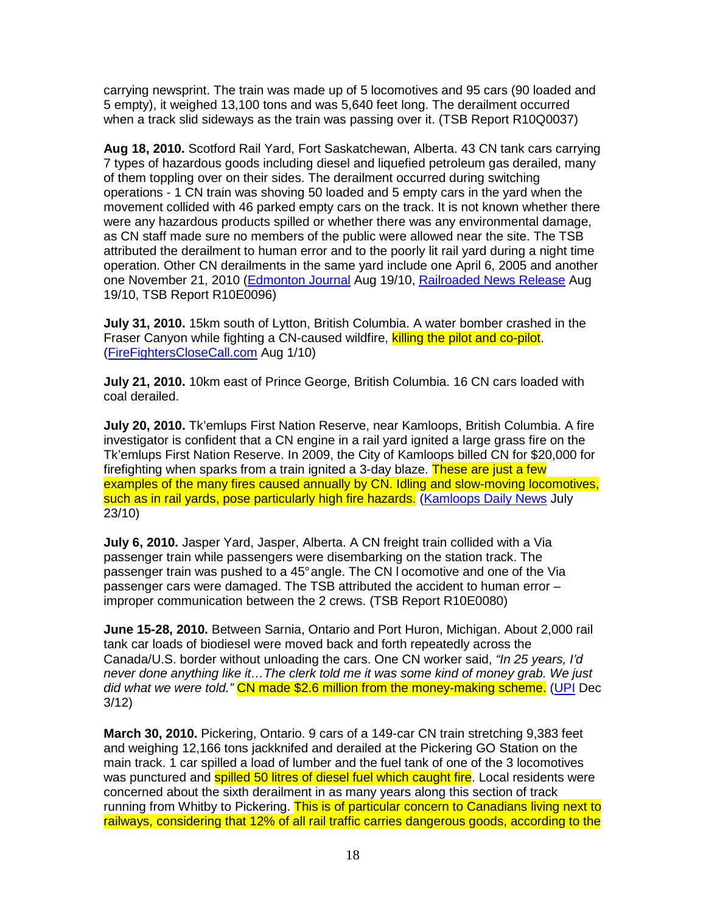carrying newsprint. The train was made up of 5 locomotives and 95 cars (90 loaded and 5 empty), it weighed 13,100 tons and was 5,640 feet long. The derailment occurred when a track slid sideways as the train was passing over it. (TSB Report R10Q0037)

**Aug 18, 2010.** Scotford Rail Yard, Fort Saskatchewan, Alberta. 43 CN tank cars carrying 7 types of hazardous goods including diesel and liquefied petroleum gas derailed, many of them toppling over on their sides. The derailment occurred during switching operations - 1 CN train was shoving 50 loaded and 5 empty cars in the yard when the movement collided with 46 parked empty cars on the track. It is not known whether there were any hazardous products spilled or whether there was any environmental damage, as CN staff made sure no members of the public were allowed near the site. The TSB attributed the derailment to human error and to the poorly lit rail yard during a night time operation. Other CN derailments in the same yard include one April 6, 2005 and another one November 21, 2010 (Edmonton Journal Aug 19/10, Railroaded News Release Aug 19/10, TSB Report R10E0096)

**July 31, 2010.** 15km south of Lytton, British Columbia. A water bomber crashed in the Fraser Canyon while fighting a CN-caused wildfire, killing the pilot and co-pilot. (FireFightersCloseCall.com Aug 1/10)

**July 21, 2010.** 10km east of Prince George, British Columbia. 16 CN cars loaded with coal derailed.

**July 20, 2010.** Tk'emlups First Nation Reserve, near Kamloops, British Columbia. A fire investigator is confident that a CN engine in a rail yard ignited a large grass fire on the Tk'emlups First Nation Reserve. In 2009, the City of Kamloops billed CN for \$20,000 for firefighting when sparks from a train ignited a 3-day blaze. These are just a few examples of the many fires caused annually by CN. Idling and slow-moving locomotives, such as in rail yards, pose particularly high fire hazards. (Kamloops Daily News July 23/10)

**July 6, 2010.** Jasper Yard, Jasper, Alberta. A CN freight train collided with a Via passenger train while passengers were disembarking on the station track. The passenger train was pushed to a 45° angle. The CN l ocomotive and one of the Via passenger cars were damaged. The TSB attributed the accident to human error – improper communication between the 2 crews. (TSB Report R10E0080)

**June 15-28, 2010.** Between Sarnia, Ontario and Port Huron, Michigan. About 2,000 rail tank car loads of biodiesel were moved back and forth repeatedly across the Canada/U.S. border without unloading the cars. One CN worker said, "In 25 years, I'd never done anything like it…The clerk told me it was some kind of money grab. We just did what we were told." CN made \$2.6 million from the money-making scheme. (UPI Dec 3/12)

**March 30, 2010.** Pickering, Ontario. 9 cars of a 149-car CN train stretching 9,383 feet and weighing 12,166 tons jackknifed and derailed at the Pickering GO Station on the main track. 1 car spilled a load of lumber and the fuel tank of one of the 3 locomotives was punctured and **spilled 50 litres of diesel fuel which caught fire**. Local residents were concerned about the sixth derailment in as many years along this section of track running from Whitby to Pickering. This is of particular concern to Canadians living next to railways, considering that 12% of all rail traffic carries dangerous goods, according to the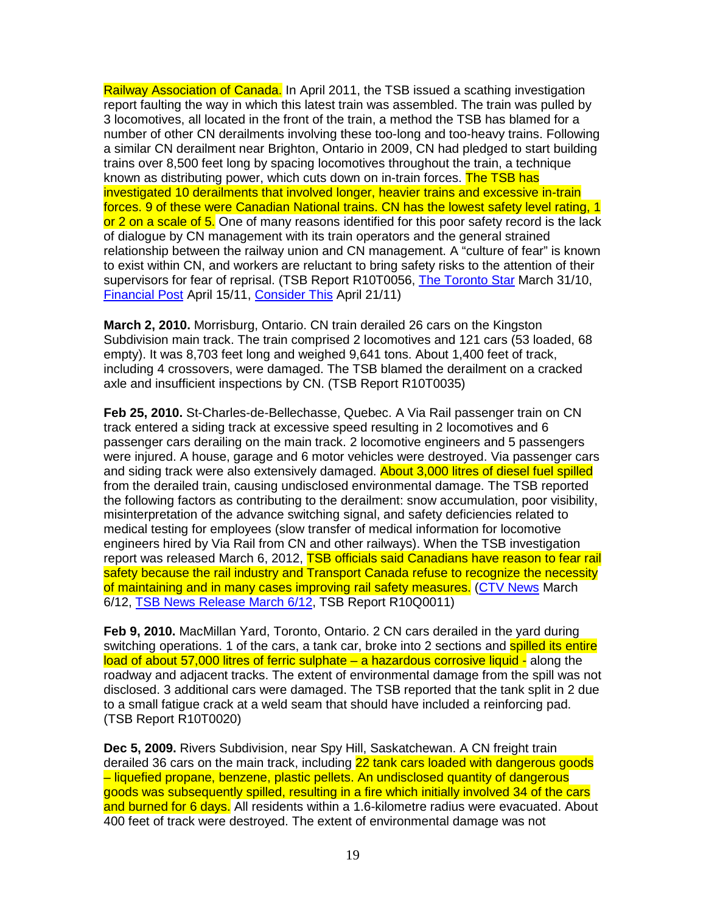Railway Association of Canada. In April 2011, the TSB issued a scathing investigation report faulting the way in which this latest train was assembled. The train was pulled by 3 locomotives, all located in the front of the train, a method the TSB has blamed for a number of other CN derailments involving these too-long and too-heavy trains. Following a similar CN derailment near Brighton, Ontario in 2009, CN had pledged to start building trains over 8,500 feet long by spacing locomotives throughout the train, a technique known as distributing power, which cuts down on in-train forces. The TSB has investigated 10 derailments that involved longer, heavier trains and excessive in-train forces. 9 of these were Canadian National trains. CN has the lowest safety level rating, 1 or 2 on a scale of 5. One of many reasons identified for this poor safety record is the lack of dialogue by CN management with its train operators and the general strained relationship between the railway union and CN management. A "culture of fear" is known to exist within CN, and workers are reluctant to bring safety risks to the attention of their supervisors for fear of reprisal. (TSB Report R10T0056, The Toronto Star March 31/10, Financial Post April 15/11, Consider This April 21/11)

**March 2, 2010.** Morrisburg, Ontario. CN train derailed 26 cars on the Kingston Subdivision main track. The train comprised 2 locomotives and 121 cars (53 loaded, 68 empty). It was 8,703 feet long and weighed 9,641 tons. About 1,400 feet of track, including 4 crossovers, were damaged. The TSB blamed the derailment on a cracked axle and insufficient inspections by CN. (TSB Report R10T0035)

**Feb 25, 2010.** St-Charles-de-Bellechasse, Quebec. A Via Rail passenger train on CN track entered a siding track at excessive speed resulting in 2 locomotives and 6 passenger cars derailing on the main track. 2 locomotive engineers and 5 passengers were injured. A house, garage and 6 motor vehicles were destroyed. Via passenger cars and siding track were also extensively damaged. **About 3,000 litres of diesel fuel spilled** from the derailed train, causing undisclosed environmental damage. The TSB reported the following factors as contributing to the derailment: snow accumulation, poor visibility, misinterpretation of the advance switching signal, and safety deficiencies related to medical testing for employees (slow transfer of medical information for locomotive engineers hired by Via Rail from CN and other railways). When the TSB investigation report was released March 6, 2012, TSB officials said Canadians have reason to fear rail safety because the rail industry and Transport Canada refuse to recognize the necessity of maintaining and in many cases improving rail safety measures. (CTV News March 6/12, TSB News Release March 6/12, TSB Report R10Q0011)

**Feb 9, 2010.** MacMillan Yard, Toronto, Ontario. 2 CN cars derailed in the yard during switching operations. 1 of the cars, a tank car, broke into 2 sections and **spilled its entire** load of about 57,000 litres of ferric sulphate – a hazardous corrosive liquid - along the roadway and adjacent tracks. The extent of environmental damage from the spill was not disclosed. 3 additional cars were damaged. The TSB reported that the tank split in 2 due to a small fatigue crack at a weld seam that should have included a reinforcing pad. (TSB Report R10T0020)

**Dec 5, 2009.** Rivers Subdivision, near Spy Hill, Saskatchewan. A CN freight train derailed 36 cars on the main track, including 22 tank cars loaded with dangerous goods – liquefied propane, benzene, plastic pellets. An undisclosed quantity of dangerous goods was subsequently spilled, resulting in a fire which initially involved 34 of the cars and burned for 6 days. All residents within a 1.6-kilometre radius were evacuated. About 400 feet of track were destroyed. The extent of environmental damage was not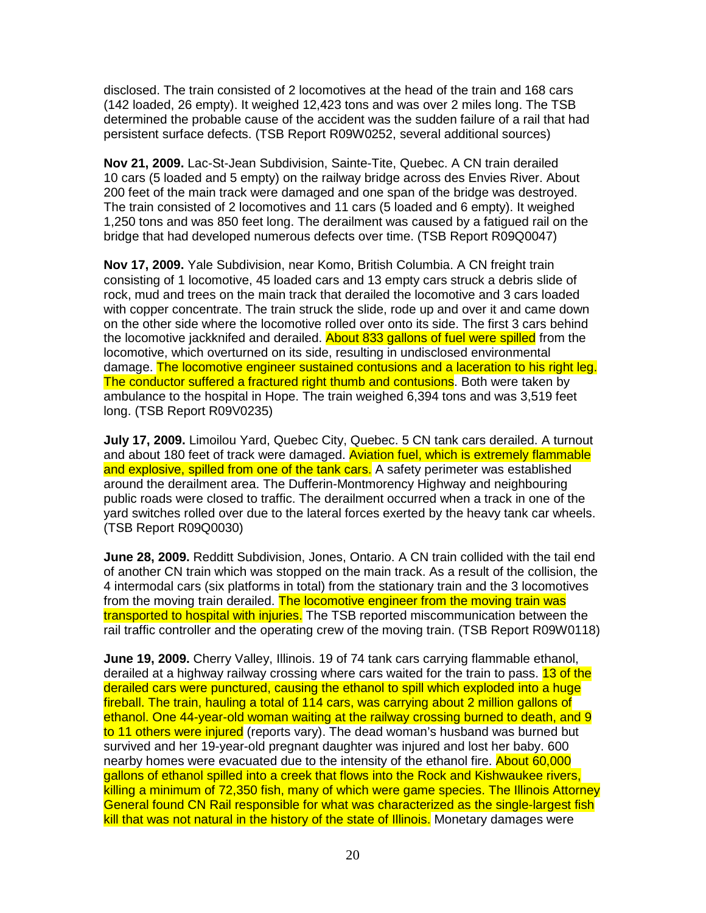disclosed. The train consisted of 2 locomotives at the head of the train and 168 cars (142 loaded, 26 empty). It weighed 12,423 tons and was over 2 miles long. The TSB determined the probable cause of the accident was the sudden failure of a rail that had persistent surface defects. (TSB Report R09W0252, several additional sources)

**Nov 21, 2009.** Lac-St-Jean Subdivision, Sainte-Tite, Quebec. A CN train derailed 10 cars (5 loaded and 5 empty) on the railway bridge across des Envies River. About 200 feet of the main track were damaged and one span of the bridge was destroyed. The train consisted of 2 locomotives and 11 cars (5 loaded and 6 empty). It weighed 1,250 tons and was 850 feet long. The derailment was caused by a fatigued rail on the bridge that had developed numerous defects over time. (TSB Report R09Q0047)

**Nov 17, 2009.** Yale Subdivision, near Komo, British Columbia. A CN freight train consisting of 1 locomotive, 45 loaded cars and 13 empty cars struck a debris slide of rock, mud and trees on the main track that derailed the locomotive and 3 cars loaded with copper concentrate. The train struck the slide, rode up and over it and came down on the other side where the locomotive rolled over onto its side. The first 3 cars behind the locomotive jackknifed and derailed. About 833 gallons of fuel were spilled from the locomotive, which overturned on its side, resulting in undisclosed environmental damage. The locomotive engineer sustained contusions and a laceration to his right leg. The conductor suffered a fractured right thumb and contusions. Both were taken by ambulance to the hospital in Hope. The train weighed 6,394 tons and was 3,519 feet long. (TSB Report R09V0235)

**July 17, 2009.** Limoilou Yard, Quebec City, Quebec. 5 CN tank cars derailed. A turnout and about 180 feet of track were damaged. Aviation fuel, which is extremely flammable and explosive, spilled from one of the tank cars. A safety perimeter was established around the derailment area. The Dufferin-Montmorency Highway and neighbouring public roads were closed to traffic. The derailment occurred when a track in one of the yard switches rolled over due to the lateral forces exerted by the heavy tank car wheels. (TSB Report R09Q0030)

**June 28, 2009.** Redditt Subdivision, Jones, Ontario. A CN train collided with the tail end of another CN train which was stopped on the main track. As a result of the collision, the 4 intermodal cars (six platforms in total) from the stationary train and the 3 locomotives from the moving train derailed. The locomotive engineer from the moving train was transported to hospital with injuries. The TSB reported miscommunication between the rail traffic controller and the operating crew of the moving train. (TSB Report R09W0118)

**June 19, 2009.** Cherry Valley, Illinois. 19 of 74 tank cars carrying flammable ethanol, derailed at a highway railway crossing where cars waited for the train to pass. 13 of the derailed cars were punctured, causing the ethanol to spill which exploded into a huge fireball. The train, hauling a total of 114 cars, was carrying about 2 million gallons of ethanol. One 44-year-old woman waiting at the railway crossing burned to death, and 9 to 11 others were injured (reports vary). The dead woman's husband was burned but survived and her 19-year-old pregnant daughter was injured and lost her baby. 600 nearby homes were evacuated due to the intensity of the ethanol fire. About 60,000 gallons of ethanol spilled into a creek that flows into the Rock and Kishwaukee rivers, killing a minimum of 72,350 fish, many of which were game species. The Illinois Attorney General found CN Rail responsible for what was characterized as the single-largest fish kill that was not natural in the history of the state of Illinois. Monetary damages were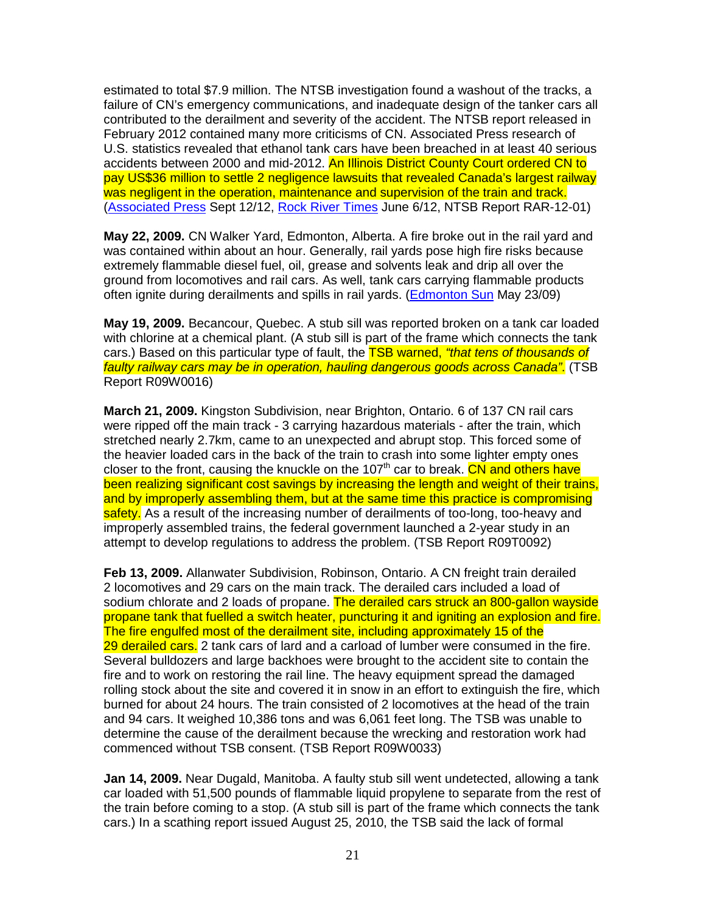estimated to total \$7.9 million. The NTSB investigation found a washout of the tracks, a failure of CN's emergency communications, and inadequate design of the tanker cars all contributed to the derailment and severity of the accident. The NTSB report released in February 2012 contained many more criticisms of CN. Associated Press research of U.S. statistics revealed that ethanol tank cars have been breached in at least 40 serious accidents between 2000 and mid-2012. An Illinois District County Court ordered CN to pay US\$36 million to settle 2 negligence lawsuits that revealed Canada's largest railway was negligent in the operation, maintenance and supervision of the train and track. (Associated Press Sept 12/12, Rock River Times June 6/12, NTSB Report RAR-12-01)

**May 22, 2009.** CN Walker Yard, Edmonton, Alberta. A fire broke out in the rail yard and was contained within about an hour. Generally, rail yards pose high fire risks because extremely flammable diesel fuel, oil, grease and solvents leak and drip all over the ground from locomotives and rail cars. As well, tank cars carrying flammable products often ignite during derailments and spills in rail yards. (Edmonton Sun May 23/09)

**May 19, 2009.** Becancour, Quebec. A stub sill was reported broken on a tank car loaded with chlorine at a chemical plant. (A stub sill is part of the frame which connects the tank cars.) Based on this particular type of fault, the TSB warned, "that tens of thousands of faulty railway cars may be in operation, hauling dangerous goods across Canada". (TSB Report R09W0016)

**March 21, 2009.** Kingston Subdivision, near Brighton, Ontario. 6 of 137 CN rail cars were ripped off the main track - 3 carrying hazardous materials - after the train, which stretched nearly 2.7km, came to an unexpected and abrupt stop. This forced some of the heavier loaded cars in the back of the train to crash into some lighter empty ones closer to the front, causing the knuckle on the 107<sup>th</sup> car to break. CN and others have been realizing significant cost savings by increasing the length and weight of their trains, and by improperly assembling them, but at the same time this practice is compromising safety. As a result of the increasing number of derailments of too-long, too-heavy and improperly assembled trains, the federal government launched a 2-year study in an attempt to develop regulations to address the problem. (TSB Report R09T0092)

**Feb 13, 2009.** Allanwater Subdivision, Robinson, Ontario. A CN freight train derailed 2 locomotives and 29 cars on the main track. The derailed cars included a load of sodium chlorate and 2 loads of propane. The derailed cars struck an 800-gallon wayside propane tank that fuelled a switch heater, puncturing it and igniting an explosion and fire. The fire engulfed most of the derailment site, including approximately 15 of the 29 derailed cars. 2 tank cars of lard and a carload of lumber were consumed in the fire. Several bulldozers and large backhoes were brought to the accident site to contain the fire and to work on restoring the rail line. The heavy equipment spread the damaged rolling stock about the site and covered it in snow in an effort to extinguish the fire, which burned for about 24 hours. The train consisted of 2 locomotives at the head of the train and 94 cars. It weighed 10,386 tons and was 6,061 feet long. The TSB was unable to determine the cause of the derailment because the wrecking and restoration work had commenced without TSB consent. (TSB Report R09W0033)

**Jan 14, 2009.** Near Dugald, Manitoba. A faulty stub sill went undetected, allowing a tank car loaded with 51,500 pounds of flammable liquid propylene to separate from the rest of the train before coming to a stop. (A stub sill is part of the frame which connects the tank cars.) In a scathing report issued August 25, 2010, the TSB said the lack of formal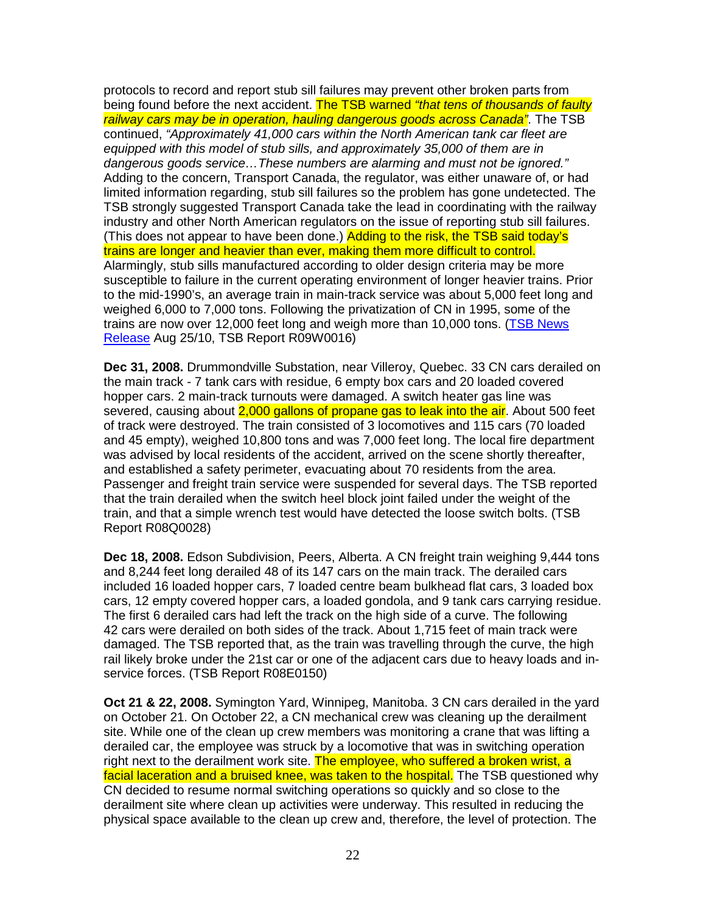protocols to record and report stub sill failures may prevent other broken parts from being found before the next accident. The TSB warned "that tens of thousands of faulty railway cars may be in operation, hauling dangerous goods across Canada". The TSB continued, "Approximately 41,000 cars within the North American tank car fleet are equipped with this model of stub sills, and approximately 35,000 of them are in dangerous goods service…These numbers are alarming and must not be ignored." Adding to the concern, Transport Canada, the regulator, was either unaware of, or had limited information regarding, stub sill failures so the problem has gone undetected. The TSB strongly suggested Transport Canada take the lead in coordinating with the railway industry and other North American regulators on the issue of reporting stub sill failures. (This does not appear to have been done.) Adding to the risk, the TSB said today's trains are longer and heavier than ever, making them more difficult to control. Alarmingly, stub sills manufactured according to older design criteria may be more susceptible to failure in the current operating environment of longer heavier trains. Prior to the mid-1990's, an average train in main-track service was about 5,000 feet long and weighed 6,000 to 7,000 tons. Following the privatization of CN in 1995, some of the trains are now over 12,000 feet long and weigh more than 10,000 tons. (TSB News Release Aug 25/10, TSB Report R09W0016)

**Dec 31, 2008.** Drummondville Substation, near Villeroy, Quebec. 33 CN cars derailed on the main track - 7 tank cars with residue, 6 empty box cars and 20 loaded covered hopper cars. 2 main-track turnouts were damaged. A switch heater gas line was severed, causing about 2,000 gallons of propane gas to leak into the air. About 500 feet of track were destroyed. The train consisted of 3 locomotives and 115 cars (70 loaded and 45 empty), weighed 10,800 tons and was 7,000 feet long. The local fire department was advised by local residents of the accident, arrived on the scene shortly thereafter, and established a safety perimeter, evacuating about 70 residents from the area. Passenger and freight train service were suspended for several days. The TSB reported that the train derailed when the switch heel block joint failed under the weight of the train, and that a simple wrench test would have detected the loose switch bolts. (TSB Report R08Q0028)

**Dec 18, 2008.** Edson Subdivision, Peers, Alberta. A CN freight train weighing 9,444 tons and 8,244 feet long derailed 48 of its 147 cars on the main track. The derailed cars included 16 loaded hopper cars, 7 loaded centre beam bulkhead flat cars, 3 loaded box cars, 12 empty covered hopper cars, a loaded gondola, and 9 tank cars carrying residue. The first 6 derailed cars had left the track on the high side of a curve. The following 42 cars were derailed on both sides of the track. About 1,715 feet of main track were damaged. The TSB reported that, as the train was travelling through the curve, the high rail likely broke under the 21st car or one of the adjacent cars due to heavy loads and inservice forces. (TSB Report R08E0150)

**Oct 21 & 22, 2008.** Symington Yard, Winnipeg, Manitoba. 3 CN cars derailed in the yard on October 21. On October 22, a CN mechanical crew was cleaning up the derailment site. While one of the clean up crew members was monitoring a crane that was lifting a derailed car, the employee was struck by a locomotive that was in switching operation right next to the derailment work site. The employee, who suffered a broken wrist, a facial laceration and a bruised knee, was taken to the hospital. The TSB questioned why CN decided to resume normal switching operations so quickly and so close to the derailment site where clean up activities were underway. This resulted in reducing the physical space available to the clean up crew and, therefore, the level of protection. The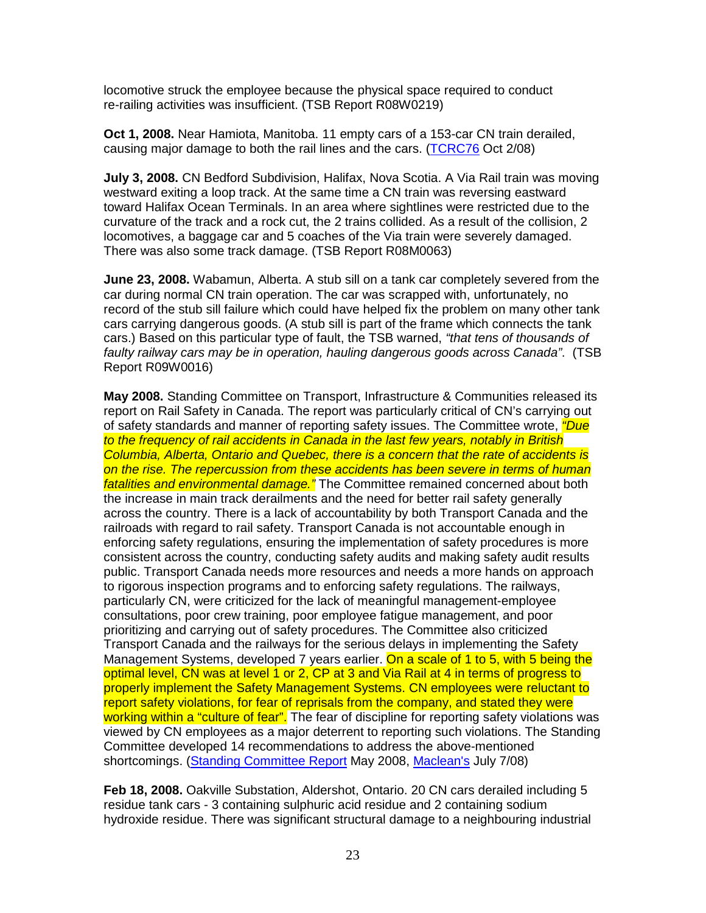locomotive struck the employee because the physical space required to conduct re-railing activities was insufficient. (TSB Report R08W0219)

**Oct 1, 2008.** Near Hamiota, Manitoba. 11 empty cars of a 153-car CN train derailed, causing major damage to both the rail lines and the cars. (TCRC76 Oct 2/08)

**July 3, 2008.** CN Bedford Subdivision, Halifax, Nova Scotia. A Via Rail train was moving westward exiting a loop track. At the same time a CN train was reversing eastward toward Halifax Ocean Terminals. In an area where sightlines were restricted due to the curvature of the track and a rock cut, the 2 trains collided. As a result of the collision, 2 locomotives, a baggage car and 5 coaches of the Via train were severely damaged. There was also some track damage. (TSB Report R08M0063)

**June 23, 2008.** Wabamun, Alberta. A stub sill on a tank car completely severed from the car during normal CN train operation. The car was scrapped with, unfortunately, no record of the stub sill failure which could have helped fix the problem on many other tank cars carrying dangerous goods. (A stub sill is part of the frame which connects the tank cars.) Based on this particular type of fault, the TSB warned, "that tens of thousands of faulty railway cars may be in operation, hauling dangerous goods across Canada". (TSB Report R09W0016)

**May 2008.** Standing Committee on Transport, Infrastructure & Communities released its report on Rail Safety in Canada. The report was particularly critical of CN's carrying out of safety standards and manner of reporting safety issues. The Committee wrote, *"Due* to the frequency of rail accidents in Canada in the last few years, notably in British Columbia, Alberta, Ontario and Quebec, there is a concern that the rate of accidents is on the rise. The repercussion from these accidents has been severe in terms of human fatalities and environmental damage." The Committee remained concerned about both the increase in main track derailments and the need for better rail safety generally across the country. There is a lack of accountability by both Transport Canada and the railroads with regard to rail safety. Transport Canada is not accountable enough in enforcing safety regulations, ensuring the implementation of safety procedures is more consistent across the country, conducting safety audits and making safety audit results public. Transport Canada needs more resources and needs a more hands on approach to rigorous inspection programs and to enforcing safety regulations. The railways, particularly CN, were criticized for the lack of meaningful management-employee consultations, poor crew training, poor employee fatigue management, and poor prioritizing and carrying out of safety procedures. The Committee also criticized Transport Canada and the railways for the serious delays in implementing the Safety Management Systems, developed 7 years earlier. On a scale of 1 to 5, with 5 being the optimal level, CN was at level 1 or 2, CP at 3 and Via Rail at 4 in terms of progress to properly implement the Safety Management Systems. CN employees were reluctant to report safety violations, for fear of reprisals from the company, and stated they were working within a "culture of fear". The fear of discipline for reporting safety violations was viewed by CN employees as a major deterrent to reporting such violations. The Standing Committee developed 14 recommendations to address the above-mentioned shortcomings. (Standing Committee Report May 2008, Maclean's July 7/08)

**Feb 18, 2008.** Oakville Substation, Aldershot, Ontario. 20 CN cars derailed including 5 residue tank cars - 3 containing sulphuric acid residue and 2 containing sodium hydroxide residue. There was significant structural damage to a neighbouring industrial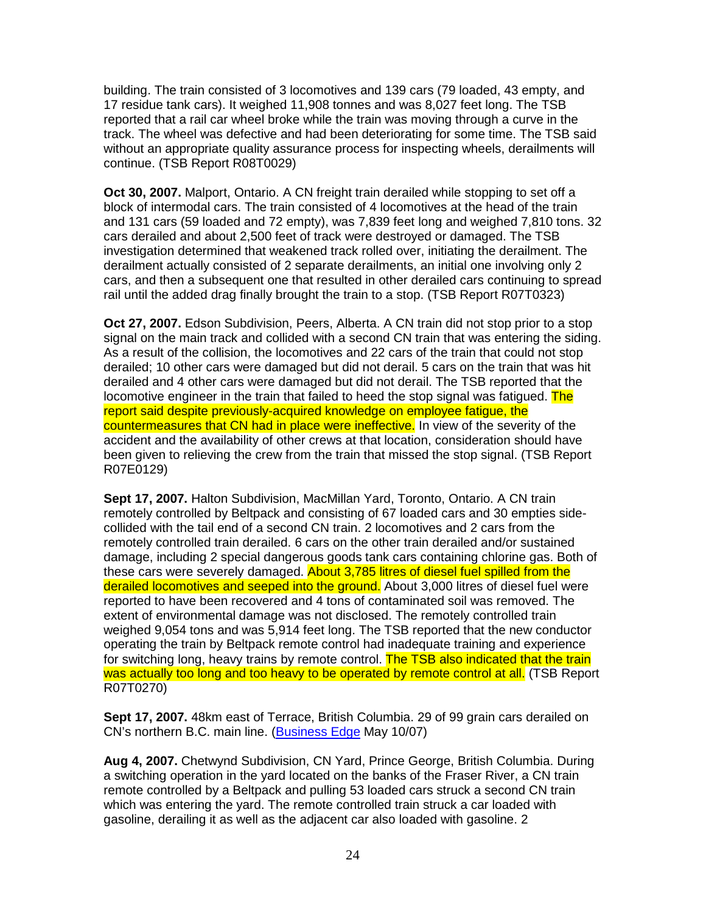building. The train consisted of 3 locomotives and 139 cars (79 loaded, 43 empty, and 17 residue tank cars). It weighed 11,908 tonnes and was 8,027 feet long. The TSB reported that a rail car wheel broke while the train was moving through a curve in the track. The wheel was defective and had been deteriorating for some time. The TSB said without an appropriate quality assurance process for inspecting wheels, derailments will continue. (TSB Report R08T0029)

**Oct 30, 2007.** Malport, Ontario. A CN freight train derailed while stopping to set off a block of intermodal cars. The train consisted of 4 locomotives at the head of the train and 131 cars (59 loaded and 72 empty), was 7,839 feet long and weighed 7,810 tons. 32 cars derailed and about 2,500 feet of track were destroyed or damaged. The TSB investigation determined that weakened track rolled over, initiating the derailment. The derailment actually consisted of 2 separate derailments, an initial one involving only 2 cars, and then a subsequent one that resulted in other derailed cars continuing to spread rail until the added drag finally brought the train to a stop. (TSB Report R07T0323)

**Oct 27, 2007.** Edson Subdivision, Peers, Alberta. A CN train did not stop prior to a stop signal on the main track and collided with a second CN train that was entering the siding. As a result of the collision, the locomotives and 22 cars of the train that could not stop derailed; 10 other cars were damaged but did not derail. 5 cars on the train that was hit derailed and 4 other cars were damaged but did not derail. The TSB reported that the locomotive engineer in the train that failed to heed the stop signal was fatigued. The report said despite previously-acquired knowledge on employee fatigue, the countermeasures that CN had in place were ineffective. In view of the severity of the accident and the availability of other crews at that location, consideration should have been given to relieving the crew from the train that missed the stop signal. (TSB Report R07E0129)

**Sept 17, 2007.** Halton Subdivision, MacMillan Yard, Toronto, Ontario. A CN train remotely controlled by Beltpack and consisting of 67 loaded cars and 30 empties sidecollided with the tail end of a second CN train. 2 locomotives and 2 cars from the remotely controlled train derailed. 6 cars on the other train derailed and/or sustained damage, including 2 special dangerous goods tank cars containing chlorine gas. Both of these cars were severely damaged. About 3,785 litres of diesel fuel spilled from the derailed locomotives and seeped into the ground. About 3,000 litres of diesel fuel were reported to have been recovered and 4 tons of contaminated soil was removed. The extent of environmental damage was not disclosed. The remotely controlled train weighed 9,054 tons and was 5,914 feet long. The TSB reported that the new conductor operating the train by Beltpack remote control had inadequate training and experience for switching long, heavy trains by remote control. The TSB also indicated that the train was actually too long and too heavy to be operated by remote control at all. (TSB Report R07T0270)

**Sept 17, 2007.** 48km east of Terrace, British Columbia. 29 of 99 grain cars derailed on CN's northern B.C. main line. (Business Edge May 10/07)

**Aug 4, 2007.** Chetwynd Subdivision, CN Yard, Prince George, British Columbia. During a switching operation in the yard located on the banks of the Fraser River, a CN train remote controlled by a Beltpack and pulling 53 loaded cars struck a second CN train which was entering the yard. The remote controlled train struck a car loaded with gasoline, derailing it as well as the adjacent car also loaded with gasoline. 2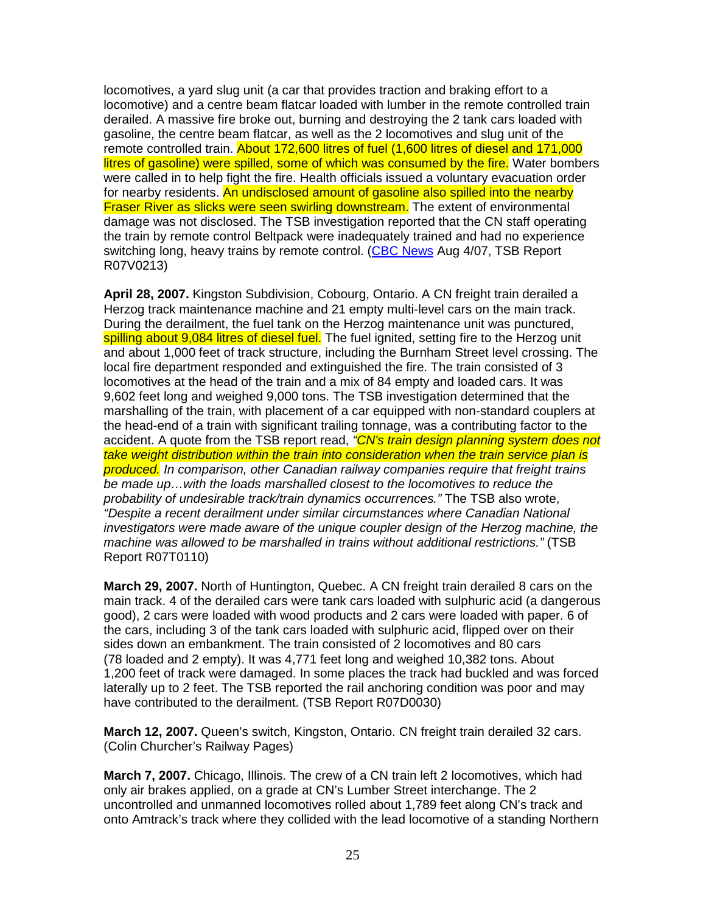locomotives, a yard slug unit (a car that provides traction and braking effort to a locomotive) and a centre beam flatcar loaded with lumber in the remote controlled train derailed. A massive fire broke out, burning and destroying the 2 tank cars loaded with gasoline, the centre beam flatcar, as well as the 2 locomotives and slug unit of the remote controlled train. About 172,600 litres of fuel (1,600 litres of diesel and 171,000 litres of gasoline) were spilled, some of which was consumed by the fire. Water bombers were called in to help fight the fire. Health officials issued a voluntary evacuation order for nearby residents. An undisclosed amount of gasoline also spilled into the nearby Fraser River as slicks were seen swirling downstream. The extent of environmental damage was not disclosed. The TSB investigation reported that the CN staff operating the train by remote control Beltpack were inadequately trained and had no experience switching long, heavy trains by remote control. (CBC News Aug 4/07, TSB Report R07V0213)

**April 28, 2007.** Kingston Subdivision, Cobourg, Ontario. A CN freight train derailed a Herzog track maintenance machine and 21 empty multi-level cars on the main track. During the derailment, the fuel tank on the Herzog maintenance unit was punctured, spilling about 9,084 litres of diesel fuel. The fuel ignited, setting fire to the Herzog unit and about 1,000 feet of track structure, including the Burnham Street level crossing. The local fire department responded and extinguished the fire. The train consisted of 3 locomotives at the head of the train and a mix of 84 empty and loaded cars. It was 9,602 feet long and weighed 9,000 tons. The TSB investigation determined that the marshalling of the train, with placement of a car equipped with non-standard couplers at the head-end of a train with significant trailing tonnage, was a contributing factor to the accident. A quote from the TSB report read, "CN's train design planning system does not take weight distribution within the train into consideration when the train service plan is produced. In comparison, other Canadian railway companies require that freight trains be made up…with the loads marshalled closest to the locomotives to reduce the probability of undesirable track/train dynamics occurrences." The TSB also wrote, "Despite a recent derailment under similar circumstances where Canadian National investigators were made aware of the unique coupler design of the Herzog machine, the machine was allowed to be marshalled in trains without additional restrictions." (TSB Report R07T0110)

**March 29, 2007.** North of Huntington, Quebec. A CN freight train derailed 8 cars on the main track. 4 of the derailed cars were tank cars loaded with sulphuric acid (a dangerous good), 2 cars were loaded with wood products and 2 cars were loaded with paper. 6 of the cars, including 3 of the tank cars loaded with sulphuric acid, flipped over on their sides down an embankment. The train consisted of 2 locomotives and 80 cars (78 loaded and 2 empty). It was 4,771 feet long and weighed 10,382 tons. About 1,200 feet of track were damaged. In some places the track had buckled and was forced laterally up to 2 feet. The TSB reported the rail anchoring condition was poor and may have contributed to the derailment. (TSB Report R07D0030)

**March 12, 2007.** Queen's switch, Kingston, Ontario. CN freight train derailed 32 cars. (Colin Churcher's Railway Pages)

**March 7, 2007.** Chicago, Illinois. The crew of a CN train left 2 locomotives, which had only air brakes applied, on a grade at CN's Lumber Street interchange. The 2 uncontrolled and unmanned locomotives rolled about 1,789 feet along CN's track and onto Amtrack's track where they collided with the lead locomotive of a standing Northern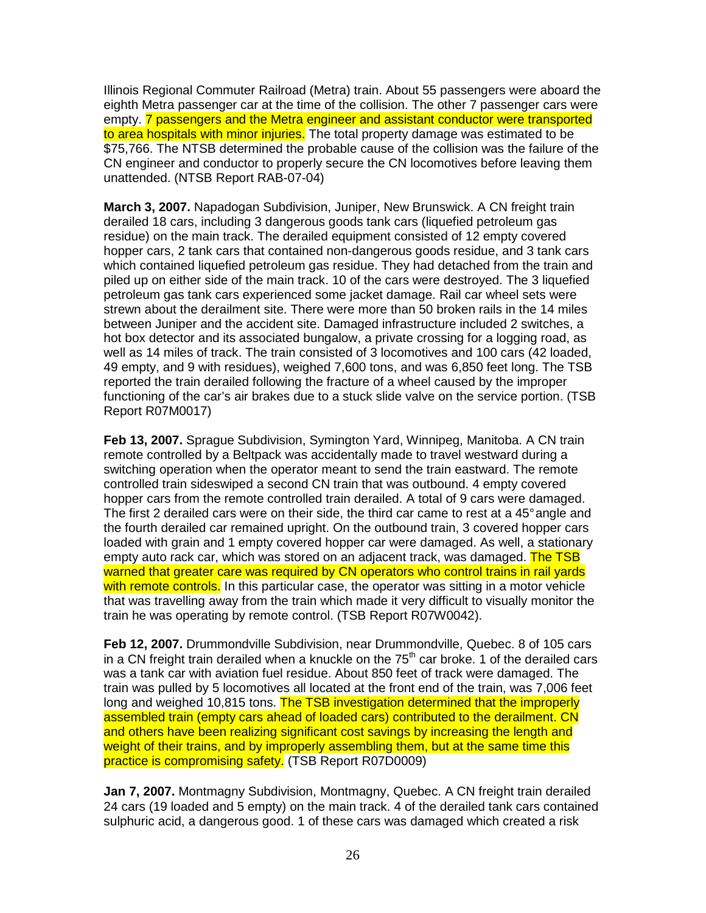Illinois Regional Commuter Railroad (Metra) train. About 55 passengers were aboard the eighth Metra passenger car at the time of the collision. The other 7 passenger cars were empty. 7 passengers and the Metra engineer and assistant conductor were transported to area hospitals with minor injuries. The total property damage was estimated to be \$75,766. The NTSB determined the probable cause of the collision was the failure of the CN engineer and conductor to properly secure the CN locomotives before leaving them unattended. (NTSB Report RAB-07-04)

**March 3, 2007.** Napadogan Subdivision, Juniper, New Brunswick. A CN freight train derailed 18 cars, including 3 dangerous goods tank cars (liquefied petroleum gas residue) on the main track. The derailed equipment consisted of 12 empty covered hopper cars, 2 tank cars that contained non-dangerous goods residue, and 3 tank cars which contained liquefied petroleum gas residue. They had detached from the train and piled up on either side of the main track. 10 of the cars were destroyed. The 3 liquefied petroleum gas tank cars experienced some jacket damage. Rail car wheel sets were strewn about the derailment site. There were more than 50 broken rails in the 14 miles between Juniper and the accident site. Damaged infrastructure included 2 switches, a hot box detector and its associated bungalow, a private crossing for a logging road, as well as 14 miles of track. The train consisted of 3 locomotives and 100 cars (42 loaded, 49 empty, and 9 with residues), weighed 7,600 tons, and was 6,850 feet long. The TSB reported the train derailed following the fracture of a wheel caused by the improper functioning of the car's air brakes due to a stuck slide valve on the service portion. (TSB Report R07M0017)

**Feb 13, 2007.** Sprague Subdivision, Symington Yard, Winnipeg, Manitoba. A CN train remote controlled by a Beltpack was accidentally made to travel westward during a switching operation when the operator meant to send the train eastward. The remote controlled train sideswiped a second CN train that was outbound. 4 empty covered hopper cars from the remote controlled train derailed. A total of 9 cars were damaged. The first 2 derailed cars were on their side, the third car came to rest at a 45° angle and the fourth derailed car remained upright. On the outbound train, 3 covered hopper cars loaded with grain and 1 empty covered hopper car were damaged. As well, a stationary empty auto rack car, which was stored on an adjacent track, was damaged. The TSB warned that greater care was required by CN operators who control trains in rail yards with remote controls. In this particular case, the operator was sitting in a motor vehicle that was travelling away from the train which made it very difficult to visually monitor the train he was operating by remote control. (TSB Report R07W0042).

**Feb 12, 2007.** Drummondville Subdivision, near Drummondville, Quebec. 8 of 105 cars in a CN freight train derailed when a knuckle on the  $75<sup>th</sup>$  car broke. 1 of the derailed cars was a tank car with aviation fuel residue. About 850 feet of track were damaged. The train was pulled by 5 locomotives all located at the front end of the train, was 7,006 feet long and weighed 10,815 tons. The TSB investigation determined that the improperly assembled train (empty cars ahead of loaded cars) contributed to the derailment. CN and others have been realizing significant cost savings by increasing the length and weight of their trains, and by improperly assembling them, but at the same time this practice is compromising safety. (TSB Report R07D0009)

**Jan 7, 2007.** Montmagny Subdivision, Montmagny, Quebec. A CN freight train derailed 24 cars (19 loaded and 5 empty) on the main track. 4 of the derailed tank cars contained sulphuric acid, a dangerous good. 1 of these cars was damaged which created a risk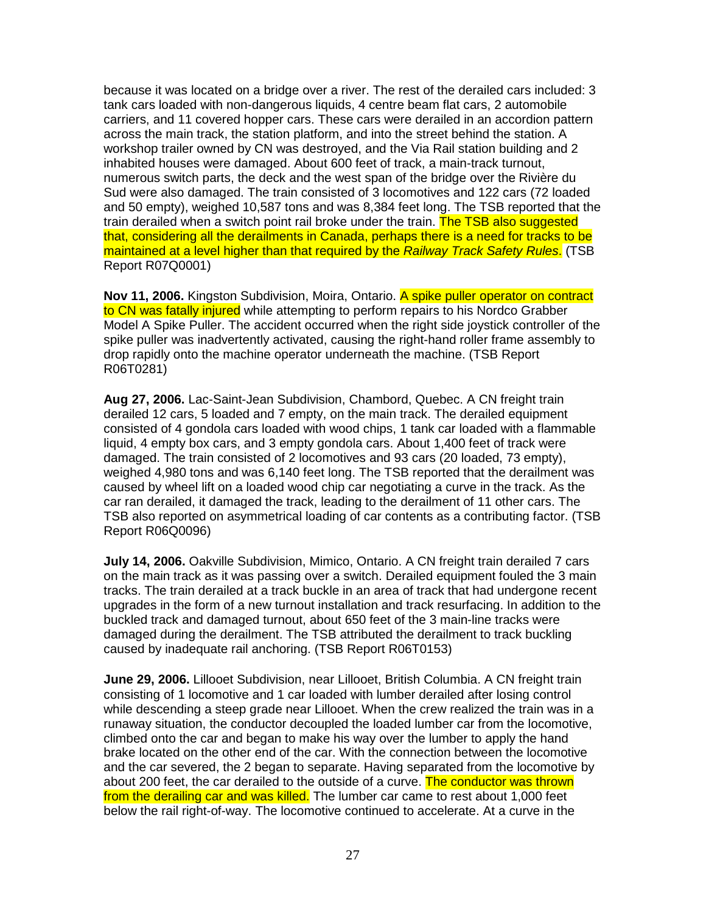because it was located on a bridge over a river. The rest of the derailed cars included: 3 tank cars loaded with non-dangerous liquids, 4 centre beam flat cars, 2 automobile carriers, and 11 covered hopper cars. These cars were derailed in an accordion pattern across the main track, the station platform, and into the street behind the station. A workshop trailer owned by CN was destroyed, and the Via Rail station building and 2 inhabited houses were damaged. About 600 feet of track, a main-track turnout, numerous switch parts, the deck and the west span of the bridge over the Rivière du Sud were also damaged. The train consisted of 3 locomotives and 122 cars (72 loaded and 50 empty), weighed 10,587 tons and was 8,384 feet long. The TSB reported that the train derailed when a switch point rail broke under the train. The TSB also suggested that, considering all the derailments in Canada, perhaps there is a need for tracks to be maintained at a level higher than that required by the Railway Track Safety Rules. (TSB Report R07Q0001)

**Nov 11, 2006.** Kingston Subdivision, Moira, Ontario. A spike puller operator on contract to CN was fatally injured while attempting to perform repairs to his Nordco Grabber Model A Spike Puller. The accident occurred when the right side joystick controller of the spike puller was inadvertently activated, causing the right-hand roller frame assembly to drop rapidly onto the machine operator underneath the machine. (TSB Report R06T0281)

**Aug 27, 2006.** Lac-Saint-Jean Subdivision, Chambord, Quebec. A CN freight train derailed 12 cars, 5 loaded and 7 empty, on the main track. The derailed equipment consisted of 4 gondola cars loaded with wood chips, 1 tank car loaded with a flammable liquid, 4 empty box cars, and 3 empty gondola cars. About 1,400 feet of track were damaged. The train consisted of 2 locomotives and 93 cars (20 loaded, 73 empty), weighed 4,980 tons and was 6,140 feet long. The TSB reported that the derailment was caused by wheel lift on a loaded wood chip car negotiating a curve in the track. As the car ran derailed, it damaged the track, leading to the derailment of 11 other cars. The TSB also reported on asymmetrical loading of car contents as a contributing factor. (TSB Report R06Q0096)

**July 14, 2006.** Oakville Subdivision, Mimico, Ontario. A CN freight train derailed 7 cars on the main track as it was passing over a switch. Derailed equipment fouled the 3 main tracks. The train derailed at a track buckle in an area of track that had undergone recent upgrades in the form of a new turnout installation and track resurfacing. In addition to the buckled track and damaged turnout, about 650 feet of the 3 main-line tracks were damaged during the derailment. The TSB attributed the derailment to track buckling caused by inadequate rail anchoring. (TSB Report R06T0153)

**June 29, 2006.** Lillooet Subdivision, near Lillooet, British Columbia. A CN freight train consisting of 1 locomotive and 1 car loaded with lumber derailed after losing control while descending a steep grade near Lillooet. When the crew realized the train was in a runaway situation, the conductor decoupled the loaded lumber car from the locomotive, climbed onto the car and began to make his way over the lumber to apply the hand brake located on the other end of the car. With the connection between the locomotive and the car severed, the 2 began to separate. Having separated from the locomotive by about 200 feet, the car derailed to the outside of a curve. The conductor was thrown from the derailing car and was killed. The lumber car came to rest about 1,000 feet below the rail right-of-way. The locomotive continued to accelerate. At a curve in the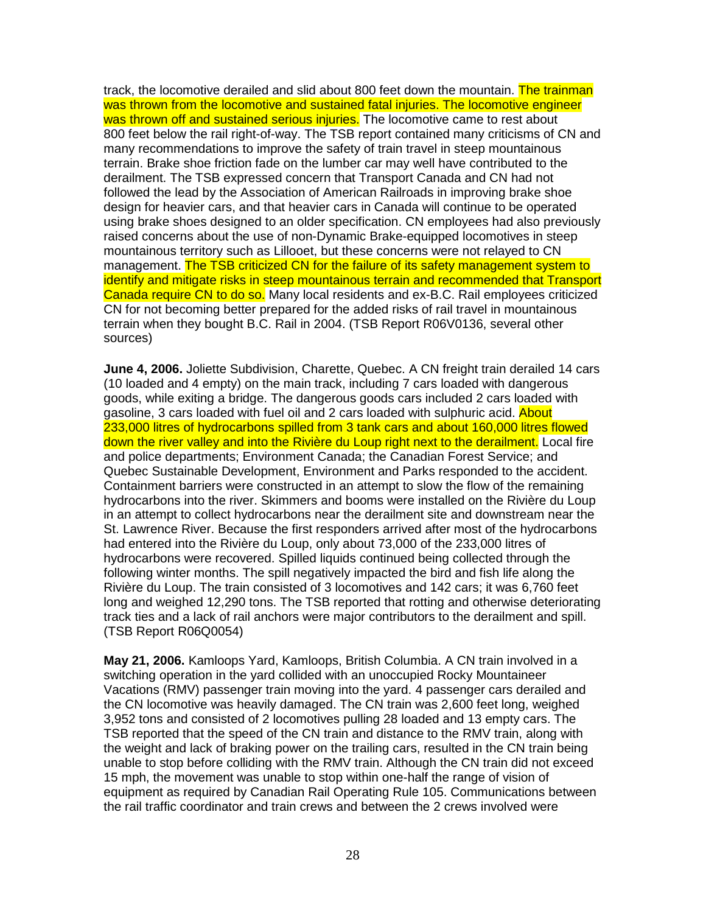track, the locomotive derailed and slid about 800 feet down the mountain. The trainman was thrown from the locomotive and sustained fatal injuries. The locomotive engineer was thrown off and sustained serious injuries. The locomotive came to rest about 800 feet below the rail right-of-way. The TSB report contained many criticisms of CN and many recommendations to improve the safety of train travel in steep mountainous terrain. Brake shoe friction fade on the lumber car may well have contributed to the derailment. The TSB expressed concern that Transport Canada and CN had not followed the lead by the Association of American Railroads in improving brake shoe design for heavier cars, and that heavier cars in Canada will continue to be operated using brake shoes designed to an older specification. CN employees had also previously raised concerns about the use of non-Dynamic Brake-equipped locomotives in steep mountainous territory such as Lillooet, but these concerns were not relayed to CN management. The TSB criticized CN for the failure of its safety management system to identify and mitigate risks in steep mountainous terrain and recommended that Transport Canada require CN to do so. Many local residents and ex-B.C. Rail employees criticized CN for not becoming better prepared for the added risks of rail travel in mountainous terrain when they bought B.C. Rail in 2004. (TSB Report R06V0136, several other sources)

**June 4, 2006.** Joliette Subdivision, Charette, Quebec. A CN freight train derailed 14 cars (10 loaded and 4 empty) on the main track, including 7 cars loaded with dangerous goods, while exiting a bridge. The dangerous goods cars included 2 cars loaded with gasoline, 3 cars loaded with fuel oil and 2 cars loaded with sulphuric acid. About 233,000 litres of hydrocarbons spilled from 3 tank cars and about 160,000 litres flowed down the river valley and into the Rivière du Loup right next to the derailment. Local fire and police departments; Environment Canada; the Canadian Forest Service; and Quebec Sustainable Development, Environment and Parks responded to the accident. Containment barriers were constructed in an attempt to slow the flow of the remaining hydrocarbons into the river. Skimmers and booms were installed on the Rivière du Loup in an attempt to collect hydrocarbons near the derailment site and downstream near the St. Lawrence River. Because the first responders arrived after most of the hydrocarbons had entered into the Rivière du Loup, only about 73,000 of the 233,000 litres of hydrocarbons were recovered. Spilled liquids continued being collected through the following winter months. The spill negatively impacted the bird and fish life along the Rivière du Loup. The train consisted of 3 locomotives and 142 cars; it was 6,760 feet long and weighed 12,290 tons. The TSB reported that rotting and otherwise deteriorating track ties and a lack of rail anchors were major contributors to the derailment and spill. (TSB Report R06Q0054)

**May 21, 2006.** Kamloops Yard, Kamloops, British Columbia. A CN train involved in a switching operation in the yard collided with an unoccupied Rocky Mountaineer Vacations (RMV) passenger train moving into the yard. 4 passenger cars derailed and the CN locomotive was heavily damaged. The CN train was 2,600 feet long, weighed 3,952 tons and consisted of 2 locomotives pulling 28 loaded and 13 empty cars. The TSB reported that the speed of the CN train and distance to the RMV train, along with the weight and lack of braking power on the trailing cars, resulted in the CN train being unable to stop before colliding with the RMV train. Although the CN train did not exceed 15 mph, the movement was unable to stop within one-half the range of vision of equipment as required by Canadian Rail Operating Rule 105. Communications between the rail traffic coordinator and train crews and between the 2 crews involved were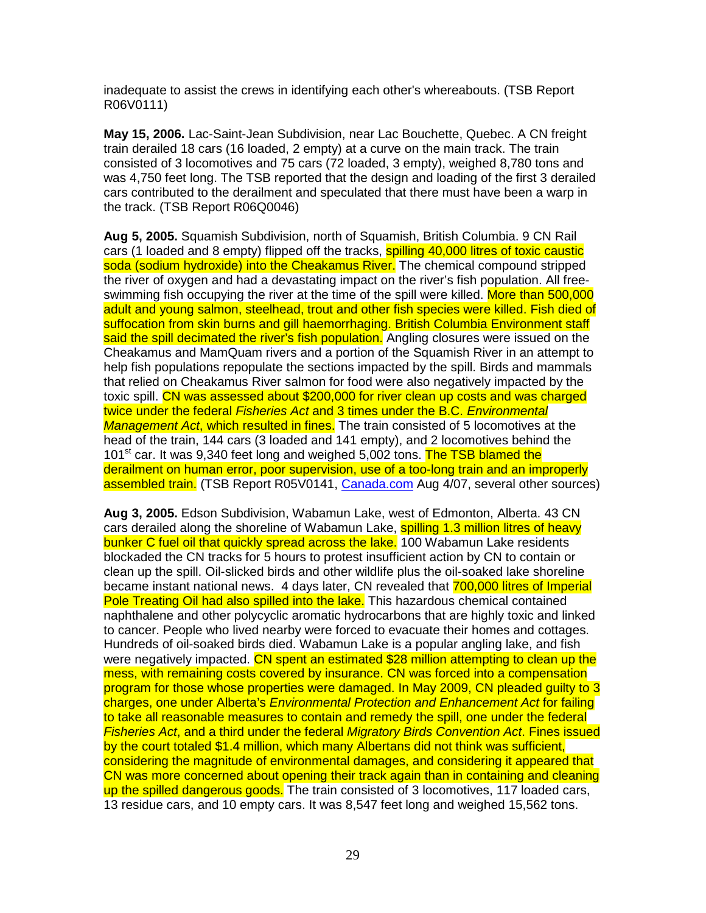inadequate to assist the crews in identifying each other's whereabouts. (TSB Report R06V0111)

**May 15, 2006.** Lac-Saint-Jean Subdivision, near Lac Bouchette, Quebec. A CN freight train derailed 18 cars (16 loaded, 2 empty) at a curve on the main track. The train consisted of 3 locomotives and 75 cars (72 loaded, 3 empty), weighed 8,780 tons and was 4,750 feet long. The TSB reported that the design and loading of the first 3 derailed cars contributed to the derailment and speculated that there must have been a warp in the track. (TSB Report R06Q0046)

**Aug 5, 2005.** Squamish Subdivision, north of Squamish, British Columbia. 9 CN Rail cars (1 loaded and 8 empty) flipped off the tracks, **spilling 40,000 litres of toxic caustic** soda (sodium hydroxide) into the Cheakamus River. The chemical compound stripped the river of oxygen and had a devastating impact on the river's fish population. All freeswimming fish occupying the river at the time of the spill were killed. More than 500,000 adult and young salmon, steelhead, trout and other fish species were killed. Fish died of suffocation from skin burns and gill haemorrhaging. British Columbia Environment staff said the spill decimated the river's fish population. Angling closures were issued on the Cheakamus and MamQuam rivers and a portion of the Squamish River in an attempt to help fish populations repopulate the sections impacted by the spill. Birds and mammals that relied on Cheakamus River salmon for food were also negatively impacted by the toxic spill. CN was assessed about \$200,000 for river clean up costs and was charged twice under the federal Fisheries Act and 3 times under the B.C. Environmental Management Act, which resulted in fines. The train consisted of 5 locomotives at the head of the train, 144 cars (3 loaded and 141 empty), and 2 locomotives behind the 101<sup>st</sup> car. It was 9,340 feet long and weighed 5,002 tons. The TSB blamed the derailment on human error, poor supervision, use of a too-long train and an improperly assembled train. (TSB Report R05V0141, Canada.com Aug 4/07, several other sources)

**Aug 3, 2005.** Edson Subdivision, Wabamun Lake, west of Edmonton, Alberta. 43 CN cars derailed along the shoreline of Wabamun Lake, spilling 1.3 million litres of heavy bunker C fuel oil that quickly spread across the lake. 100 Wabamun Lake residents blockaded the CN tracks for 5 hours to protest insufficient action by CN to contain or clean up the spill. Oil-slicked birds and other wildlife plus the oil-soaked lake shoreline became instant national news. 4 days later, CN revealed that 700,000 litres of Imperial Pole Treating Oil had also spilled into the lake. This hazardous chemical contained naphthalene and other polycyclic aromatic hydrocarbons that are highly toxic and linked to cancer. People who lived nearby were forced to evacuate their homes and cottages. Hundreds of oil-soaked birds died. Wabamun Lake is a popular angling lake, and fish were negatively impacted. CN spent an estimated \$28 million attempting to clean up the mess, with remaining costs covered by insurance. CN was forced into a compensation program for those whose properties were damaged. In May 2009, CN pleaded guilty to 3 charges, one under Alberta's Environmental Protection and Enhancement Act for failing to take all reasonable measures to contain and remedy the spill, one under the federal Fisheries Act, and a third under the federal Migratory Birds Convention Act. Fines issued by the court totaled \$1.4 million, which many Albertans did not think was sufficient, considering the magnitude of environmental damages, and considering it appeared that CN was more concerned about opening their track again than in containing and cleaning up the spilled dangerous goods. The train consisted of 3 locomotives, 117 loaded cars, 13 residue cars, and 10 empty cars. It was 8,547 feet long and weighed 15,562 tons.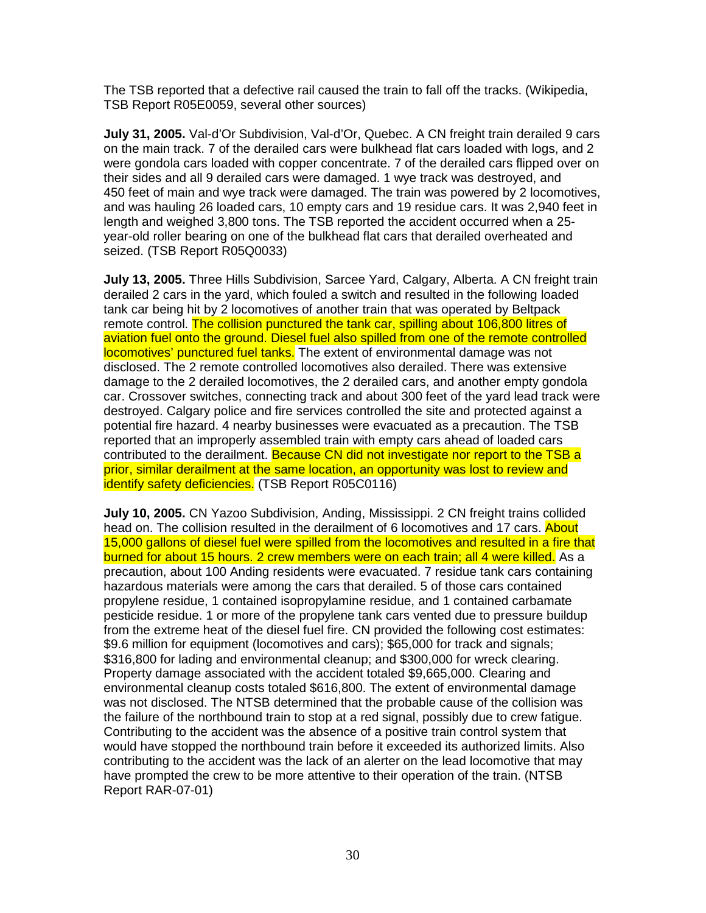The TSB reported that a defective rail caused the train to fall off the tracks. (Wikipedia, TSB Report R05E0059, several other sources)

**July 31, 2005.** Val-d'Or Subdivision, Val-d'Or, Quebec. A CN freight train derailed 9 cars on the main track. 7 of the derailed cars were bulkhead flat cars loaded with logs, and 2 were gondola cars loaded with copper concentrate. 7 of the derailed cars flipped over on their sides and all 9 derailed cars were damaged. 1 wye track was destroyed, and 450 feet of main and wye track were damaged. The train was powered by 2 locomotives, and was hauling 26 loaded cars, 10 empty cars and 19 residue cars. It was 2,940 feet in length and weighed 3,800 tons. The TSB reported the accident occurred when a 25 year-old roller bearing on one of the bulkhead flat cars that derailed overheated and seized. (TSB Report R05Q0033)

**July 13, 2005.** Three Hills Subdivision, Sarcee Yard, Calgary, Alberta. A CN freight train derailed 2 cars in the yard, which fouled a switch and resulted in the following loaded tank car being hit by 2 locomotives of another train that was operated by Beltpack remote control. The collision punctured the tank car, spilling about 106,800 litres of aviation fuel onto the ground. Diesel fuel also spilled from one of the remote controlled locomotives' punctured fuel tanks. The extent of environmental damage was not disclosed. The 2 remote controlled locomotives also derailed. There was extensive damage to the 2 derailed locomotives, the 2 derailed cars, and another empty gondola car. Crossover switches, connecting track and about 300 feet of the yard lead track were destroyed. Calgary police and fire services controlled the site and protected against a potential fire hazard. 4 nearby businesses were evacuated as a precaution. The TSB reported that an improperly assembled train with empty cars ahead of loaded cars contributed to the derailment. Because CN did not investigate nor report to the TSB a prior, similar derailment at the same location, an opportunity was lost to review and identify safety deficiencies. (TSB Report R05C0116)

**July 10, 2005.** CN Yazoo Subdivision, Anding, Mississippi. 2 CN freight trains collided head on. The collision resulted in the derailment of 6 locomotives and 17 cars. About 15,000 gallons of diesel fuel were spilled from the locomotives and resulted in a fire that burned for about 15 hours. 2 crew members were on each train; all 4 were killed. As a precaution, about 100 Anding residents were evacuated. 7 residue tank cars containing hazardous materials were among the cars that derailed. 5 of those cars contained propylene residue, 1 contained isopropylamine residue, and 1 contained carbamate pesticide residue. 1 or more of the propylene tank cars vented due to pressure buildup from the extreme heat of the diesel fuel fire. CN provided the following cost estimates: \$9.6 million for equipment (locomotives and cars); \$65,000 for track and signals; \$316,800 for lading and environmental cleanup; and \$300,000 for wreck clearing. Property damage associated with the accident totaled \$9,665,000. Clearing and environmental cleanup costs totaled \$616,800. The extent of environmental damage was not disclosed. The NTSB determined that the probable cause of the collision was the failure of the northbound train to stop at a red signal, possibly due to crew fatigue. Contributing to the accident was the absence of a positive train control system that would have stopped the northbound train before it exceeded its authorized limits. Also contributing to the accident was the lack of an alerter on the lead locomotive that may have prompted the crew to be more attentive to their operation of the train. (NTSB Report RAR-07-01)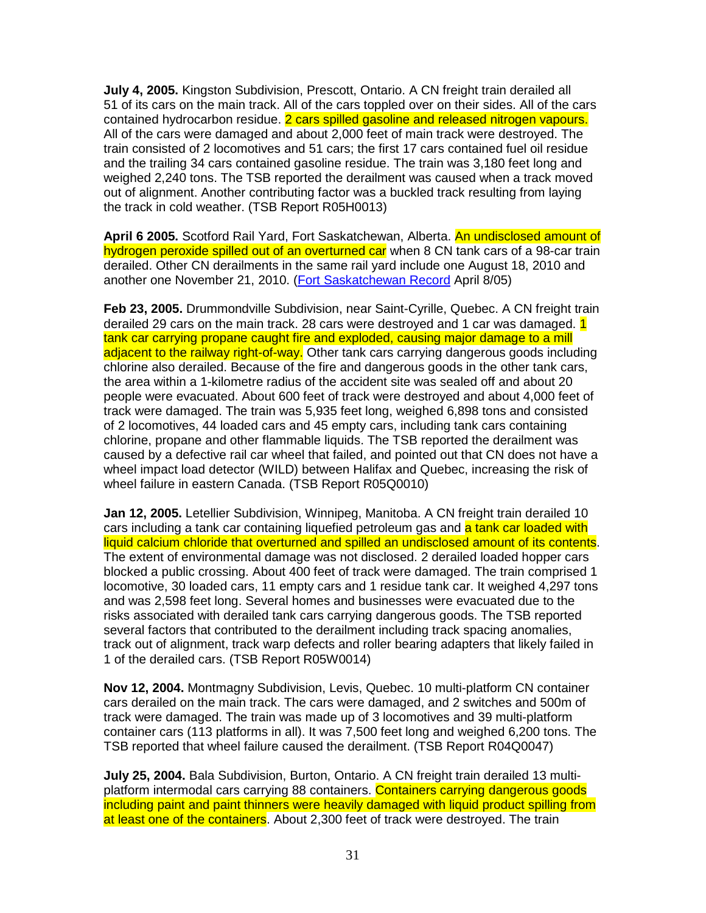**July 4, 2005.** Kingston Subdivision, Prescott, Ontario. A CN freight train derailed all 51 of its cars on the main track. All of the cars toppled over on their sides. All of the cars contained hydrocarbon residue. 2 cars spilled gasoline and released nitrogen vapours. All of the cars were damaged and about 2,000 feet of main track were destroyed. The train consisted of 2 locomotives and 51 cars; the first 17 cars contained fuel oil residue and the trailing 34 cars contained gasoline residue. The train was 3,180 feet long and weighed 2,240 tons. The TSB reported the derailment was caused when a track moved out of alignment. Another contributing factor was a buckled track resulting from laying the track in cold weather. (TSB Report R05H0013)

**April 6 2005.** Scotford Rail Yard, Fort Saskatchewan, Alberta. An undisclosed amount of hydrogen peroxide spilled out of an overturned car when 8 CN tank cars of a 98-car train derailed. Other CN derailments in the same rail yard include one August 18, 2010 and another one November 21, 2010. (Fort Saskatchewan Record April 8/05)

**Feb 23, 2005.** Drummondville Subdivision, near Saint-Cyrille, Quebec. A CN freight train derailed 29 cars on the main track. 28 cars were destroyed and 1 car was damaged. 1 tank car carrying propane caught fire and exploded, causing major damage to a mill adjacent to the railway right-of-way. Other tank cars carrying dangerous goods including chlorine also derailed. Because of the fire and dangerous goods in the other tank cars, the area within a 1-kilometre radius of the accident site was sealed off and about 20 people were evacuated. About 600 feet of track were destroyed and about 4,000 feet of track were damaged. The train was 5,935 feet long, weighed 6,898 tons and consisted of 2 locomotives, 44 loaded cars and 45 empty cars, including tank cars containing chlorine, propane and other flammable liquids. The TSB reported the derailment was caused by a defective rail car wheel that failed, and pointed out that CN does not have a wheel impact load detector (WILD) between Halifax and Quebec, increasing the risk of wheel failure in eastern Canada. (TSB Report R05Q0010)

**Jan 12, 2005.** Letellier Subdivision, Winnipeg, Manitoba. A CN freight train derailed 10 cars including a tank car containing liquefied petroleum gas and a tank car loaded with liquid calcium chloride that overturned and spilled an undisclosed amount of its contents. The extent of environmental damage was not disclosed. 2 derailed loaded hopper cars blocked a public crossing. About 400 feet of track were damaged. The train comprised 1 locomotive, 30 loaded cars, 11 empty cars and 1 residue tank car. It weighed 4,297 tons and was 2,598 feet long. Several homes and businesses were evacuated due to the risks associated with derailed tank cars carrying dangerous goods. The TSB reported several factors that contributed to the derailment including track spacing anomalies, track out of alignment, track warp defects and roller bearing adapters that likely failed in 1 of the derailed cars. (TSB Report R05W0014)

**Nov 12, 2004.** Montmagny Subdivision, Levis, Quebec. 10 multi-platform CN container cars derailed on the main track. The cars were damaged, and 2 switches and 500m of track were damaged. The train was made up of 3 locomotives and 39 multi-platform container cars (113 platforms in all). It was 7,500 feet long and weighed 6,200 tons. The TSB reported that wheel failure caused the derailment. (TSB Report R04Q0047)

**July 25, 2004.** Bala Subdivision, Burton, Ontario. A CN freight train derailed 13 multiplatform intermodal cars carrying 88 containers. Containers carrying dangerous goods including paint and paint thinners were heavily damaged with liquid product spilling from at least one of the containers. About 2,300 feet of track were destroyed. The train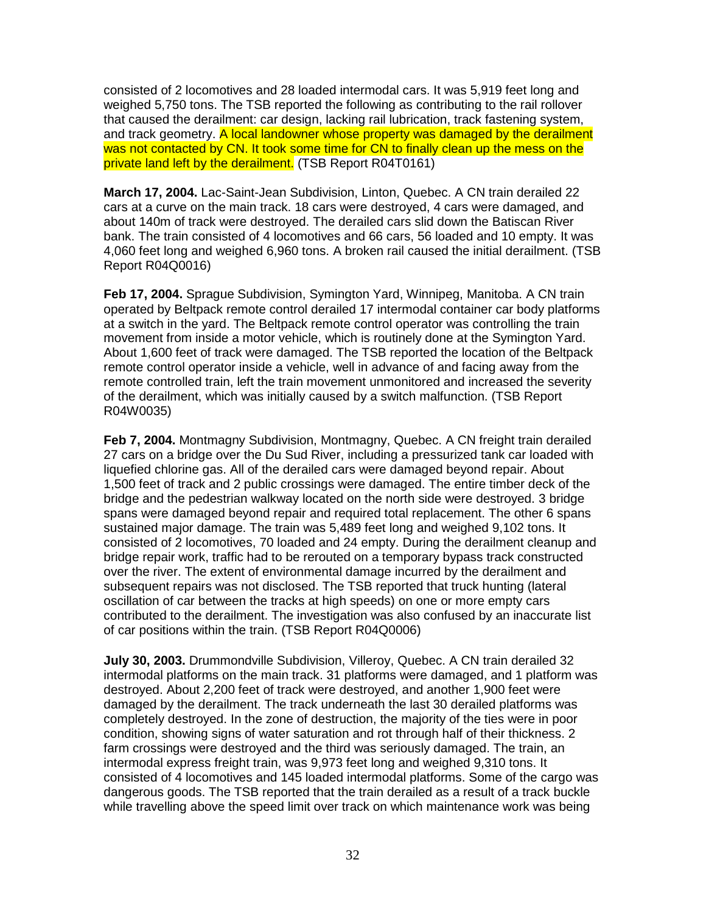consisted of 2 locomotives and 28 loaded intermodal cars. It was 5,919 feet long and weighed 5,750 tons. The TSB reported the following as contributing to the rail rollover that caused the derailment: car design, lacking rail lubrication, track fastening system, and track geometry. A local landowner whose property was damaged by the derailment was not contacted by CN. It took some time for CN to finally clean up the mess on the private land left by the derailment. (TSB Report R04T0161)

**March 17, 2004.** Lac-Saint-Jean Subdivision, Linton, Quebec. A CN train derailed 22 cars at a curve on the main track. 18 cars were destroyed, 4 cars were damaged, and about 140m of track were destroyed. The derailed cars slid down the Batiscan River bank. The train consisted of 4 locomotives and 66 cars, 56 loaded and 10 empty. It was 4,060 feet long and weighed 6,960 tons. A broken rail caused the initial derailment. (TSB Report R04Q0016)

**Feb 17, 2004.** Sprague Subdivision, Symington Yard, Winnipeg, Manitoba. A CN train operated by Beltpack remote control derailed 17 intermodal container car body platforms at a switch in the yard. The Beltpack remote control operator was controlling the train movement from inside a motor vehicle, which is routinely done at the Symington Yard. About 1,600 feet of track were damaged. The TSB reported the location of the Beltpack remote control operator inside a vehicle, well in advance of and facing away from the remote controlled train, left the train movement unmonitored and increased the severity of the derailment, which was initially caused by a switch malfunction. (TSB Report R04W0035)

**Feb 7, 2004.** Montmagny Subdivision, Montmagny, Quebec. A CN freight train derailed 27 cars on a bridge over the Du Sud River, including a pressurized tank car loaded with liquefied chlorine gas. All of the derailed cars were damaged beyond repair. About 1,500 feet of track and 2 public crossings were damaged. The entire timber deck of the bridge and the pedestrian walkway located on the north side were destroyed. 3 bridge spans were damaged beyond repair and required total replacement. The other 6 spans sustained major damage. The train was 5,489 feet long and weighed 9,102 tons. It consisted of 2 locomotives, 70 loaded and 24 empty. During the derailment cleanup and bridge repair work, traffic had to be rerouted on a temporary bypass track constructed over the river. The extent of environmental damage incurred by the derailment and subsequent repairs was not disclosed. The TSB reported that truck hunting (lateral oscillation of car between the tracks at high speeds) on one or more empty cars contributed to the derailment. The investigation was also confused by an inaccurate list of car positions within the train. (TSB Report R04Q0006)

**July 30, 2003.** Drummondville Subdivision, Villeroy, Quebec. A CN train derailed 32 intermodal platforms on the main track. 31 platforms were damaged, and 1 platform was destroyed. About 2,200 feet of track were destroyed, and another 1,900 feet were damaged by the derailment. The track underneath the last 30 derailed platforms was completely destroyed. In the zone of destruction, the majority of the ties were in poor condition, showing signs of water saturation and rot through half of their thickness. 2 farm crossings were destroyed and the third was seriously damaged. The train, an intermodal express freight train, was 9,973 feet long and weighed 9,310 tons. It consisted of 4 locomotives and 145 loaded intermodal platforms. Some of the cargo was dangerous goods. The TSB reported that the train derailed as a result of a track buckle while travelling above the speed limit over track on which maintenance work was being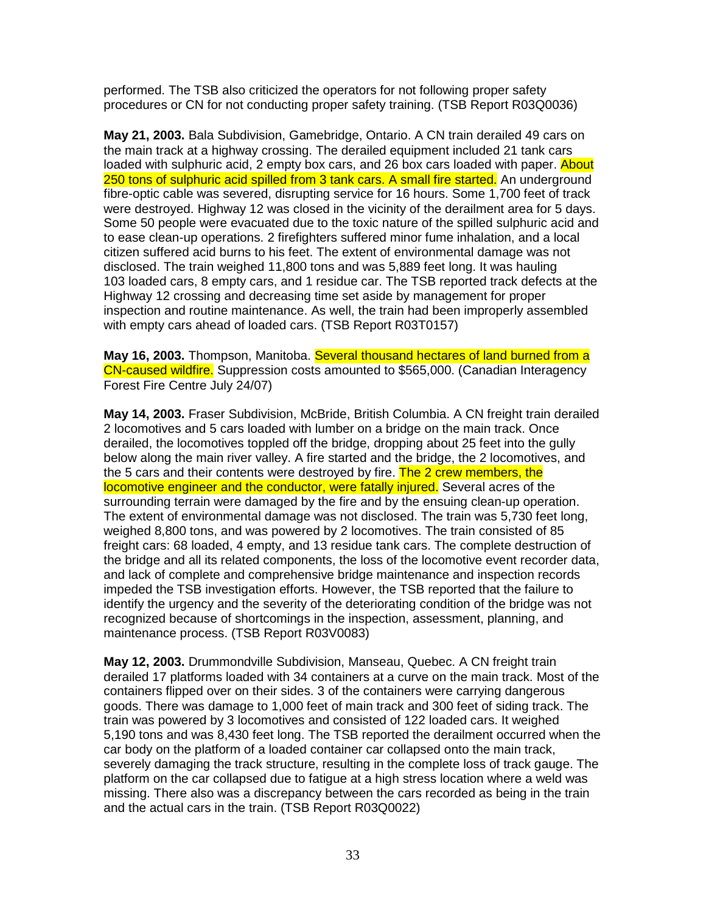performed. The TSB also criticized the operators for not following proper safety procedures or CN for not conducting proper safety training. (TSB Report R03Q0036)

**May 21, 2003.** Bala Subdivision, Gamebridge, Ontario. A CN train derailed 49 cars on the main track at a highway crossing. The derailed equipment included 21 tank cars loaded with sulphuric acid, 2 empty box cars, and 26 box cars loaded with paper. About 250 tons of sulphuric acid spilled from 3 tank cars. A small fire started. An underground fibre-optic cable was severed, disrupting service for 16 hours. Some 1,700 feet of track were destroyed. Highway 12 was closed in the vicinity of the derailment area for 5 days. Some 50 people were evacuated due to the toxic nature of the spilled sulphuric acid and to ease clean-up operations. 2 firefighters suffered minor fume inhalation, and a local citizen suffered acid burns to his feet. The extent of environmental damage was not disclosed. The train weighed 11,800 tons and was 5,889 feet long. It was hauling 103 loaded cars, 8 empty cars, and 1 residue car. The TSB reported track defects at the Highway 12 crossing and decreasing time set aside by management for proper inspection and routine maintenance. As well, the train had been improperly assembled with empty cars ahead of loaded cars. (TSB Report R03T0157)

**May 16, 2003.** Thompson, Manitoba. Several thousand hectares of land burned from a CN-caused wildfire. Suppression costs amounted to \$565,000. (Canadian Interagency Forest Fire Centre July 24/07)

**May 14, 2003.** Fraser Subdivision, McBride, British Columbia. A CN freight train derailed 2 locomotives and 5 cars loaded with lumber on a bridge on the main track. Once derailed, the locomotives toppled off the bridge, dropping about 25 feet into the gully below along the main river valley. A fire started and the bridge, the 2 locomotives, and the 5 cars and their contents were destroyed by fire. The 2 crew members, the locomotive engineer and the conductor, were fatally injured. Several acres of the surrounding terrain were damaged by the fire and by the ensuing clean-up operation. The extent of environmental damage was not disclosed. The train was 5,730 feet long, weighed 8,800 tons, and was powered by 2 locomotives. The train consisted of 85 freight cars: 68 loaded, 4 empty, and 13 residue tank cars. The complete destruction of the bridge and all its related components, the loss of the locomotive event recorder data, and lack of complete and comprehensive bridge maintenance and inspection records impeded the TSB investigation efforts. However, the TSB reported that the failure to identify the urgency and the severity of the deteriorating condition of the bridge was not recognized because of shortcomings in the inspection, assessment, planning, and maintenance process. (TSB Report R03V0083)

**May 12, 2003.** Drummondville Subdivision, Manseau, Quebec. A CN freight train derailed 17 platforms loaded with 34 containers at a curve on the main track. Most of the containers flipped over on their sides. 3 of the containers were carrying dangerous goods. There was damage to 1,000 feet of main track and 300 feet of siding track. The train was powered by 3 locomotives and consisted of 122 loaded cars. It weighed 5,190 tons and was 8,430 feet long. The TSB reported the derailment occurred when the car body on the platform of a loaded container car collapsed onto the main track, severely damaging the track structure, resulting in the complete loss of track gauge. The platform on the car collapsed due to fatigue at a high stress location where a weld was missing. There also was a discrepancy between the cars recorded as being in the train and the actual cars in the train. (TSB Report R03Q0022)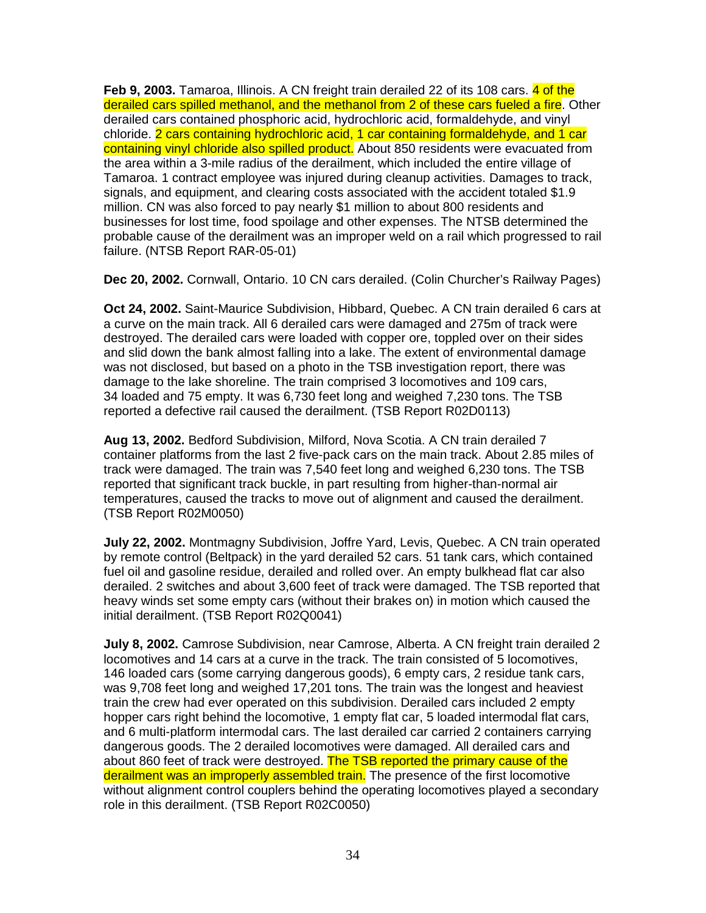**Feb 9, 2003.** Tamaroa, Illinois. A CN freight train derailed 22 of its 108 cars. 4 of the derailed cars spilled methanol, and the methanol from 2 of these cars fueled a fire. Other derailed cars contained phosphoric acid, hydrochloric acid, formaldehyde, and vinyl chloride. 2 cars containing hydrochloric acid, 1 car containing formaldehyde, and 1 car containing vinyl chloride also spilled product. About 850 residents were evacuated from the area within a 3-mile radius of the derailment, which included the entire village of Tamaroa. 1 contract employee was injured during cleanup activities. Damages to track, signals, and equipment, and clearing costs associated with the accident totaled \$1.9 million. CN was also forced to pay nearly \$1 million to about 800 residents and businesses for lost time, food spoilage and other expenses. The NTSB determined the probable cause of the derailment was an improper weld on a rail which progressed to rail failure. (NTSB Report RAR-05-01)

**Dec 20, 2002.** Cornwall, Ontario. 10 CN cars derailed. (Colin Churcher's Railway Pages)

**Oct 24, 2002.** Saint-Maurice Subdivision, Hibbard, Quebec. A CN train derailed 6 cars at a curve on the main track. All 6 derailed cars were damaged and 275m of track were destroyed. The derailed cars were loaded with copper ore, toppled over on their sides and slid down the bank almost falling into a lake. The extent of environmental damage was not disclosed, but based on a photo in the TSB investigation report, there was damage to the lake shoreline. The train comprised 3 locomotives and 109 cars, 34 loaded and 75 empty. It was 6,730 feet long and weighed 7,230 tons. The TSB reported a defective rail caused the derailment. (TSB Report R02D0113)

**Aug 13, 2002.** Bedford Subdivision, Milford, Nova Scotia. A CN train derailed 7 container platforms from the last 2 five-pack cars on the main track. About 2.85 miles of track were damaged. The train was 7,540 feet long and weighed 6,230 tons. The TSB reported that significant track buckle, in part resulting from higher-than-normal air temperatures, caused the tracks to move out of alignment and caused the derailment. (TSB Report R02M0050)

**July 22, 2002.** Montmagny Subdivision, Joffre Yard, Levis, Quebec. A CN train operated by remote control (Beltpack) in the yard derailed 52 cars. 51 tank cars, which contained fuel oil and gasoline residue, derailed and rolled over. An empty bulkhead flat car also derailed. 2 switches and about 3,600 feet of track were damaged. The TSB reported that heavy winds set some empty cars (without their brakes on) in motion which caused the initial derailment. (TSB Report R02Q0041)

**July 8, 2002.** Camrose Subdivision, near Camrose, Alberta. A CN freight train derailed 2 locomotives and 14 cars at a curve in the track. The train consisted of 5 locomotives, 146 loaded cars (some carrying dangerous goods), 6 empty cars, 2 residue tank cars, was 9,708 feet long and weighed 17,201 tons. The train was the longest and heaviest train the crew had ever operated on this subdivision. Derailed cars included 2 empty hopper cars right behind the locomotive, 1 empty flat car, 5 loaded intermodal flat cars, and 6 multi-platform intermodal cars. The last derailed car carried 2 containers carrying dangerous goods. The 2 derailed locomotives were damaged. All derailed cars and about 860 feet of track were destroyed. The TSB reported the primary cause of the derailment was an improperly assembled train. The presence of the first locomotive without alignment control couplers behind the operating locomotives played a secondary role in this derailment. (TSB Report R02C0050)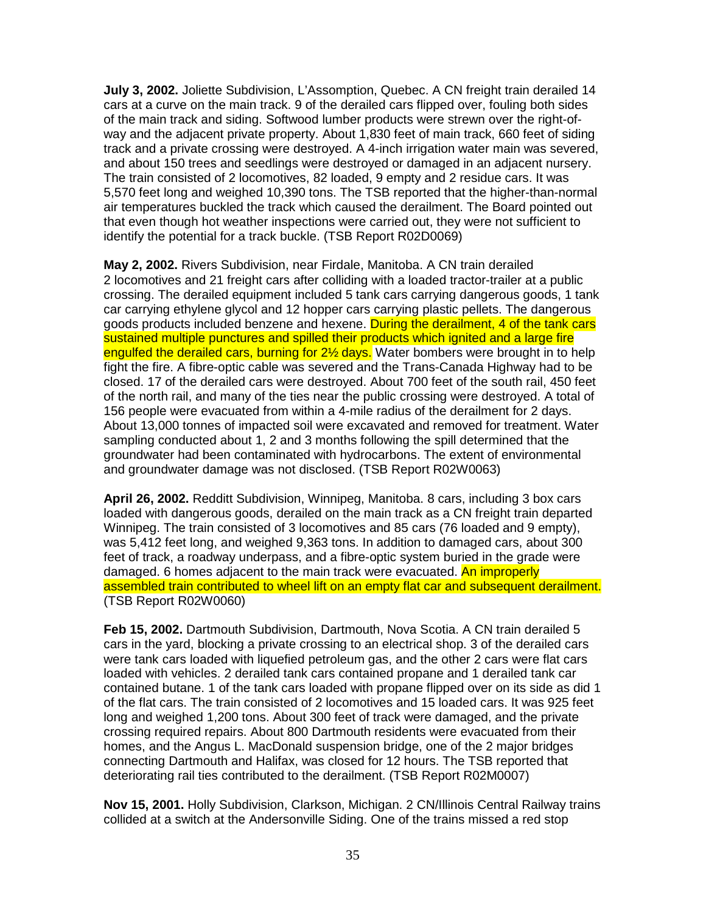**July 3, 2002.** Joliette Subdivision, L'Assomption, Quebec. A CN freight train derailed 14 cars at a curve on the main track. 9 of the derailed cars flipped over, fouling both sides of the main track and siding. Softwood lumber products were strewn over the right-ofway and the adjacent private property. About 1,830 feet of main track, 660 feet of siding track and a private crossing were destroyed. A 4-inch irrigation water main was severed, and about 150 trees and seedlings were destroyed or damaged in an adjacent nursery. The train consisted of 2 locomotives, 82 loaded, 9 empty and 2 residue cars. It was 5,570 feet long and weighed 10,390 tons. The TSB reported that the higher-than-normal air temperatures buckled the track which caused the derailment. The Board pointed out that even though hot weather inspections were carried out, they were not sufficient to identify the potential for a track buckle. (TSB Report R02D0069)

**May 2, 2002.** Rivers Subdivision, near Firdale, Manitoba. A CN train derailed 2 locomotives and 21 freight cars after colliding with a loaded tractor-trailer at a public crossing. The derailed equipment included 5 tank cars carrying dangerous goods, 1 tank car carrying ethylene glycol and 12 hopper cars carrying plastic pellets. The dangerous goods products included benzene and hexene. During the derailment, 4 of the tank cars sustained multiple punctures and spilled their products which ignited and a large fire engulfed the derailed cars, burning for 2<sup>1/2</sup> days. Water bombers were brought in to help fight the fire. A fibre-optic cable was severed and the Trans-Canada Highway had to be closed. 17 of the derailed cars were destroyed. About 700 feet of the south rail, 450 feet of the north rail, and many of the ties near the public crossing were destroyed. A total of 156 people were evacuated from within a 4-mile radius of the derailment for 2 days. About 13,000 tonnes of impacted soil were excavated and removed for treatment. Water sampling conducted about 1, 2 and 3 months following the spill determined that the groundwater had been contaminated with hydrocarbons. The extent of environmental and groundwater damage was not disclosed. (TSB Report R02W0063)

**April 26, 2002.** Redditt Subdivision, Winnipeg, Manitoba. 8 cars, including 3 box cars loaded with dangerous goods, derailed on the main track as a CN freight train departed Winnipeg. The train consisted of 3 locomotives and 85 cars (76 loaded and 9 empty), was 5,412 feet long, and weighed 9,363 tons. In addition to damaged cars, about 300 feet of track, a roadway underpass, and a fibre-optic system buried in the grade were damaged. 6 homes adjacent to the main track were evacuated. An improperly assembled train contributed to wheel lift on an empty flat car and subsequent derailment. (TSB Report R02W0060)

**Feb 15, 2002.** Dartmouth Subdivision, Dartmouth, Nova Scotia. A CN train derailed 5 cars in the yard, blocking a private crossing to an electrical shop. 3 of the derailed cars were tank cars loaded with liquefied petroleum gas, and the other 2 cars were flat cars loaded with vehicles. 2 derailed tank cars contained propane and 1 derailed tank car contained butane. 1 of the tank cars loaded with propane flipped over on its side as did 1 of the flat cars. The train consisted of 2 locomotives and 15 loaded cars. It was 925 feet long and weighed 1,200 tons. About 300 feet of track were damaged, and the private crossing required repairs. About 800 Dartmouth residents were evacuated from their homes, and the Angus L. MacDonald suspension bridge, one of the 2 major bridges connecting Dartmouth and Halifax, was closed for 12 hours. The TSB reported that deteriorating rail ties contributed to the derailment. (TSB Report R02M0007)

**Nov 15, 2001.** Holly Subdivision, Clarkson, Michigan. 2 CN/Illinois Central Railway trains collided at a switch at the Andersonville Siding. One of the trains missed a red stop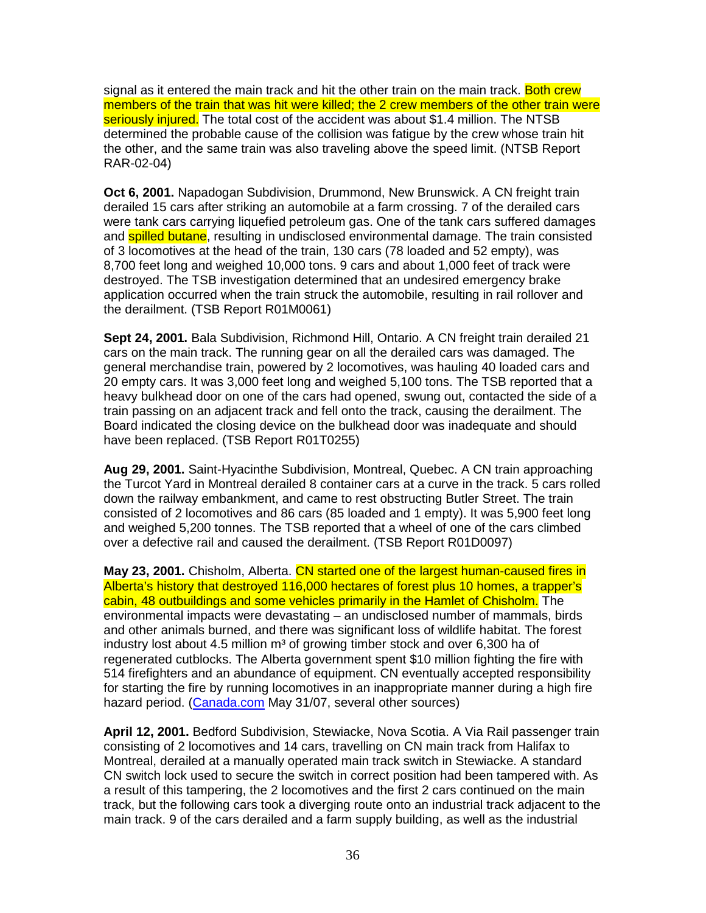signal as it entered the main track and hit the other train on the main track. Both crew members of the train that was hit were killed; the 2 crew members of the other train were seriously injured. The total cost of the accident was about \$1.4 million. The NTSB determined the probable cause of the collision was fatigue by the crew whose train hit the other, and the same train was also traveling above the speed limit. (NTSB Report RAR-02-04)

**Oct 6, 2001.** Napadogan Subdivision, Drummond, New Brunswick. A CN freight train derailed 15 cars after striking an automobile at a farm crossing. 7 of the derailed cars were tank cars carrying liquefied petroleum gas. One of the tank cars suffered damages and **spilled butane**, resulting in undisclosed environmental damage. The train consisted of 3 locomotives at the head of the train, 130 cars (78 loaded and 52 empty), was 8,700 feet long and weighed 10,000 tons. 9 cars and about 1,000 feet of track were destroyed. The TSB investigation determined that an undesired emergency brake application occurred when the train struck the automobile, resulting in rail rollover and the derailment. (TSB Report R01M0061)

**Sept 24, 2001.** Bala Subdivision, Richmond Hill, Ontario. A CN freight train derailed 21 cars on the main track. The running gear on all the derailed cars was damaged. The general merchandise train, powered by 2 locomotives, was hauling 40 loaded cars and 20 empty cars. It was 3,000 feet long and weighed 5,100 tons. The TSB reported that a heavy bulkhead door on one of the cars had opened, swung out, contacted the side of a train passing on an adjacent track and fell onto the track, causing the derailment. The Board indicated the closing device on the bulkhead door was inadequate and should have been replaced. (TSB Report R01T0255)

**Aug 29, 2001.** Saint-Hyacinthe Subdivision, Montreal, Quebec. A CN train approaching the Turcot Yard in Montreal derailed 8 container cars at a curve in the track. 5 cars rolled down the railway embankment, and came to rest obstructing Butler Street. The train consisted of 2 locomotives and 86 cars (85 loaded and 1 empty). It was 5,900 feet long and weighed 5,200 tonnes. The TSB reported that a wheel of one of the cars climbed over a defective rail and caused the derailment. (TSB Report R01D0097)

**May 23, 2001.** Chisholm, Alberta. CN started one of the largest human-caused fires in Alberta's history that destroyed 116,000 hectares of forest plus 10 homes, a trapper's cabin, 48 outbuildings and some vehicles primarily in the Hamlet of Chisholm. The environmental impacts were devastating – an undisclosed number of mammals, birds and other animals burned, and there was significant loss of wildlife habitat. The forest industry lost about 4.5 million  $m<sup>3</sup>$  of growing timber stock and over 6,300 ha of regenerated cutblocks. The Alberta government spent \$10 million fighting the fire with 514 firefighters and an abundance of equipment. CN eventually accepted responsibility for starting the fire by running locomotives in an inappropriate manner during a high fire hazard period. (Canada.com May 31/07, several other sources)

**April 12, 2001.** Bedford Subdivision, Stewiacke, Nova Scotia. A Via Rail passenger train consisting of 2 locomotives and 14 cars, travelling on CN main track from Halifax to Montreal, derailed at a manually operated main track switch in Stewiacke. A standard CN switch lock used to secure the switch in correct position had been tampered with. As a result of this tampering, the 2 locomotives and the first 2 cars continued on the main track, but the following cars took a diverging route onto an industrial track adjacent to the main track. 9 of the cars derailed and a farm supply building, as well as the industrial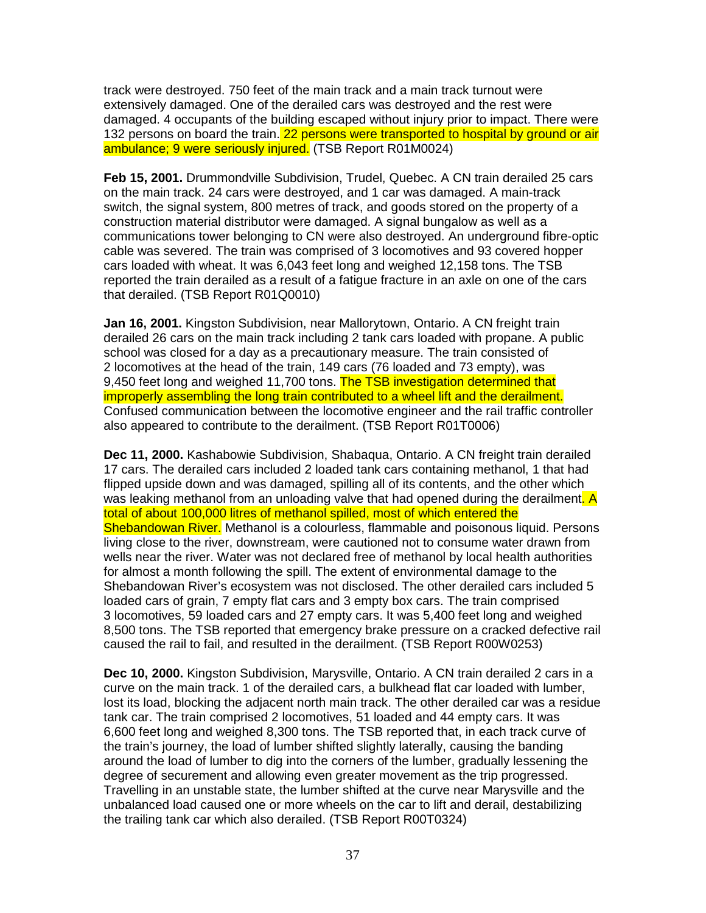track were destroyed. 750 feet of the main track and a main track turnout were extensively damaged. One of the derailed cars was destroyed and the rest were damaged. 4 occupants of the building escaped without injury prior to impact. There were 132 persons on board the train. 22 persons were transported to hospital by ground or air ambulance; 9 were seriously injured. (TSB Report R01M0024)

**Feb 15, 2001.** Drummondville Subdivision, Trudel, Quebec. A CN train derailed 25 cars on the main track. 24 cars were destroyed, and 1 car was damaged. A main-track switch, the signal system, 800 metres of track, and goods stored on the property of a construction material distributor were damaged. A signal bungalow as well as a communications tower belonging to CN were also destroyed. An underground fibre-optic cable was severed. The train was comprised of 3 locomotives and 93 covered hopper cars loaded with wheat. It was 6,043 feet long and weighed 12,158 tons. The TSB reported the train derailed as a result of a fatigue fracture in an axle on one of the cars that derailed. (TSB Report R01Q0010)

**Jan 16, 2001.** Kingston Subdivision, near Mallorytown, Ontario. A CN freight train derailed 26 cars on the main track including 2 tank cars loaded with propane. A public school was closed for a day as a precautionary measure. The train consisted of 2 locomotives at the head of the train, 149 cars (76 loaded and 73 empty), was 9.450 feet long and weighed 11,700 tons. The TSB investigation determined that improperly assembling the long train contributed to a wheel lift and the derailment. Confused communication between the locomotive engineer and the rail traffic controller also appeared to contribute to the derailment. (TSB Report R01T0006)

**Dec 11, 2000.** Kashabowie Subdivision, Shabaqua, Ontario. A CN freight train derailed 17 cars. The derailed cars included 2 loaded tank cars containing methanol, 1 that had flipped upside down and was damaged, spilling all of its contents, and the other which was leaking methanol from an unloading valve that had opened during the derailment. A total of about 100,000 litres of methanol spilled, most of which entered the Shebandowan River. Methanol is a colourless, flammable and poisonous liquid. Persons living close to the river, downstream, were cautioned not to consume water drawn from wells near the river. Water was not declared free of methanol by local health authorities for almost a month following the spill. The extent of environmental damage to the Shebandowan River's ecosystem was not disclosed. The other derailed cars included 5 loaded cars of grain, 7 empty flat cars and 3 empty box cars. The train comprised 3 locomotives, 59 loaded cars and 27 empty cars. It was 5,400 feet long and weighed 8,500 tons. The TSB reported that emergency brake pressure on a cracked defective rail caused the rail to fail, and resulted in the derailment. (TSB Report R00W0253)

**Dec 10, 2000.** Kingston Subdivision, Marysville, Ontario. A CN train derailed 2 cars in a curve on the main track. 1 of the derailed cars, a bulkhead flat car loaded with lumber, lost its load, blocking the adjacent north main track. The other derailed car was a residue tank car. The train comprised 2 locomotives, 51 loaded and 44 empty cars. It was 6,600 feet long and weighed 8,300 tons. The TSB reported that, in each track curve of the train's journey, the load of lumber shifted slightly laterally, causing the banding around the load of lumber to dig into the corners of the lumber, gradually lessening the degree of securement and allowing even greater movement as the trip progressed. Travelling in an unstable state, the lumber shifted at the curve near Marysville and the unbalanced load caused one or more wheels on the car to lift and derail, destabilizing the trailing tank car which also derailed. (TSB Report R00T0324)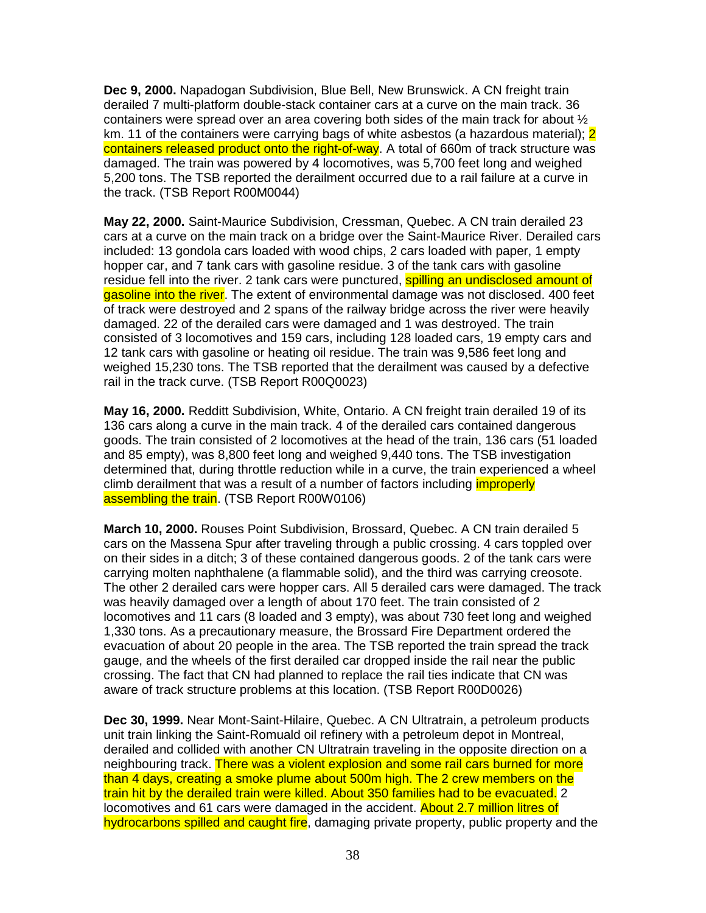**Dec 9, 2000.** Napadogan Subdivision, Blue Bell, New Brunswick. A CN freight train derailed 7 multi-platform double-stack container cars at a curve on the main track. 36 containers were spread over an area covering both sides of the main track for about  $\frac{1}{2}$ km. 11 of the containers were carrying bags of white asbestos (a hazardous material); 2 containers released product onto the right-of-way. A total of 660m of track structure was damaged. The train was powered by 4 locomotives, was 5,700 feet long and weighed 5,200 tons. The TSB reported the derailment occurred due to a rail failure at a curve in the track. (TSB Report R00M0044)

**May 22, 2000.** Saint-Maurice Subdivision, Cressman, Quebec. A CN train derailed 23 cars at a curve on the main track on a bridge over the Saint-Maurice River. Derailed cars included: 13 gondola cars loaded with wood chips, 2 cars loaded with paper, 1 empty hopper car, and 7 tank cars with gasoline residue. 3 of the tank cars with gasoline residue fell into the river. 2 tank cars were punctured, **spilling an undisclosed amount of** gasoline into the river. The extent of environmental damage was not disclosed. 400 feet of track were destroyed and 2 spans of the railway bridge across the river were heavily damaged. 22 of the derailed cars were damaged and 1 was destroyed. The train consisted of 3 locomotives and 159 cars, including 128 loaded cars, 19 empty cars and 12 tank cars with gasoline or heating oil residue. The train was 9,586 feet long and weighed 15,230 tons. The TSB reported that the derailment was caused by a defective rail in the track curve. (TSB Report R00Q0023)

**May 16, 2000.** Redditt Subdivision, White, Ontario. A CN freight train derailed 19 of its 136 cars along a curve in the main track. 4 of the derailed cars contained dangerous goods. The train consisted of 2 locomotives at the head of the train, 136 cars (51 loaded and 85 empty), was 8,800 feet long and weighed 9,440 tons. The TSB investigation determined that, during throttle reduction while in a curve, the train experienced a wheel climb derailment that was a result of a number of factors including *improperly* assembling the train. (TSB Report R00W0106)

**March 10, 2000.** Rouses Point Subdivision, Brossard, Quebec. A CN train derailed 5 cars on the Massena Spur after traveling through a public crossing. 4 cars toppled over on their sides in a ditch; 3 of these contained dangerous goods. 2 of the tank cars were carrying molten naphthalene (a flammable solid), and the third was carrying creosote. The other 2 derailed cars were hopper cars. All 5 derailed cars were damaged. The track was heavily damaged over a length of about 170 feet. The train consisted of 2 locomotives and 11 cars (8 loaded and 3 empty), was about 730 feet long and weighed 1,330 tons. As a precautionary measure, the Brossard Fire Department ordered the evacuation of about 20 people in the area. The TSB reported the train spread the track gauge, and the wheels of the first derailed car dropped inside the rail near the public crossing. The fact that CN had planned to replace the rail ties indicate that CN was aware of track structure problems at this location. (TSB Report R00D0026)

**Dec 30, 1999.** Near Mont-Saint-Hilaire, Quebec. A CN Ultratrain, a petroleum products unit train linking the Saint-Romuald oil refinery with a petroleum depot in Montreal, derailed and collided with another CN Ultratrain traveling in the opposite direction on a neighbouring track. There was a violent explosion and some rail cars burned for more than 4 days, creating a smoke plume about 500m high. The 2 crew members on the train hit by the derailed train were killed. About 350 families had to be evacuated. 2 locomotives and 61 cars were damaged in the accident. About 2.7 million litres of hydrocarbons spilled and caught fire, damaging private property, public property and the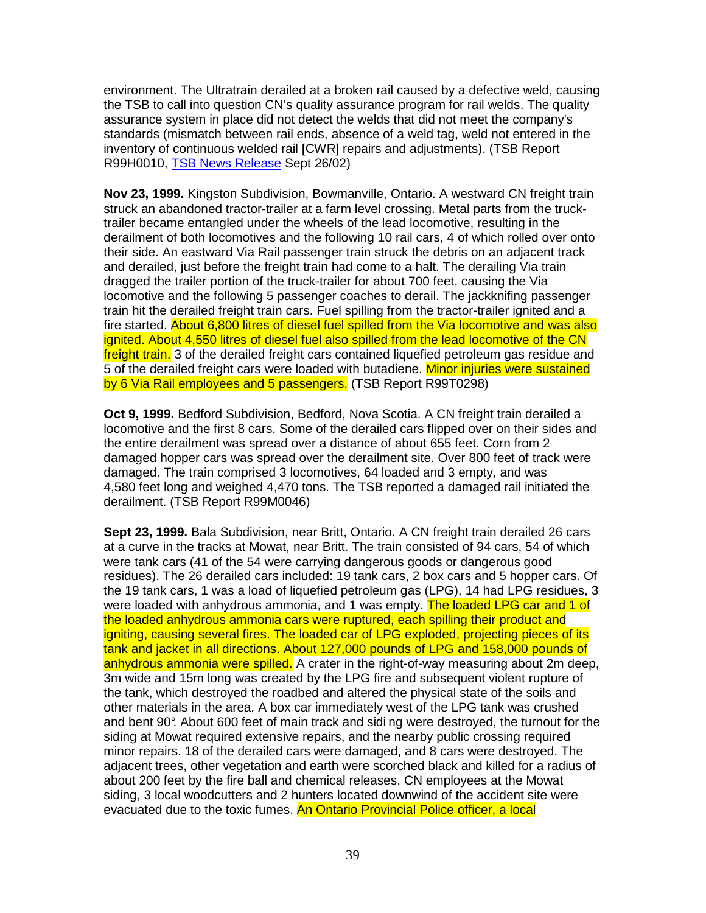environment. The Ultratrain derailed at a broken rail caused by a defective weld, causing the TSB to call into question CN's quality assurance program for rail welds. The quality assurance system in place did not detect the welds that did not meet the company's standards (mismatch between rail ends, absence of a weld tag, weld not entered in the inventory of continuous welded rail [CWR] repairs and adjustments). (TSB Report R99H0010, TSB News Release Sept 26/02)

**Nov 23, 1999.** Kingston Subdivision, Bowmanville, Ontario. A westward CN freight train struck an abandoned tractor-trailer at a farm level crossing. Metal parts from the trucktrailer became entangled under the wheels of the lead locomotive, resulting in the derailment of both locomotives and the following 10 rail cars, 4 of which rolled over onto their side. An eastward Via Rail passenger train struck the debris on an adjacent track and derailed, just before the freight train had come to a halt. The derailing Via train dragged the trailer portion of the truck-trailer for about 700 feet, causing the Via locomotive and the following 5 passenger coaches to derail. The jackknifing passenger train hit the derailed freight train cars. Fuel spilling from the tractor-trailer ignited and a fire started. About 6,800 litres of diesel fuel spilled from the Via locomotive and was also ignited. About 4,550 litres of diesel fuel also spilled from the lead locomotive of the CN freight train. 3 of the derailed freight cars contained liquefied petroleum gas residue and 5 of the derailed freight cars were loaded with butadiene. Minor injuries were sustained by 6 Via Rail employees and 5 passengers. (TSB Report R99T0298)

**Oct 9, 1999.** Bedford Subdivision, Bedford, Nova Scotia. A CN freight train derailed a locomotive and the first 8 cars. Some of the derailed cars flipped over on their sides and the entire derailment was spread over a distance of about 655 feet. Corn from 2 damaged hopper cars was spread over the derailment site. Over 800 feet of track were damaged. The train comprised 3 locomotives, 64 loaded and 3 empty, and was 4,580 feet long and weighed 4,470 tons. The TSB reported a damaged rail initiated the derailment. (TSB Report R99M0046)

**Sept 23, 1999.** Bala Subdivision, near Britt, Ontario. A CN freight train derailed 26 cars at a curve in the tracks at Mowat, near Britt. The train consisted of 94 cars, 54 of which were tank cars (41 of the 54 were carrying dangerous goods or dangerous good residues). The 26 derailed cars included: 19 tank cars, 2 box cars and 5 hopper cars. Of the 19 tank cars, 1 was a load of liquefied petroleum gas (LPG), 14 had LPG residues, 3 were loaded with anhydrous ammonia, and 1 was empty. The loaded LPG car and 1 of the loaded anhydrous ammonia cars were ruptured, each spilling their product and igniting, causing several fires. The loaded car of LPG exploded, projecting pieces of its tank and jacket in all directions. About 127,000 pounds of LPG and 158,000 pounds of anhydrous ammonia were spilled. A crater in the right-of-way measuring about 2m deep. 3m wide and 15m long was created by the LPG fire and subsequent violent rupture of the tank, which destroyed the roadbed and altered the physical state of the soils and other materials in the area. A box car immediately west of the LPG tank was crushed and bent 90°. About 600 feet of main track and sidi ng were destroyed, the turnout for the siding at Mowat required extensive repairs, and the nearby public crossing required minor repairs. 18 of the derailed cars were damaged, and 8 cars were destroyed. The adjacent trees, other vegetation and earth were scorched black and killed for a radius of about 200 feet by the fire ball and chemical releases. CN employees at the Mowat siding, 3 local woodcutters and 2 hunters located downwind of the accident site were evacuated due to the toxic fumes. An Ontario Provincial Police officer, a local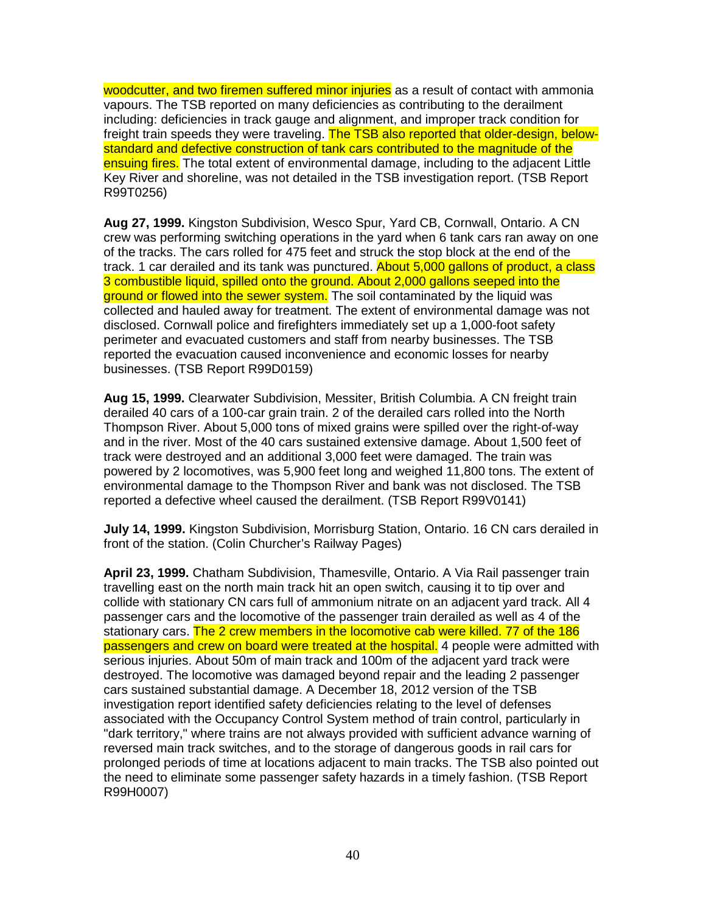woodcutter, and two firemen suffered minor injuries as a result of contact with ammonia vapours. The TSB reported on many deficiencies as contributing to the derailment including: deficiencies in track gauge and alignment, and improper track condition for freight train speeds they were traveling. The TSB also reported that older-design, belowstandard and defective construction of tank cars contributed to the magnitude of the ensuing fires. The total extent of environmental damage, including to the adjacent Little Key River and shoreline, was not detailed in the TSB investigation report. (TSB Report R99T0256)

**Aug 27, 1999.** Kingston Subdivision, Wesco Spur, Yard CB, Cornwall, Ontario. A CN crew was performing switching operations in the yard when 6 tank cars ran away on one of the tracks. The cars rolled for 475 feet and struck the stop block at the end of the track. 1 car derailed and its tank was punctured. About 5,000 gallons of product, a class 3 combustible liquid, spilled onto the ground. About 2,000 gallons seeped into the ground or flowed into the sewer system. The soil contaminated by the liquid was collected and hauled away for treatment. The extent of environmental damage was not disclosed. Cornwall police and firefighters immediately set up a 1,000-foot safety perimeter and evacuated customers and staff from nearby businesses. The TSB reported the evacuation caused inconvenience and economic losses for nearby businesses. (TSB Report R99D0159)

**Aug 15, 1999.** Clearwater Subdivision, Messiter, British Columbia. A CN freight train derailed 40 cars of a 100-car grain train. 2 of the derailed cars rolled into the North Thompson River. About 5,000 tons of mixed grains were spilled over the right-of-way and in the river. Most of the 40 cars sustained extensive damage. About 1,500 feet of track were destroyed and an additional 3,000 feet were damaged. The train was powered by 2 locomotives, was 5,900 feet long and weighed 11,800 tons. The extent of environmental damage to the Thompson River and bank was not disclosed. The TSB reported a defective wheel caused the derailment. (TSB Report R99V0141)

**July 14, 1999.** Kingston Subdivision, Morrisburg Station, Ontario. 16 CN cars derailed in front of the station. (Colin Churcher's Railway Pages)

**April 23, 1999.** Chatham Subdivision, Thamesville, Ontario. A Via Rail passenger train travelling east on the north main track hit an open switch, causing it to tip over and collide with stationary CN cars full of ammonium nitrate on an adjacent yard track. All 4 passenger cars and the locomotive of the passenger train derailed as well as 4 of the stationary cars. The 2 crew members in the locomotive cab were killed. 77 of the 186 passengers and crew on board were treated at the hospital. 4 people were admitted with serious injuries. About 50m of main track and 100m of the adjacent yard track were destroyed. The locomotive was damaged beyond repair and the leading 2 passenger cars sustained substantial damage. A December 18, 2012 version of the TSB investigation report identified safety deficiencies relating to the level of defenses associated with the Occupancy Control System method of train control, particularly in "dark territory," where trains are not always provided with sufficient advance warning of reversed main track switches, and to the storage of dangerous goods in rail cars for prolonged periods of time at locations adjacent to main tracks. The TSB also pointed out the need to eliminate some passenger safety hazards in a timely fashion. (TSB Report R99H0007)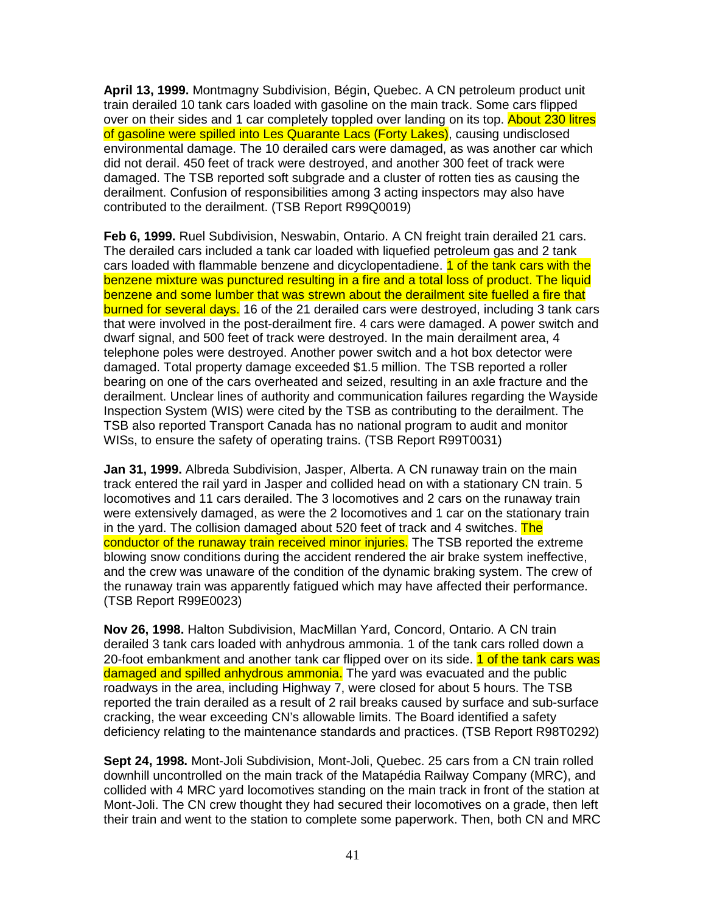**April 13, 1999.** Montmagny Subdivision, Bégin, Quebec. A CN petroleum product unit train derailed 10 tank cars loaded with gasoline on the main track. Some cars flipped over on their sides and 1 car completely toppled over landing on its top. About 230 litres of gasoline were spilled into Les Quarante Lacs (Forty Lakes), causing undisclosed environmental damage. The 10 derailed cars were damaged, as was another car which did not derail. 450 feet of track were destroyed, and another 300 feet of track were damaged. The TSB reported soft subgrade and a cluster of rotten ties as causing the derailment. Confusion of responsibilities among 3 acting inspectors may also have contributed to the derailment. (TSB Report R99Q0019)

**Feb 6, 1999.** Ruel Subdivision, Neswabin, Ontario. A CN freight train derailed 21 cars. The derailed cars included a tank car loaded with liquefied petroleum gas and 2 tank cars loaded with flammable benzene and dicyclopentadiene. **1 of the tank cars with the** benzene mixture was punctured resulting in a fire and a total loss of product. The liquid benzene and some lumber that was strewn about the derailment site fuelled a fire that burned for several days. 16 of the 21 derailed cars were destroyed, including 3 tank cars that were involved in the post-derailment fire. 4 cars were damaged. A power switch and dwarf signal, and 500 feet of track were destroyed. In the main derailment area, 4 telephone poles were destroyed. Another power switch and a hot box detector were damaged. Total property damage exceeded \$1.5 million. The TSB reported a roller bearing on one of the cars overheated and seized, resulting in an axle fracture and the derailment. Unclear lines of authority and communication failures regarding the Wayside Inspection System (WIS) were cited by the TSB as contributing to the derailment. The TSB also reported Transport Canada has no national program to audit and monitor WISs, to ensure the safety of operating trains. (TSB Report R99T0031)

**Jan 31, 1999.** Albreda Subdivision, Jasper, Alberta. A CN runaway train on the main track entered the rail yard in Jasper and collided head on with a stationary CN train. 5 locomotives and 11 cars derailed. The 3 locomotives and 2 cars on the runaway train were extensively damaged, as were the 2 locomotives and 1 car on the stationary train in the yard. The collision damaged about 520 feet of track and 4 switches. The conductor of the runaway train received minor injuries. The TSB reported the extreme blowing snow conditions during the accident rendered the air brake system ineffective, and the crew was unaware of the condition of the dynamic braking system. The crew of the runaway train was apparently fatigued which may have affected their performance. (TSB Report R99E0023)

**Nov 26, 1998.** Halton Subdivision, MacMillan Yard, Concord, Ontario. A CN train derailed 3 tank cars loaded with anhydrous ammonia. 1 of the tank cars rolled down a 20-foot embankment and another tank car flipped over on its side. 1 of the tank cars was damaged and spilled anhydrous ammonia. The yard was evacuated and the public roadways in the area, including Highway 7, were closed for about 5 hours. The TSB reported the train derailed as a result of 2 rail breaks caused by surface and sub-surface cracking, the wear exceeding CN's allowable limits. The Board identified a safety deficiency relating to the maintenance standards and practices. (TSB Report R98T0292)

**Sept 24, 1998.** Mont-Joli Subdivision, Mont-Joli, Quebec. 25 cars from a CN train rolled downhill uncontrolled on the main track of the Matapédia Railway Company (MRC), and collided with 4 MRC yard locomotives standing on the main track in front of the station at Mont-Joli. The CN crew thought they had secured their locomotives on a grade, then left their train and went to the station to complete some paperwork. Then, both CN and MRC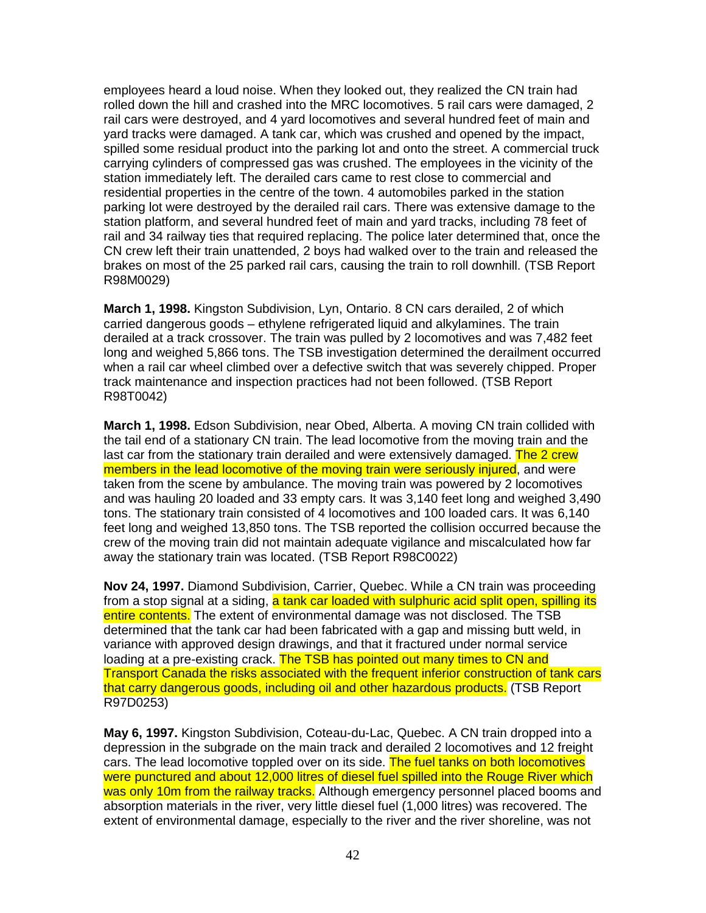employees heard a loud noise. When they looked out, they realized the CN train had rolled down the hill and crashed into the MRC locomotives. 5 rail cars were damaged, 2 rail cars were destroyed, and 4 yard locomotives and several hundred feet of main and yard tracks were damaged. A tank car, which was crushed and opened by the impact, spilled some residual product into the parking lot and onto the street. A commercial truck carrying cylinders of compressed gas was crushed. The employees in the vicinity of the station immediately left. The derailed cars came to rest close to commercial and residential properties in the centre of the town. 4 automobiles parked in the station parking lot were destroyed by the derailed rail cars. There was extensive damage to the station platform, and several hundred feet of main and yard tracks, including 78 feet of rail and 34 railway ties that required replacing. The police later determined that, once the CN crew left their train unattended, 2 boys had walked over to the train and released the brakes on most of the 25 parked rail cars, causing the train to roll downhill. (TSB Report R98M0029)

**March 1, 1998.** Kingston Subdivision, Lyn, Ontario. 8 CN cars derailed, 2 of which carried dangerous goods – ethylene refrigerated liquid and alkylamines. The train derailed at a track crossover. The train was pulled by 2 locomotives and was 7,482 feet long and weighed 5,866 tons. The TSB investigation determined the derailment occurred when a rail car wheel climbed over a defective switch that was severely chipped. Proper track maintenance and inspection practices had not been followed. (TSB Report R98T0042)

**March 1, 1998.** Edson Subdivision, near Obed, Alberta. A moving CN train collided with the tail end of a stationary CN train. The lead locomotive from the moving train and the last car from the stationary train derailed and were extensively damaged. The 2 crew members in the lead locomotive of the moving train were seriously injured, and were taken from the scene by ambulance. The moving train was powered by 2 locomotives and was hauling 20 loaded and 33 empty cars. It was 3,140 feet long and weighed 3,490 tons. The stationary train consisted of 4 locomotives and 100 loaded cars. It was 6,140 feet long and weighed 13,850 tons. The TSB reported the collision occurred because the crew of the moving train did not maintain adequate vigilance and miscalculated how far away the stationary train was located. (TSB Report R98C0022)

**Nov 24, 1997.** Diamond Subdivision, Carrier, Quebec. While a CN train was proceeding from a stop signal at a siding, a tank car loaded with sulphuric acid split open, spilling its entire contents. The extent of environmental damage was not disclosed. The TSB determined that the tank car had been fabricated with a gap and missing butt weld, in variance with approved design drawings, and that it fractured under normal service loading at a pre-existing crack. The TSB has pointed out many times to CN and Transport Canada the risks associated with the frequent inferior construction of tank cars that carry dangerous goods, including oil and other hazardous products. (TSB Report R97D0253)

**May 6, 1997.** Kingston Subdivision, Coteau-du-Lac, Quebec. A CN train dropped into a depression in the subgrade on the main track and derailed 2 locomotives and 12 freight cars. The lead locomotive toppled over on its side. The fuel tanks on both locomotives were punctured and about 12,000 litres of diesel fuel spilled into the Rouge River which was only 10m from the railway tracks. Although emergency personnel placed booms and absorption materials in the river, very little diesel fuel (1,000 litres) was recovered. The extent of environmental damage, especially to the river and the river shoreline, was not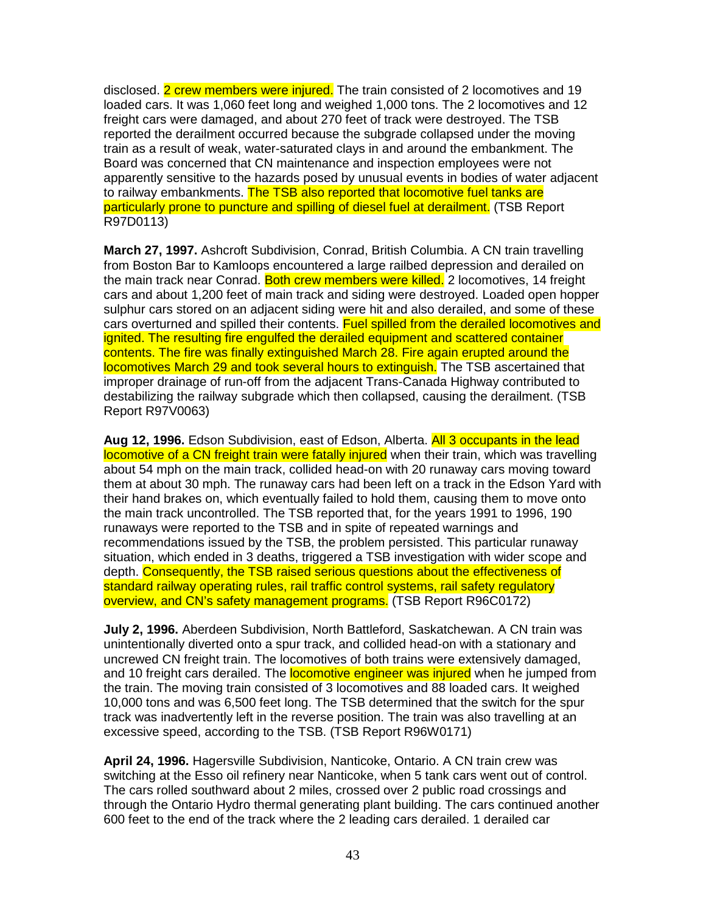disclosed. 2 crew members were injured. The train consisted of 2 locomotives and 19 loaded cars. It was 1,060 feet long and weighed 1,000 tons. The 2 locomotives and 12 freight cars were damaged, and about 270 feet of track were destroyed. The TSB reported the derailment occurred because the subgrade collapsed under the moving train as a result of weak, water-saturated clays in and around the embankment. The Board was concerned that CN maintenance and inspection employees were not apparently sensitive to the hazards posed by unusual events in bodies of water adjacent to railway embankments. The TSB also reported that locomotive fuel tanks are particularly prone to puncture and spilling of diesel fuel at derailment. (TSB Report R97D0113)

**March 27, 1997.** Ashcroft Subdivision, Conrad, British Columbia. A CN train travelling from Boston Bar to Kamloops encountered a large railbed depression and derailed on the main track near Conrad. Both crew members were killed. 2 locomotives, 14 freight cars and about 1,200 feet of main track and siding were destroyed. Loaded open hopper sulphur cars stored on an adjacent siding were hit and also derailed, and some of these cars overturned and spilled their contents. Fuel spilled from the derailed locomotives and ignited. The resulting fire engulfed the derailed equipment and scattered container contents. The fire was finally extinguished March 28. Fire again erupted around the locomotives March 29 and took several hours to extinguish. The TSB ascertained that improper drainage of run-off from the adjacent Trans-Canada Highway contributed to destabilizing the railway subgrade which then collapsed, causing the derailment. (TSB Report R97V0063)

**Aug 12, 1996.** Edson Subdivision, east of Edson, Alberta. All 3 occupants in the lead locomotive of a CN freight train were fatally injured when their train, which was travelling about 54 mph on the main track, collided head-on with 20 runaway cars moving toward them at about 30 mph. The runaway cars had been left on a track in the Edson Yard with their hand brakes on, which eventually failed to hold them, causing them to move onto the main track uncontrolled. The TSB reported that, for the years 1991 to 1996, 190 runaways were reported to the TSB and in spite of repeated warnings and recommendations issued by the TSB, the problem persisted. This particular runaway situation, which ended in 3 deaths, triggered a TSB investigation with wider scope and depth. Consequently, the TSB raised serious questions about the effectiveness of standard railway operating rules, rail traffic control systems, rail safety regulatory overview, and CN's safety management programs. (TSB Report R96C0172)

**July 2, 1996.** Aberdeen Subdivision, North Battleford, Saskatchewan. A CN train was unintentionally diverted onto a spur track, and collided head-on with a stationary and uncrewed CN freight train. The locomotives of both trains were extensively damaged, and 10 freight cars derailed. The **locomotive engineer was injured** when he jumped from the train. The moving train consisted of 3 locomotives and 88 loaded cars. It weighed 10,000 tons and was 6,500 feet long. The TSB determined that the switch for the spur track was inadvertently left in the reverse position. The train was also travelling at an excessive speed, according to the TSB. (TSB Report R96W0171)

**April 24, 1996.** Hagersville Subdivision, Nanticoke, Ontario. A CN train crew was switching at the Esso oil refinery near Nanticoke, when 5 tank cars went out of control. The cars rolled southward about 2 miles, crossed over 2 public road crossings and through the Ontario Hydro thermal generating plant building. The cars continued another 600 feet to the end of the track where the 2 leading cars derailed. 1 derailed car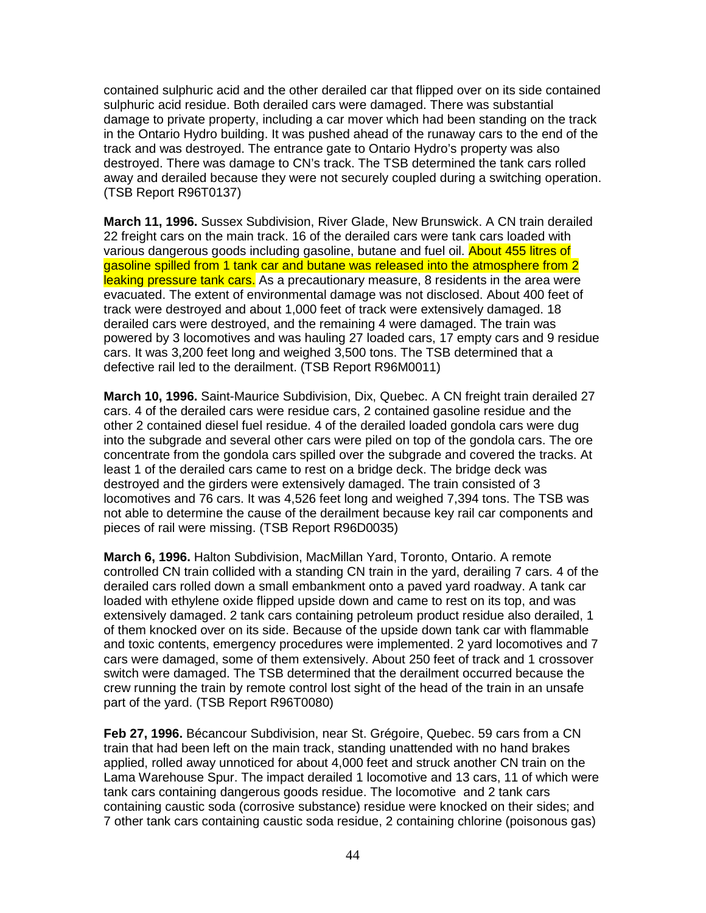contained sulphuric acid and the other derailed car that flipped over on its side contained sulphuric acid residue. Both derailed cars were damaged. There was substantial damage to private property, including a car mover which had been standing on the track in the Ontario Hydro building. It was pushed ahead of the runaway cars to the end of the track and was destroyed. The entrance gate to Ontario Hydro's property was also destroyed. There was damage to CN's track. The TSB determined the tank cars rolled away and derailed because they were not securely coupled during a switching operation. (TSB Report R96T0137)

**March 11, 1996.** Sussex Subdivision, River Glade, New Brunswick. A CN train derailed 22 freight cars on the main track. 16 of the derailed cars were tank cars loaded with various dangerous goods including gasoline, butane and fuel oil. About 455 litres of gasoline spilled from 1 tank car and butane was released into the atmosphere from 2 leaking pressure tank cars. As a precautionary measure, 8 residents in the area were evacuated. The extent of environmental damage was not disclosed. About 400 feet of track were destroyed and about 1,000 feet of track were extensively damaged. 18 derailed cars were destroyed, and the remaining 4 were damaged. The train was powered by 3 locomotives and was hauling 27 loaded cars, 17 empty cars and 9 residue cars. It was 3,200 feet long and weighed 3,500 tons. The TSB determined that a defective rail led to the derailment. (TSB Report R96M0011)

**March 10, 1996.** Saint-Maurice Subdivision, Dix, Quebec. A CN freight train derailed 27 cars. 4 of the derailed cars were residue cars, 2 contained gasoline residue and the other 2 contained diesel fuel residue. 4 of the derailed loaded gondola cars were dug into the subgrade and several other cars were piled on top of the gondola cars. The ore concentrate from the gondola cars spilled over the subgrade and covered the tracks. At least 1 of the derailed cars came to rest on a bridge deck. The bridge deck was destroyed and the girders were extensively damaged. The train consisted of 3 locomotives and 76 cars. It was 4,526 feet long and weighed 7,394 tons. The TSB was not able to determine the cause of the derailment because key rail car components and pieces of rail were missing. (TSB Report R96D0035)

**March 6, 1996.** Halton Subdivision, MacMillan Yard, Toronto, Ontario. A remote controlled CN train collided with a standing CN train in the yard, derailing 7 cars. 4 of the derailed cars rolled down a small embankment onto a paved yard roadway. A tank car loaded with ethylene oxide flipped upside down and came to rest on its top, and was extensively damaged. 2 tank cars containing petroleum product residue also derailed, 1 of them knocked over on its side. Because of the upside down tank car with flammable and toxic contents, emergency procedures were implemented. 2 yard locomotives and 7 cars were damaged, some of them extensively. About 250 feet of track and 1 crossover switch were damaged. The TSB determined that the derailment occurred because the crew running the train by remote control lost sight of the head of the train in an unsafe part of the yard. (TSB Report R96T0080)

**Feb 27, 1996.** Bécancour Subdivision, near St. Grégoire, Quebec. 59 cars from a CN train that had been left on the main track, standing unattended with no hand brakes applied, rolled away unnoticed for about 4,000 feet and struck another CN train on the Lama Warehouse Spur. The impact derailed 1 locomotive and 13 cars, 11 of which were tank cars containing dangerous goods residue. The locomotive and 2 tank cars containing caustic soda (corrosive substance) residue were knocked on their sides; and 7 other tank cars containing caustic soda residue, 2 containing chlorine (poisonous gas)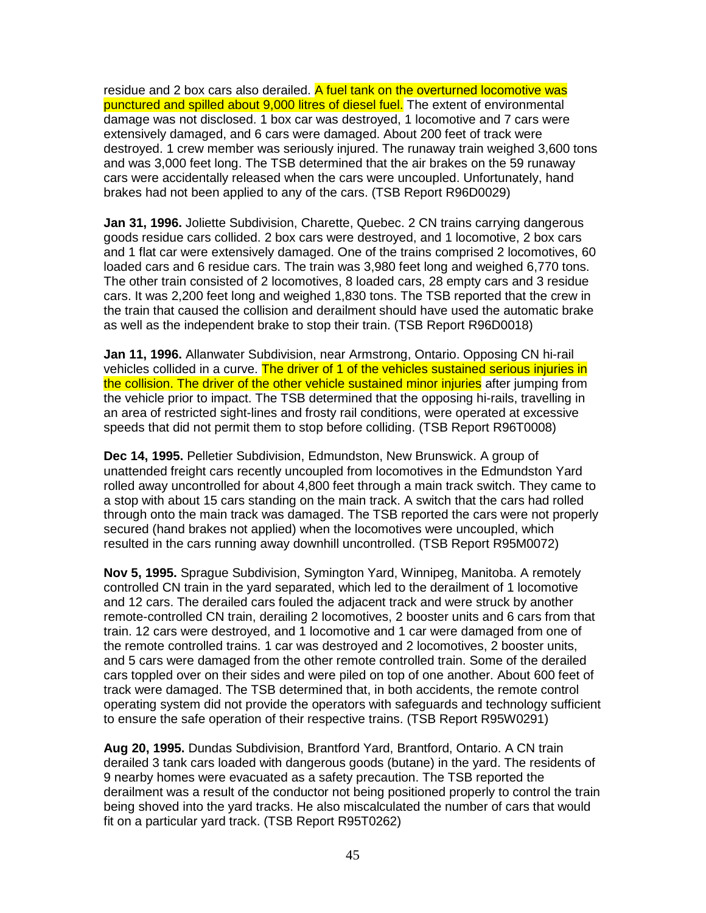residue and 2 box cars also derailed. A fuel tank on the overturned locomotive was punctured and spilled about 9,000 litres of diesel fuel. The extent of environmental damage was not disclosed. 1 box car was destroyed, 1 locomotive and 7 cars were extensively damaged, and 6 cars were damaged. About 200 feet of track were destroyed. 1 crew member was seriously injured. The runaway train weighed 3,600 tons and was 3,000 feet long. The TSB determined that the air brakes on the 59 runaway cars were accidentally released when the cars were uncoupled. Unfortunately, hand brakes had not been applied to any of the cars. (TSB Report R96D0029)

**Jan 31, 1996.** Joliette Subdivision, Charette, Quebec. 2 CN trains carrying dangerous goods residue cars collided. 2 box cars were destroyed, and 1 locomotive, 2 box cars and 1 flat car were extensively damaged. One of the trains comprised 2 locomotives, 60 loaded cars and 6 residue cars. The train was 3,980 feet long and weighed 6,770 tons. The other train consisted of 2 locomotives, 8 loaded cars, 28 empty cars and 3 residue cars. It was 2,200 feet long and weighed 1,830 tons. The TSB reported that the crew in the train that caused the collision and derailment should have used the automatic brake as well as the independent brake to stop their train. (TSB Report R96D0018)

**Jan 11, 1996.** Allanwater Subdivision, near Armstrong, Ontario. Opposing CN hi-rail vehicles collided in a curve. The driver of 1 of the vehicles sustained serious injuries in the collision. The driver of the other vehicle sustained minor injuries after jumping from the vehicle prior to impact. The TSB determined that the opposing hi-rails, travelling in an area of restricted sight-lines and frosty rail conditions, were operated at excessive speeds that did not permit them to stop before colliding. (TSB Report R96T0008)

**Dec 14, 1995.** Pelletier Subdivision, Edmundston, New Brunswick. A group of unattended freight cars recently uncoupled from locomotives in the Edmundston Yard rolled away uncontrolled for about 4,800 feet through a main track switch. They came to a stop with about 15 cars standing on the main track. A switch that the cars had rolled through onto the main track was damaged. The TSB reported the cars were not properly secured (hand brakes not applied) when the locomotives were uncoupled, which resulted in the cars running away downhill uncontrolled. (TSB Report R95M0072)

**Nov 5, 1995.** Sprague Subdivision, Symington Yard, Winnipeg, Manitoba. A remotely controlled CN train in the yard separated, which led to the derailment of 1 locomotive and 12 cars. The derailed cars fouled the adjacent track and were struck by another remote-controlled CN train, derailing 2 locomotives, 2 booster units and 6 cars from that train. 12 cars were destroyed, and 1 locomotive and 1 car were damaged from one of the remote controlled trains. 1 car was destroyed and 2 locomotives, 2 booster units, and 5 cars were damaged from the other remote controlled train. Some of the derailed cars toppled over on their sides and were piled on top of one another. About 600 feet of track were damaged. The TSB determined that, in both accidents, the remote control operating system did not provide the operators with safeguards and technology sufficient to ensure the safe operation of their respective trains. (TSB Report R95W0291)

**Aug 20, 1995.** Dundas Subdivision, Brantford Yard, Brantford, Ontario. A CN train derailed 3 tank cars loaded with dangerous goods (butane) in the yard. The residents of 9 nearby homes were evacuated as a safety precaution. The TSB reported the derailment was a result of the conductor not being positioned properly to control the train being shoved into the yard tracks. He also miscalculated the number of cars that would fit on a particular yard track. (TSB Report R95T0262)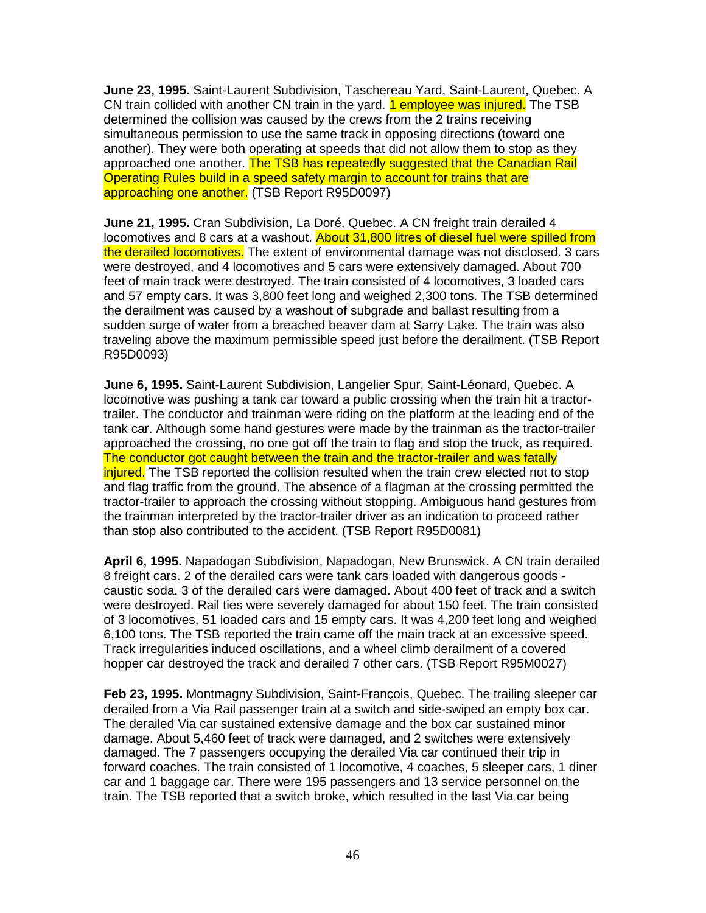**June 23, 1995.** Saint-Laurent Subdivision, Taschereau Yard, Saint-Laurent, Quebec. A CN train collided with another CN train in the yard. **1 employee was injured.** The TSB determined the collision was caused by the crews from the 2 trains receiving simultaneous permission to use the same track in opposing directions (toward one another). They were both operating at speeds that did not allow them to stop as they approached one another. The TSB has repeatedly suggested that the Canadian Rail Operating Rules build in a speed safety margin to account for trains that are approaching one another. (TSB Report R95D0097)

**June 21, 1995.** Cran Subdivision, La Doré, Quebec. A CN freight train derailed 4 locomotives and 8 cars at a washout. About 31,800 litres of diesel fuel were spilled from the derailed locomotives. The extent of environmental damage was not disclosed. 3 cars were destroyed, and 4 locomotives and 5 cars were extensively damaged. About 700 feet of main track were destroyed. The train consisted of 4 locomotives, 3 loaded cars and 57 empty cars. It was 3,800 feet long and weighed 2,300 tons. The TSB determined the derailment was caused by a washout of subgrade and ballast resulting from a sudden surge of water from a breached beaver dam at Sarry Lake. The train was also traveling above the maximum permissible speed just before the derailment. (TSB Report R95D0093)

**June 6, 1995.** Saint-Laurent Subdivision, Langelier Spur, Saint-Léonard, Quebec. A locomotive was pushing a tank car toward a public crossing when the train hit a tractortrailer. The conductor and trainman were riding on the platform at the leading end of the tank car. Although some hand gestures were made by the trainman as the tractor-trailer approached the crossing, no one got off the train to flag and stop the truck, as required. The conductor got caught between the train and the tractor-trailer and was fatally injured. The TSB reported the collision resulted when the train crew elected not to stop and flag traffic from the ground. The absence of a flagman at the crossing permitted the tractor-trailer to approach the crossing without stopping. Ambiguous hand gestures from the trainman interpreted by the tractor-trailer driver as an indication to proceed rather than stop also contributed to the accident. (TSB Report R95D0081)

**April 6, 1995.** Napadogan Subdivision, Napadogan, New Brunswick. A CN train derailed 8 freight cars. 2 of the derailed cars were tank cars loaded with dangerous goods caustic soda. 3 of the derailed cars were damaged. About 400 feet of track and a switch were destroyed. Rail ties were severely damaged for about 150 feet. The train consisted of 3 locomotives, 51 loaded cars and 15 empty cars. It was 4,200 feet long and weighed 6,100 tons. The TSB reported the train came off the main track at an excessive speed. Track irregularities induced oscillations, and a wheel climb derailment of a covered hopper car destroyed the track and derailed 7 other cars. (TSB Report R95M0027)

**Feb 23, 1995.** Montmagny Subdivision, Saint-François, Quebec. The trailing sleeper car derailed from a Via Rail passenger train at a switch and side-swiped an empty box car. The derailed Via car sustained extensive damage and the box car sustained minor damage. About 5,460 feet of track were damaged, and 2 switches were extensively damaged. The 7 passengers occupying the derailed Via car continued their trip in forward coaches. The train consisted of 1 locomotive, 4 coaches, 5 sleeper cars, 1 diner car and 1 baggage car. There were 195 passengers and 13 service personnel on the train. The TSB reported that a switch broke, which resulted in the last Via car being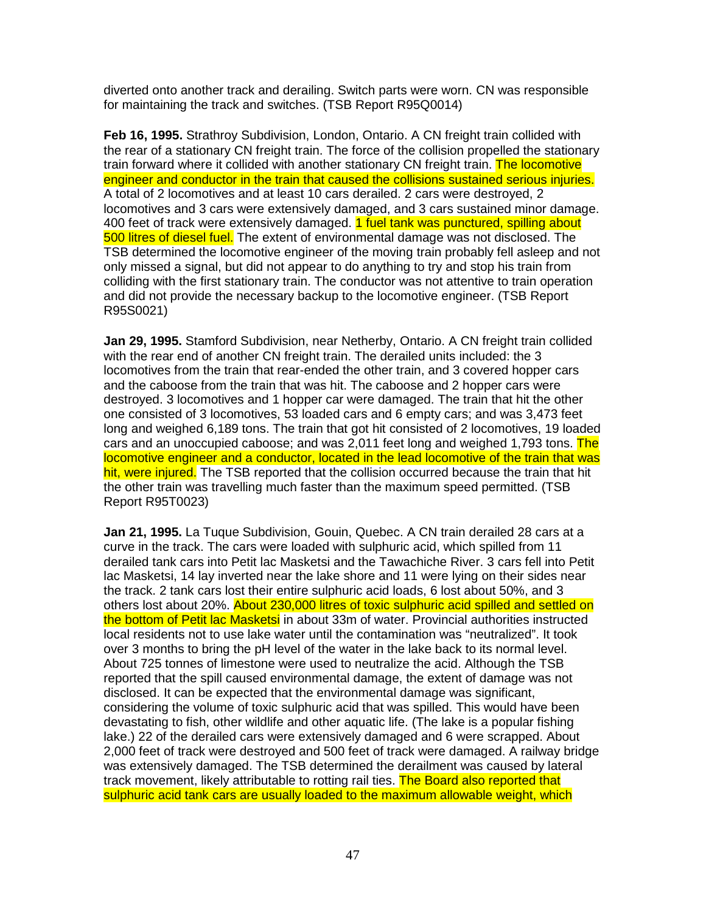diverted onto another track and derailing. Switch parts were worn. CN was responsible for maintaining the track and switches. (TSB Report R95Q0014)

**Feb 16, 1995.** Strathroy Subdivision, London, Ontario. A CN freight train collided with the rear of a stationary CN freight train. The force of the collision propelled the stationary train forward where it collided with another stationary CN freight train. The locomotive engineer and conductor in the train that caused the collisions sustained serious injuries. A total of 2 locomotives and at least 10 cars derailed. 2 cars were destroyed, 2 locomotives and 3 cars were extensively damaged, and 3 cars sustained minor damage. 400 feet of track were extensively damaged. 1 fuel tank was punctured, spilling about 500 litres of diesel fuel. The extent of environmental damage was not disclosed. The TSB determined the locomotive engineer of the moving train probably fell asleep and not only missed a signal, but did not appear to do anything to try and stop his train from colliding with the first stationary train. The conductor was not attentive to train operation and did not provide the necessary backup to the locomotive engineer. (TSB Report R95S0021)

**Jan 29, 1995.** Stamford Subdivision, near Netherby, Ontario. A CN freight train collided with the rear end of another CN freight train. The derailed units included: the 3 locomotives from the train that rear-ended the other train, and 3 covered hopper cars and the caboose from the train that was hit. The caboose and 2 hopper cars were destroyed. 3 locomotives and 1 hopper car were damaged. The train that hit the other one consisted of 3 locomotives, 53 loaded cars and 6 empty cars; and was 3,473 feet long and weighed 6,189 tons. The train that got hit consisted of 2 locomotives, 19 loaded cars and an unoccupied caboose; and was 2,011 feet long and weighed 1,793 tons. The locomotive engineer and a conductor, located in the lead locomotive of the train that was hit, were injured. The TSB reported that the collision occurred because the train that hit the other train was travelling much faster than the maximum speed permitted. (TSB Report R95T0023)

**Jan 21, 1995.** La Tuque Subdivision, Gouin, Quebec. A CN train derailed 28 cars at a curve in the track. The cars were loaded with sulphuric acid, which spilled from 11 derailed tank cars into Petit lac Masketsi and the Tawachiche River. 3 cars fell into Petit lac Masketsi, 14 lay inverted near the lake shore and 11 were lying on their sides near the track. 2 tank cars lost their entire sulphuric acid loads, 6 lost about 50%, and 3 others lost about 20%. About 230,000 litres of toxic sulphuric acid spilled and settled on the bottom of Petit lac Masketsi in about 33m of water. Provincial authorities instructed local residents not to use lake water until the contamination was "neutralized". It took over 3 months to bring the pH level of the water in the lake back to its normal level. About 725 tonnes of limestone were used to neutralize the acid. Although the TSB reported that the spill caused environmental damage, the extent of damage was not disclosed. It can be expected that the environmental damage was significant, considering the volume of toxic sulphuric acid that was spilled. This would have been devastating to fish, other wildlife and other aquatic life. (The lake is a popular fishing lake.) 22 of the derailed cars were extensively damaged and 6 were scrapped. About 2,000 feet of track were destroyed and 500 feet of track were damaged. A railway bridge was extensively damaged. The TSB determined the derailment was caused by lateral track movement, likely attributable to rotting rail ties. The Board also reported that sulphuric acid tank cars are usually loaded to the maximum allowable weight, which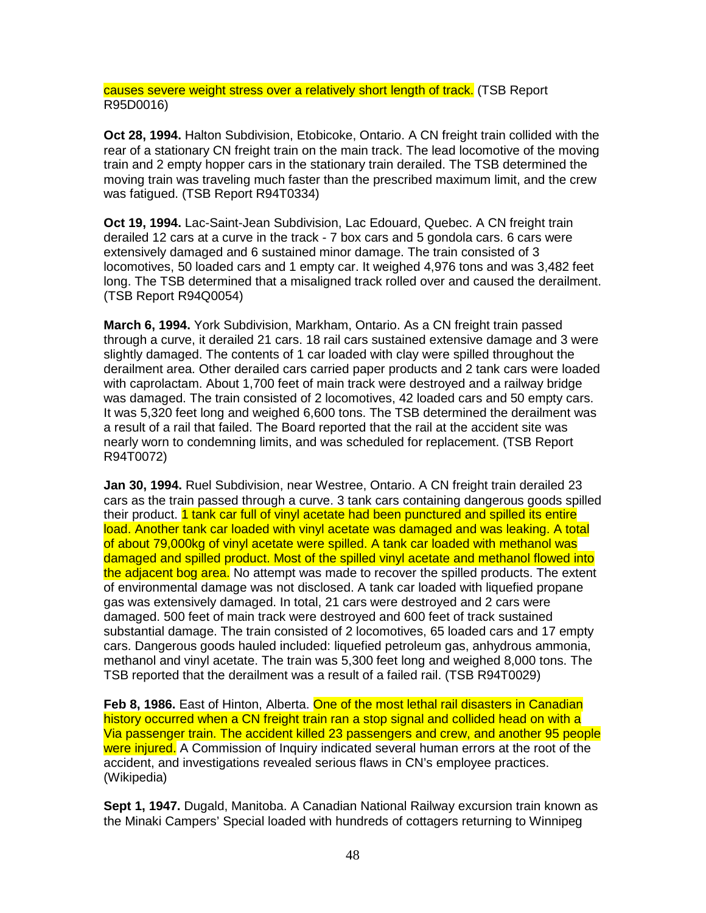causes severe weight stress over a relatively short length of track. (TSB Report R95D0016)

**Oct 28, 1994.** Halton Subdivision, Etobicoke, Ontario. A CN freight train collided with the rear of a stationary CN freight train on the main track. The lead locomotive of the moving train and 2 empty hopper cars in the stationary train derailed. The TSB determined the moving train was traveling much faster than the prescribed maximum limit, and the crew was fatigued. (TSB Report R94T0334)

**Oct 19, 1994.** Lac-Saint-Jean Subdivision, Lac Edouard, Quebec. A CN freight train derailed 12 cars at a curve in the track - 7 box cars and 5 gondola cars. 6 cars were extensively damaged and 6 sustained minor damage. The train consisted of 3 locomotives, 50 loaded cars and 1 empty car. It weighed 4,976 tons and was 3,482 feet long. The TSB determined that a misaligned track rolled over and caused the derailment. (TSB Report R94Q0054)

**March 6, 1994.** York Subdivision, Markham, Ontario. As a CN freight train passed through a curve, it derailed 21 cars. 18 rail cars sustained extensive damage and 3 were slightly damaged. The contents of 1 car loaded with clay were spilled throughout the derailment area. Other derailed cars carried paper products and 2 tank cars were loaded with caprolactam. About 1,700 feet of main track were destroyed and a railway bridge was damaged. The train consisted of 2 locomotives, 42 loaded cars and 50 empty cars. It was 5,320 feet long and weighed 6,600 tons. The TSB determined the derailment was a result of a rail that failed. The Board reported that the rail at the accident site was nearly worn to condemning limits, and was scheduled for replacement. (TSB Report R94T0072)

**Jan 30, 1994.** Ruel Subdivision, near Westree, Ontario. A CN freight train derailed 23 cars as the train passed through a curve. 3 tank cars containing dangerous goods spilled their product. 1 tank car full of vinyl acetate had been punctured and spilled its entire load. Another tank car loaded with vinyl acetate was damaged and was leaking. A total of about 79,000kg of vinyl acetate were spilled. A tank car loaded with methanol was damaged and spilled product. Most of the spilled vinyl acetate and methanol flowed into the adjacent bog area. No attempt was made to recover the spilled products. The extent of environmental damage was not disclosed. A tank car loaded with liquefied propane gas was extensively damaged. In total, 21 cars were destroyed and 2 cars were damaged. 500 feet of main track were destroyed and 600 feet of track sustained substantial damage. The train consisted of 2 locomotives, 65 loaded cars and 17 empty cars. Dangerous goods hauled included: liquefied petroleum gas, anhydrous ammonia, methanol and vinyl acetate. The train was 5,300 feet long and weighed 8,000 tons. The TSB reported that the derailment was a result of a failed rail. (TSB R94T0029)

Feb 8, 1986. East of Hinton, Alberta. One of the most lethal rail disasters in Canadian history occurred when a CN freight train ran a stop signal and collided head on with a Via passenger train. The accident killed 23 passengers and crew, and another 95 people were injured. A Commission of Inquiry indicated several human errors at the root of the accident, and investigations revealed serious flaws in CN's employee practices. (Wikipedia)

**Sept 1, 1947.** Dugald, Manitoba. A Canadian National Railway excursion train known as the Minaki Campers' Special loaded with hundreds of cottagers returning to Winnipeg